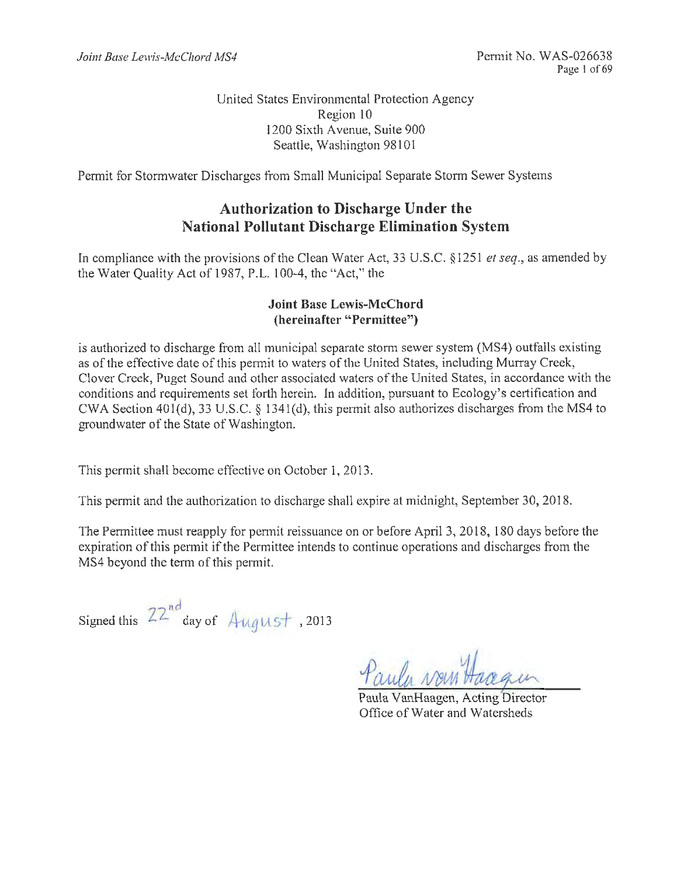United States Environmental Protection Agency Region 10 1200 Sixth Avenue, Suite 900 Seattle, Washington 98101

Permit for Stormwater Discharges from Small Municipal Separate Storm Sewer Systems

## **Authorization to Discharge Under the National Pollutant Discharge Elimination System**

In compliance with the provisions of the Clean Water Act, 33 U.S.C. §1251 *et seq.*, as amended by the Water Quality Act of 1987, P.L. 100-4, the "Act," the

### **Joint Base Lewis-McChord (hereinafter "Permittee")**

is authorized to discharge from all municipal separate storm sewer system (MS4) outfalls existing as of the effective date of this permit to waters of the United States, including Murray Creek, Clover Creek, Puget Sound and other associated waters of the United States, in accordance with the conditions and requirements set forth herein. In addition, pursuant to Ecology's certification and CWA Section 401(d), 33 U.S.C. § 1341(d), this permit also authorizes discharges from the MS4 to groundwater of the State of Washington.

This permit shall become effective on October 1, 2013.

This permit and the authorization to discharge shall expire at midnight, September 30, 2018.

The Permittee must reapply for pennit reissuance on or before April3, 2018, 180 days before the expiration of this permit if the Permittee intends to continue operations and discharges from the MS4 beyond the term of this permit.

Signed this  $22^{nd}$  day of  $\text{August}$ , 2013

Paula VanHaagen, Acting Director Office of Water and Watersheds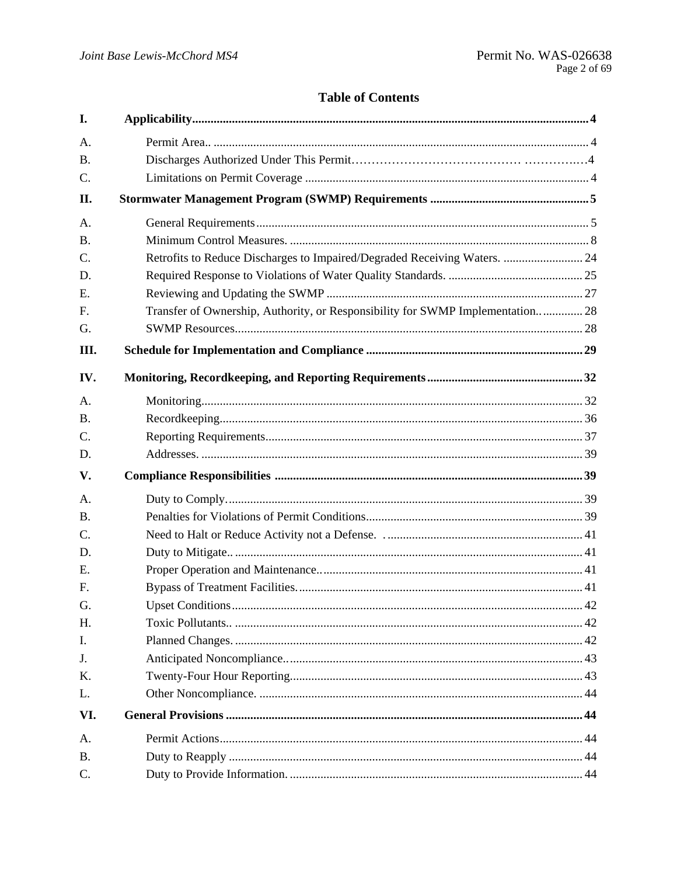## **Table of Contents**

| I.        |                                                                                |      |
|-----------|--------------------------------------------------------------------------------|------|
| A.        |                                                                                |      |
| <b>B.</b> |                                                                                |      |
| C.        |                                                                                |      |
| II.       |                                                                                |      |
| A.        |                                                                                |      |
| <b>B.</b> |                                                                                |      |
| C.        | Retrofits to Reduce Discharges to Impaired/Degraded Receiving Waters.  24      |      |
| D.        |                                                                                |      |
| Ε.        |                                                                                |      |
| F.        | Transfer of Ownership, Authority, or Responsibility for SWMP Implementation 28 |      |
| G.        |                                                                                |      |
| Ш.        |                                                                                |      |
| IV.       |                                                                                |      |
| A.        |                                                                                |      |
| <b>B.</b> |                                                                                |      |
| C.        |                                                                                |      |
| D.        |                                                                                |      |
| V.        |                                                                                |      |
| A.        |                                                                                |      |
| <b>B.</b> |                                                                                |      |
| C.        |                                                                                |      |
| D.        |                                                                                |      |
| E.        |                                                                                |      |
| F.        |                                                                                |      |
| G.        | Upset Conditions                                                               | . 42 |
| Н.        |                                                                                |      |
| I.        |                                                                                |      |
| J.        |                                                                                |      |
| Κ.        |                                                                                |      |
| L.        |                                                                                |      |
| VI.       |                                                                                |      |
| A.        |                                                                                |      |
| <b>B.</b> |                                                                                |      |
| $C$ .     |                                                                                |      |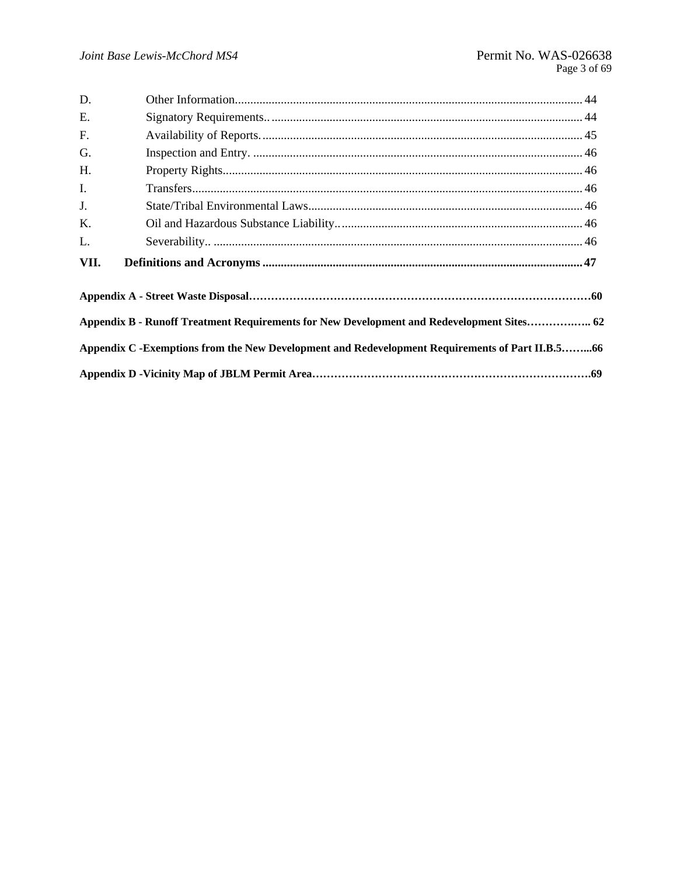| D.   |                                                                                                 |  |
|------|-------------------------------------------------------------------------------------------------|--|
| E.   |                                                                                                 |  |
| F.   |                                                                                                 |  |
| G.   |                                                                                                 |  |
| H.   |                                                                                                 |  |
| I.   |                                                                                                 |  |
| J.   |                                                                                                 |  |
| K.   |                                                                                                 |  |
| L.   |                                                                                                 |  |
| VII. |                                                                                                 |  |
|      |                                                                                                 |  |
|      | Appendix B - Runoff Treatment Requirements for New Development and Redevelopment Sites 62       |  |
|      | Appendix C -Exemptions from the New Development and Redevelopment Requirements of Part II.B.566 |  |
|      |                                                                                                 |  |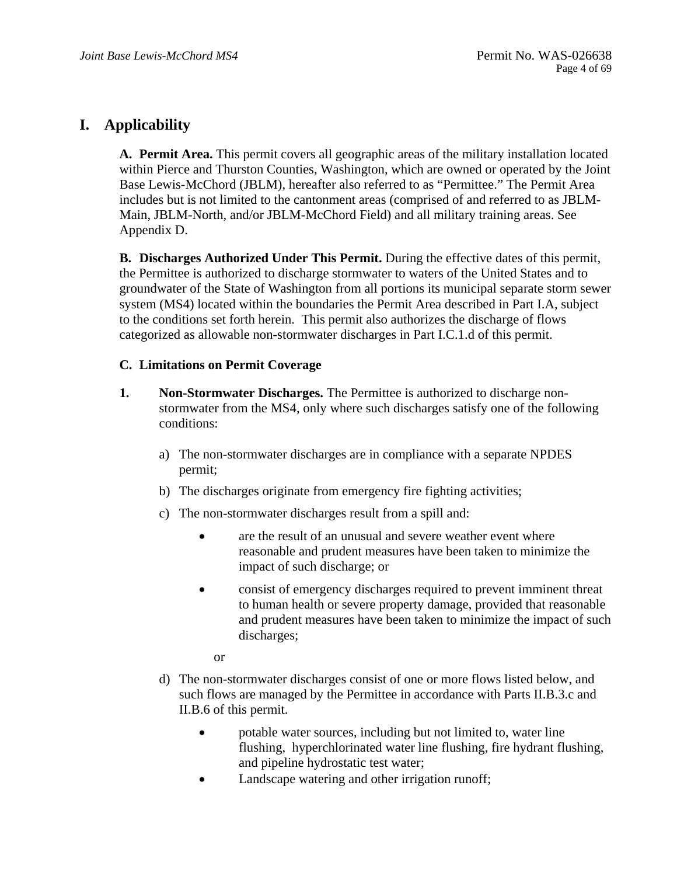## **I. Applicability**

**A. Permit Area.** This permit covers all geographic areas of the military installation located within Pierce and Thurston Counties, Washington, which are owned or operated by the Joint Base Lewis-McChord (JBLM), hereafter also referred to as "Permittee." The Permit Area includes but is not limited to the cantonment areas (comprised of and referred to as JBLM-Main, JBLM-North, and/or JBLM-McChord Field) and all military training areas. See Appendix D.

**B. Discharges Authorized Under This Permit.** During the effective dates of this permit, the Permittee is authorized to discharge stormwater to waters of the United States and to groundwater of the State of Washington from all portions its municipal separate storm sewer system (MS4) located within the boundaries the Permit Area described in Part I.A, subject to the conditions set forth herein. This permit also authorizes the discharge of flows categorized as allowable non-stormwater discharges in Part I.C.1.d of this permit.

### **C. Limitations on Permit Coverage**

- **1. Non-Stormwater Discharges.** The Permittee is authorized to discharge nonstormwater from the MS4, only where such discharges satisfy one of the following conditions:
	- a) The non-stormwater discharges are in compliance with a separate NPDES permit;
	- b) The discharges originate from emergency fire fighting activities;
	- c) The non-stormwater discharges result from a spill and:
		- are the result of an unusual and severe weather event where reasonable and prudent measures have been taken to minimize the impact of such discharge; or
		- consist of emergency discharges required to prevent imminent threat to human health or severe property damage, provided that reasonable and prudent measures have been taken to minimize the impact of such discharges;

or

- d) The non-stormwater discharges consist of one or more flows listed below, and such flows are managed by the Permittee in accordance with Parts II.B.3.c and II.B.6 of this permit.
	- potable water sources, including but not limited to, water line flushing, hyperchlorinated water line flushing, fire hydrant flushing, and pipeline hydrostatic test water;
	- Landscape watering and other irrigation runoff;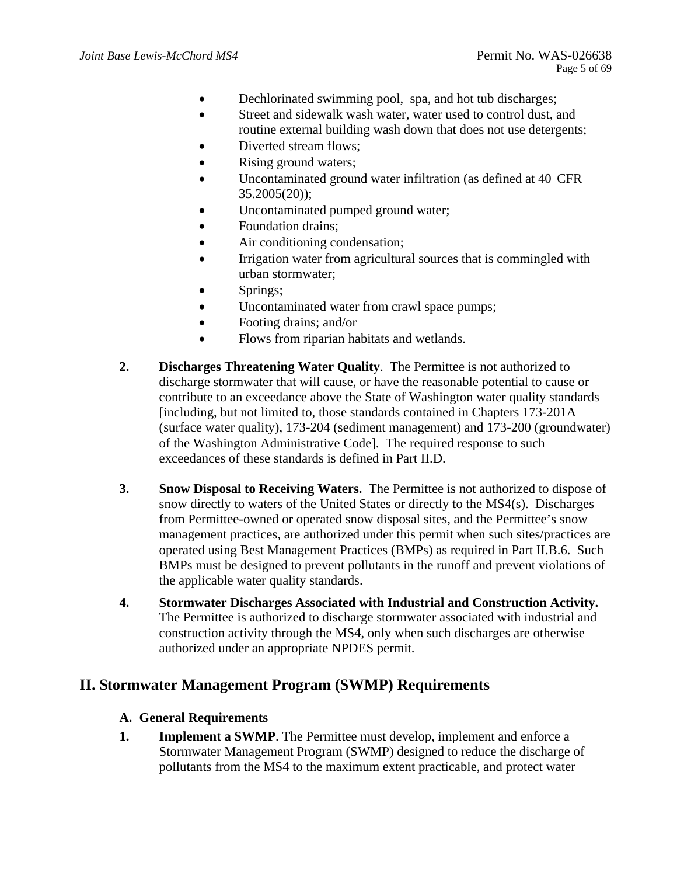- Dechlorinated swimming pool, spa, and hot tub discharges;
- Street and sidewalk wash water, water used to control dust, and routine external building wash down that does not use detergents;
- Diverted stream flows;
- Rising ground waters;
- Uncontaminated ground water infiltration (as defined at 40 CFR 35.2005(20));
- Uncontaminated pumped ground water;
- Foundation drains;
- Air conditioning condensation;
- Irrigation water from agricultural sources that is commingled with urban stormwater;
- Springs;
- Uncontaminated water from crawl space pumps;
- Footing drains; and/or
- Flows from riparian habitats and wetlands.
- **2. Discharges Threatening Water Quality**. The Permittee is not authorized to discharge stormwater that will cause, or have the reasonable potential to cause or contribute to an exceedance above the State of Washington water quality standards [including, but not limited to, those standards contained in Chapters 173-201A (surface water quality), 173-204 (sediment management) and 173-200 (groundwater) of the Washington Administrative Code]. The required response to such exceedances of these standards is defined in Part II.D.
- **3. Snow Disposal to Receiving Waters.** The Permittee is not authorized to dispose of snow directly to waters of the United States or directly to the MS4(s). Discharges from Permittee-owned or operated snow disposal sites, and the Permittee's snow management practices, are authorized under this permit when such sites/practices are operated using Best Management Practices (BMPs) as required in Part II.B.6. Such BMPs must be designed to prevent pollutants in the runoff and prevent violations of the applicable water quality standards.
- **4. Stormwater Discharges Associated with Industrial and Construction Activity.**  The Permittee is authorized to discharge stormwater associated with industrial and construction activity through the MS4, only when such discharges are otherwise authorized under an appropriate NPDES permit.

## **II. Stormwater Management Program (SWMP) Requirements**

### **A. General Requirements**

**1. Implement a SWMP**. The Permittee must develop, implement and enforce a Stormwater Management Program (SWMP) designed to reduce the discharge of pollutants from the MS4 to the maximum extent practicable, and protect water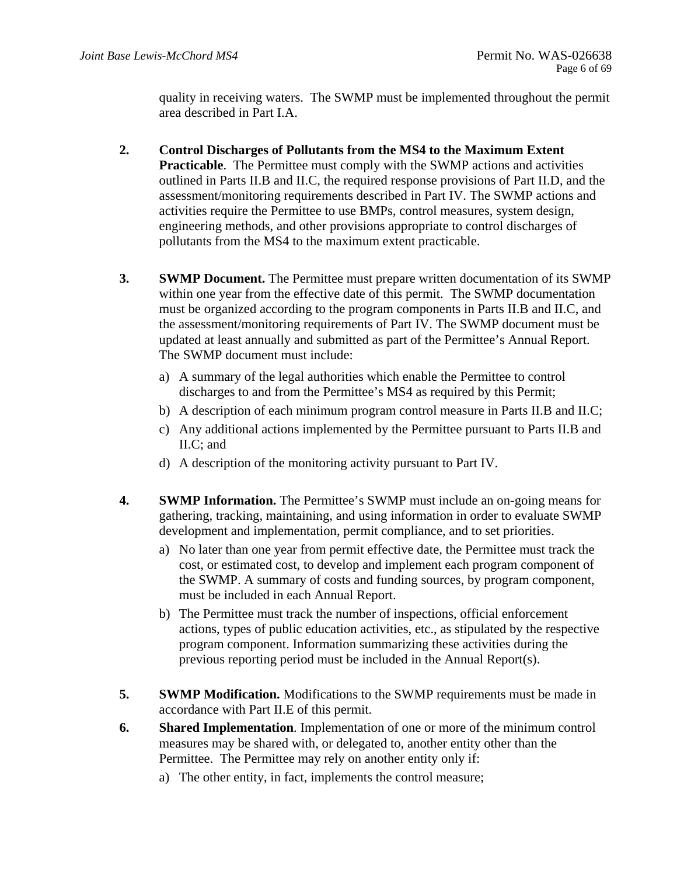quality in receiving waters. The SWMP must be implemented throughout the permit area described in Part I.A.

- **2. Control Discharges of Pollutants from the MS4 to the Maximum Extent Practicable.** The Permittee must comply with the SWMP actions and activities outlined in Parts II.B and II.C, the required response provisions of Part II.D, and the assessment/monitoring requirements described in Part IV. The SWMP actions and activities require the Permittee to use BMPs, control measures, system design, engineering methods, and other provisions appropriate to control discharges of pollutants from the MS4 to the maximum extent practicable.
- **3. SWMP Document.** The Permittee must prepare written documentation of its SWMP within one year from the effective date of this permit. The SWMP documentation must be organized according to the program components in Parts II.B and II.C, and the assessment/monitoring requirements of Part IV. The SWMP document must be updated at least annually and submitted as part of the Permittee's Annual Report. The SWMP document must include:
	- a) A summary of the legal authorities which enable the Permittee to control discharges to and from the Permittee's MS4 as required by this Permit;
	- b) A description of each minimum program control measure in Parts II.B and II.C;
	- c) Any additional actions implemented by the Permittee pursuant to Parts II.B and II.C; and
	- d) A description of the monitoring activity pursuant to Part IV.
- **4. SWMP Information.** The Permittee's SWMP must include an on-going means for gathering, tracking, maintaining, and using information in order to evaluate SWMP development and implementation, permit compliance, and to set priorities.
	- a) No later than one year from permit effective date, the Permittee must track the cost, or estimated cost, to develop and implement each program component of the SWMP. A summary of costs and funding sources, by program component, must be included in each Annual Report.
	- b) The Permittee must track the number of inspections, official enforcement actions, types of public education activities, etc., as stipulated by the respective program component. Information summarizing these activities during the previous reporting period must be included in the Annual Report(s).
- **5. SWMP Modification.** Modifications to the SWMP requirements must be made in accordance with Part II.E of this permit.
- **6. Shared Implementation**. Implementation of one or more of the minimum control measures may be shared with, or delegated to, another entity other than the Permittee. The Permittee may rely on another entity only if:
	- a) The other entity, in fact, implements the control measure;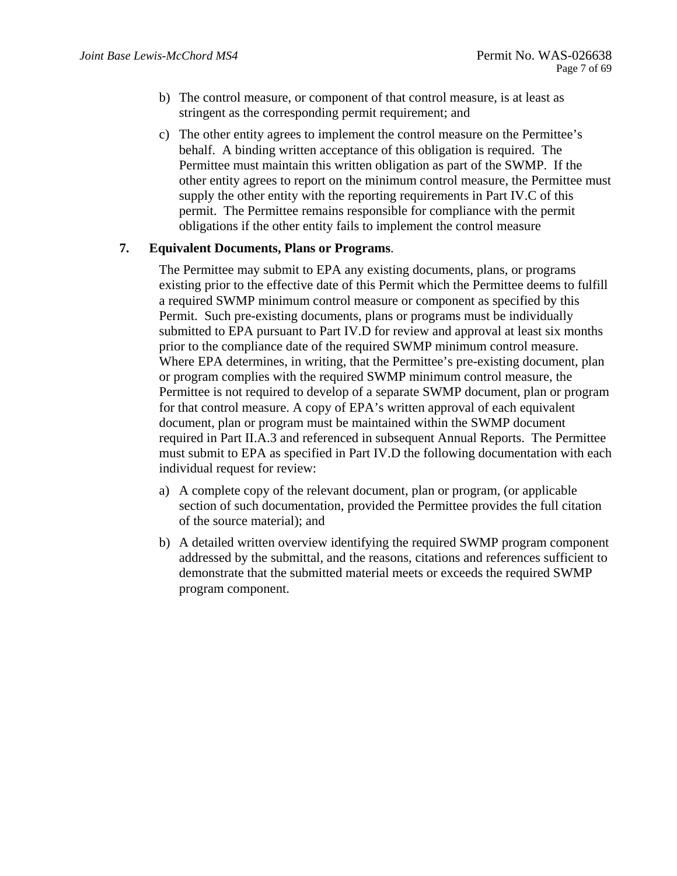- b) The control measure, or component of that control measure, is at least as stringent as the corresponding permit requirement; and
- c) The other entity agrees to implement the control measure on the Permittee's behalf. A binding written acceptance of this obligation is required. The Permittee must maintain this written obligation as part of the SWMP. If the other entity agrees to report on the minimum control measure, the Permittee must supply the other entity with the reporting requirements in Part IV.C of this permit. The Permittee remains responsible for compliance with the permit obligations if the other entity fails to implement the control measure

### **7. Equivalent Documents, Plans or Programs**.

The Permittee may submit to EPA any existing documents, plans, or programs existing prior to the effective date of this Permit which the Permittee deems to fulfill a required SWMP minimum control measure or component as specified by this Permit. Such pre-existing documents, plans or programs must be individually submitted to EPA pursuant to Part IV.D for review and approval at least six months prior to the compliance date of the required SWMP minimum control measure. Where EPA determines, in writing, that the Permittee's pre-existing document, plan or program complies with the required SWMP minimum control measure, the Permittee is not required to develop of a separate SWMP document, plan or program for that control measure. A copy of EPA's written approval of each equivalent document, plan or program must be maintained within the SWMP document required in Part II.A.3 and referenced in subsequent Annual Reports. The Permittee must submit to EPA as specified in Part IV.D the following documentation with each individual request for review:

- a) A complete copy of the relevant document, plan or program, (or applicable section of such documentation, provided the Permittee provides the full citation of the source material); and
- b) A detailed written overview identifying the required SWMP program component addressed by the submittal, and the reasons, citations and references sufficient to demonstrate that the submitted material meets or exceeds the required SWMP program component.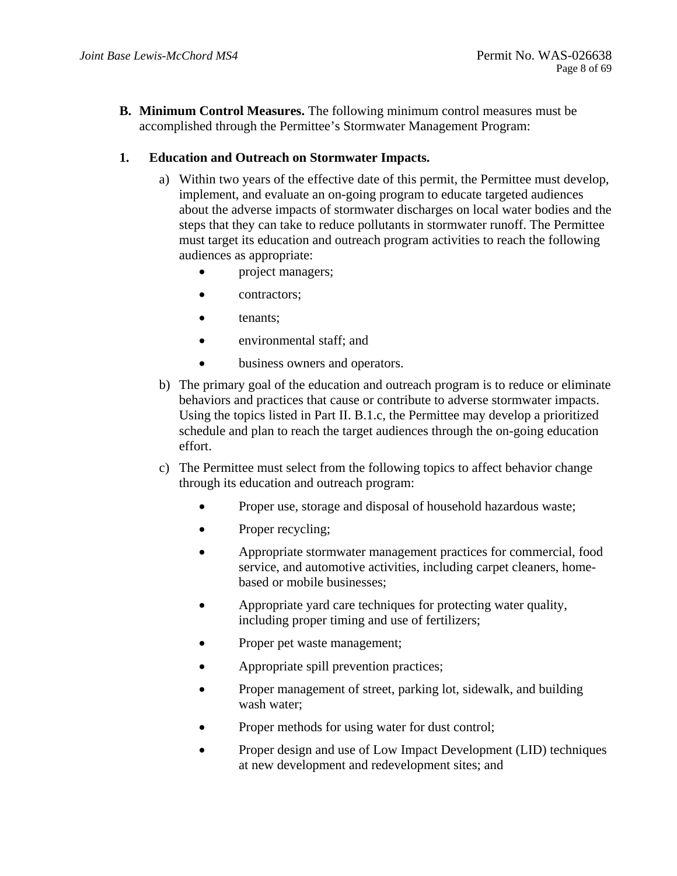**B. Minimum Control Measures.** The following minimum control measures must be accomplished through the Permittee's Stormwater Management Program:

## **1. Education and Outreach on Stormwater Impacts.**

- a) Within two years of the effective date of this permit, the Permittee must develop, implement, and evaluate an on-going program to educate targeted audiences about the adverse impacts of stormwater discharges on local water bodies and the steps that they can take to reduce pollutants in stormwater runoff. The Permittee must target its education and outreach program activities to reach the following audiences as appropriate:
	- project managers;
	- contractors:
	- tenants:
	- environmental staff; and
	- business owners and operators.
- b) The primary goal of the education and outreach program is to reduce or eliminate behaviors and practices that cause or contribute to adverse stormwater impacts. Using the topics listed in Part II. B.1.c, the Permittee may develop a prioritized schedule and plan to reach the target audiences through the on-going education effort.
- c) The Permittee must select from the following topics to affect behavior change through its education and outreach program:
	- Proper use, storage and disposal of household hazardous waste;
	- Proper recycling;
	- Appropriate stormwater management practices for commercial, food service, and automotive activities, including carpet cleaners, homebased or mobile businesses;
	- Appropriate yard care techniques for protecting water quality, including proper timing and use of fertilizers;
	- Proper pet waste management;
	- Appropriate spill prevention practices;
	- Proper management of street, parking lot, sidewalk, and building wash water;
	- Proper methods for using water for dust control;
	- Proper design and use of Low Impact Development (LID) techniques at new development and redevelopment sites; and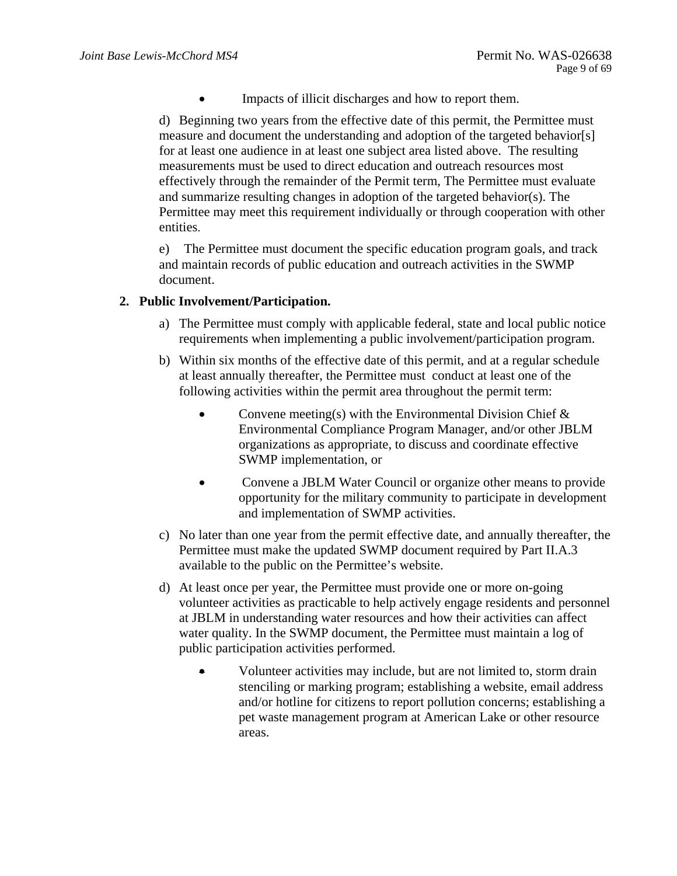Impacts of illicit discharges and how to report them.

d) Beginning two years from the effective date of this permit, the Permittee must measure and document the understanding and adoption of the targeted behavior[s] for at least one audience in at least one subject area listed above. The resulting measurements must be used to direct education and outreach resources most effectively through the remainder of the Permit term, The Permittee must evaluate and summarize resulting changes in adoption of the targeted behavior(s). The Permittee may meet this requirement individually or through cooperation with other entities.

e) The Permittee must document the specific education program goals, and track and maintain records of public education and outreach activities in the SWMP document.

### **2. Public Involvement/Participation.**

- requirements when implementing a public involvement/participation program. a) The Permittee must comply with applicable federal, state and local public notice
- b) Within six months of the effective date of this permit, and at a regular schedule at least annually thereafter, the Permittee must conduct at least one of the following activities within the permit area throughout the permit term:
	- Convene meeting(s) with the Environmental Division Chief  $\&$ Environmental Compliance Program Manager, and/or other JBLM organizations as appropriate, to discuss and coordinate effective SWMP implementation, or
	- Convene a JBLM Water Council or organize other means to provide opportunity for the military community to participate in development and implementation of SWMP activities.
- c) No later than one year from the permit effective date, and annually thereafter, the Permittee must make the updated SWMP document required by Part II.A.3 available to the public on the Permittee's website.
- d) At least once per year, the Permittee must provide one or more on-going volunteer activities as practicable to help actively engage residents and personnel at JBLM in understanding water resources and how their activities can affect water quality. In the SWMP document, the Permittee must maintain a log of public participation activities performed.
	- Volunteer activities may include, but are not limited to, storm drain stenciling or marking program; establishing a website, email address and/or hotline for citizens to report pollution concerns; establishing a pet waste management program at American Lake or other resource areas.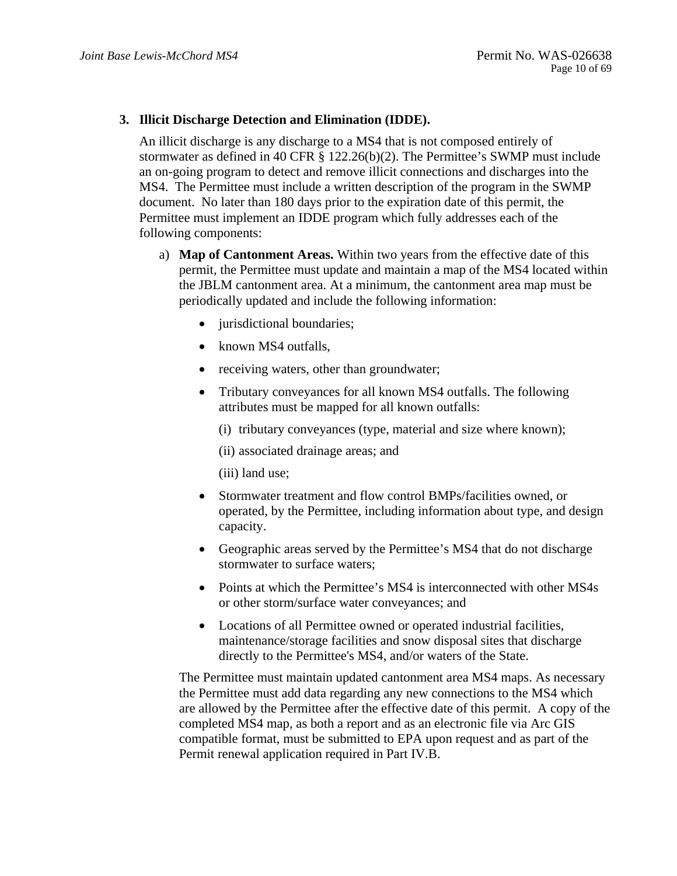## **3. Illicit Discharge Detection and Elimination (IDDE).**

An illicit discharge is any discharge to a MS4 that is not composed entirely of stormwater as defined in 40 CFR § 122.26(b)(2). The Permittee's SWMP must include an on-going program to detect and remove illicit connections and discharges into the MS4. The Permittee must include a written description of the program in the SWMP document. No later than 180 days prior to the expiration date of this permit, the Permittee must implement an IDDE program which fully addresses each of the following components:

- a) **Map of Cantonment Areas.** Within two years from the effective date of this permit, the Permittee must update and maintain a map of the MS4 located within the JBLM cantonment area. At a minimum, the cantonment area map must be periodically updated and include the following information:
	- jurisdictional boundaries;
	- known MS4 outfalls,
	- receiving waters, other than groundwater;
	- Tributary conveyances for all known MS4 outfalls. The following attributes must be mapped for all known outfalls:
		- (i) tributary conveyances (type, material and size where known);
		- (ii) associated drainage areas; and
		- (iii) land use;
	- Stormwater treatment and flow control BMPs/facilities owned, or operated, by the Permittee, including information about type, and design capacity.
	- Geographic areas served by the Permittee's MS4 that do not discharge stormwater to surface waters;
	- Points at which the Permittee's MS4 is interconnected with other MS4s or other storm/surface water conveyances; and
	- Locations of all Permittee owned or operated industrial facilities, maintenance/storage facilities and snow disposal sites that discharge directly to the Permittee's MS4, and/or waters of the State.

The Permittee must maintain updated cantonment area MS4 maps. As necessary the Permittee must add data regarding any new connections to the MS4 which are allowed by the Permittee after the effective date of this permit. A copy of the completed MS4 map, as both a report and as an electronic file via Arc GIS compatible format, must be submitted to EPA upon request and as part of the Permit renewal application required in Part IV.B.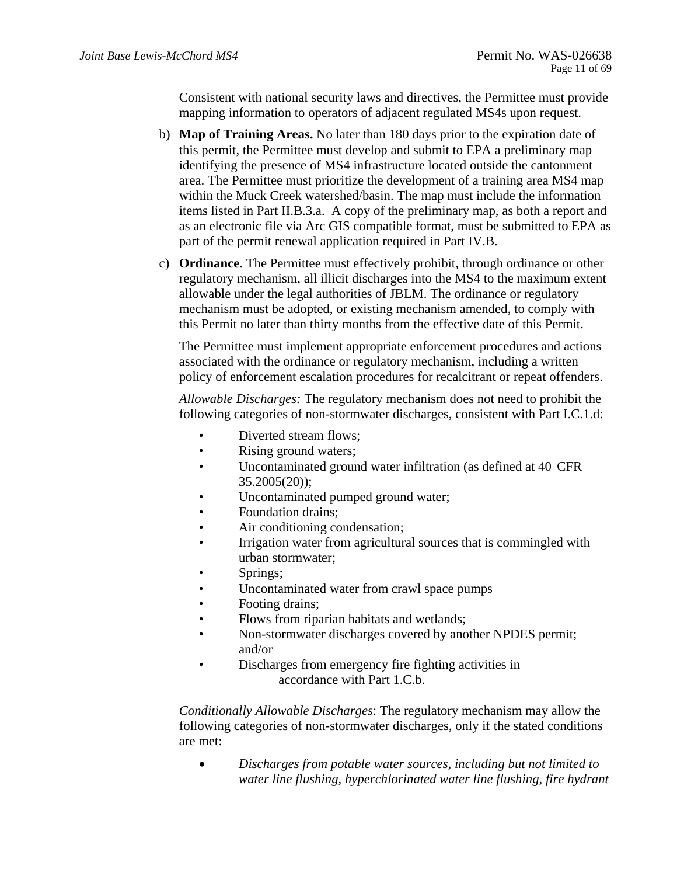Consistent with national security laws and directives, the Permittee must provide mapping information to operators of adjacent regulated MS4s upon request.

- b) **Map of Training Areas.** No later than 180 days prior to the expiration date of this permit, the Permittee must develop and submit to EPA a preliminary map identifying the presence of MS4 infrastructure located outside the cantonment area. The Permittee must prioritize the development of a training area MS4 map within the Muck Creek watershed/basin. The map must include the information items listed in Part II.B.3.a. A copy of the preliminary map, as both a report and as an electronic file via Arc GIS compatible format, must be submitted to EPA as part of the permit renewal application required in Part IV.B.
- c) **Ordinance**. The Permittee must effectively prohibit, through ordinance or other regulatory mechanism, all illicit discharges into the MS4 to the maximum extent allowable under the legal authorities of JBLM. The ordinance or regulatory mechanism must be adopted, or existing mechanism amended, to comply with this Permit no later than thirty months from the effective date of this Permit.

The Permittee must implement appropriate enforcement procedures and actions associated with the ordinance or regulatory mechanism, including a written policy of enforcement escalation procedures for recalcitrant or repeat offenders.

*Allowable Discharges:* The regulatory mechanism does not need to prohibit the following categories of non-stormwater discharges, consistent with Part I.C.1.d:

- Diverted stream flows;
- $\bullet$ Rising ground waters;
- Uncontaminated ground water infiltration (as defined at 40 CFR 35.2005(20));
- Uncontaminated pumped ground water;
- Foundation drains;
- Air conditioning condensation;
- Irrigation water from agricultural sources that is commingled with urban stormwater;
- Springs:
- Uncontaminated water from crawl space pumps
- Footing drains:
- Flows from riparian habitats and wetlands;
- Non-stormwater discharges covered by another NPDES permit; and/or
- Discharges from emergency fire fighting activities in accordance with Part 1.C.b.

*Conditionally Allowable Discharges*: The regulatory mechanism may allow the following categories of non-stormwater discharges, only if the stated conditions are met:

 *Discharges from potable water sources, including but not limited to water line flushing, hyperchlorinated water line flushing, fire hydrant*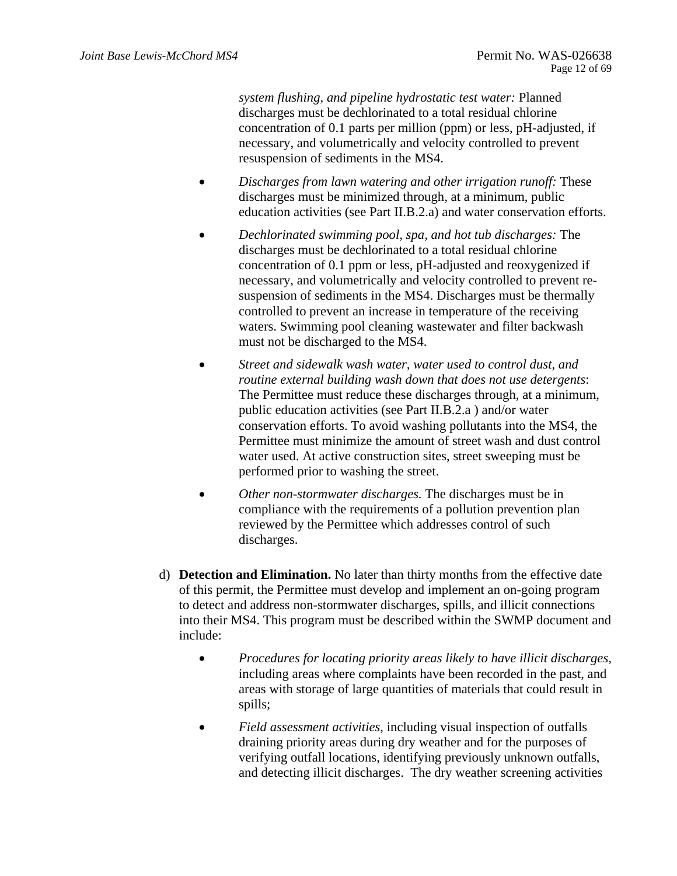*system flushing, and pipeline hydrostatic test water:* Planned discharges must be dechlorinated to a total residual chlorine concentration of 0.1 parts per million (ppm) or less, pH-adjusted, if necessary, and volumetrically and velocity controlled to prevent resuspension of sediments in the MS4.

- *Discharges from lawn watering and other irrigation runoff:* These discharges must be minimized through, at a minimum, public education activities (see Part II.B.2.a) and water conservation efforts.
- *Dechlorinated swimming pool, spa, and hot tub discharges:* The discharges must be dechlorinated to a total residual chlorine concentration of 0.1 ppm or less, pH-adjusted and reoxygenized if necessary, and volumetrically and velocity controlled to prevent resuspension of sediments in the MS4. Discharges must be thermally controlled to prevent an increase in temperature of the receiving waters. Swimming pool cleaning wastewater and filter backwash must not be discharged to the MS4.
- *Street and sidewalk wash water, water used to control dust, and routine external building wash down that does not use detergents*: The Permittee must reduce these discharges through, at a minimum, public education activities (see Part II.B.2.a ) and/or water conservation efforts. To avoid washing pollutants into the MS4, the Permittee must minimize the amount of street wash and dust control water used. At active construction sites, street sweeping must be performed prior to washing the street.
- *Other non-stormwater discharges.* The discharges must be in compliance with the requirements of a pollution prevention plan reviewed by the Permittee which addresses control of such discharges.
- d) **Detection and Elimination.** No later than thirty months from the effective date of this permit, the Permittee must develop and implement an on-going program to detect and address non-stormwater discharges, spills, and illicit connections into their MS4. This program must be described within the SWMP document and include:
	- *Procedures for locating priority areas likely to have illicit discharges,*  including areas where complaints have been recorded in the past, and areas with storage of large quantities of materials that could result in spills;
	- *Field assessment activities*, including visual inspection of outfalls draining priority areas during dry weather and for the purposes of verifying outfall locations, identifying previously unknown outfalls, and detecting illicit discharges. The dry weather screening activities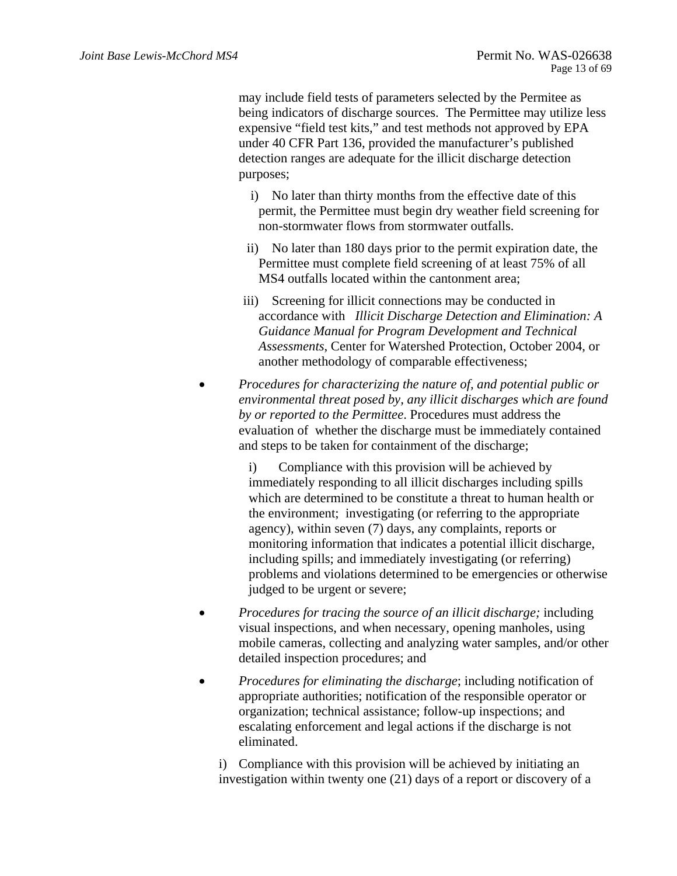may include field tests of parameters selected by the Permitee as being indicators of discharge sources. The Permittee may utilize less expensive "field test kits," and test methods not approved by EPA under 40 CFR Part 136, provided the manufacturer's published detection ranges are adequate for the illicit discharge detection purposes;

- i) No later than thirty months from the effective date of this permit, the Permittee must begin dry weather field screening for non-stormwater flows from stormwater outfalls.
- ii) No later than 180 days prior to the permit expiration date, the Permittee must complete field screening of at least 75% of all MS4 outfalls located within the cantonment area;
- iii) Screening for illicit connections may be conducted in accordance with *Illicit Discharge Detection and Elimination: A Guidance Manual for Program Development and Technical Assessments*, Center for Watershed Protection, October 2004, or another methodology of comparable effectiveness;
- *Procedures for characterizing the nature of, and potential public or environmental threat posed by, any illicit discharges which are found by or reported to the Permittee*. Procedures must address the evaluation of whether the discharge must be immediately contained and steps to be taken for containment of the discharge;

i) Compliance with this provision will be achieved by immediately responding to all illicit discharges including spills which are determined to be constitute a threat to human health or the environment; investigating (or referring to the appropriate agency), within seven (7) days, any complaints, reports or monitoring information that indicates a potential illicit discharge, including spills; and immediately investigating (or referring) problems and violations determined to be emergencies or otherwise judged to be urgent or severe;

- *Procedures for tracing the source of an illicit discharge;* including visual inspections, and when necessary, opening manholes, using mobile cameras, collecting and analyzing water samples, and/or other detailed inspection procedures; and
- *Procedures for eliminating the discharge*; including notification of appropriate authorities; notification of the responsible operator or organization; technical assistance; follow-up inspections; and escalating enforcement and legal actions if the discharge is not eliminated.

i) Compliance with this provision will be achieved by initiating an investigation within twenty one (21) days of a report or discovery of a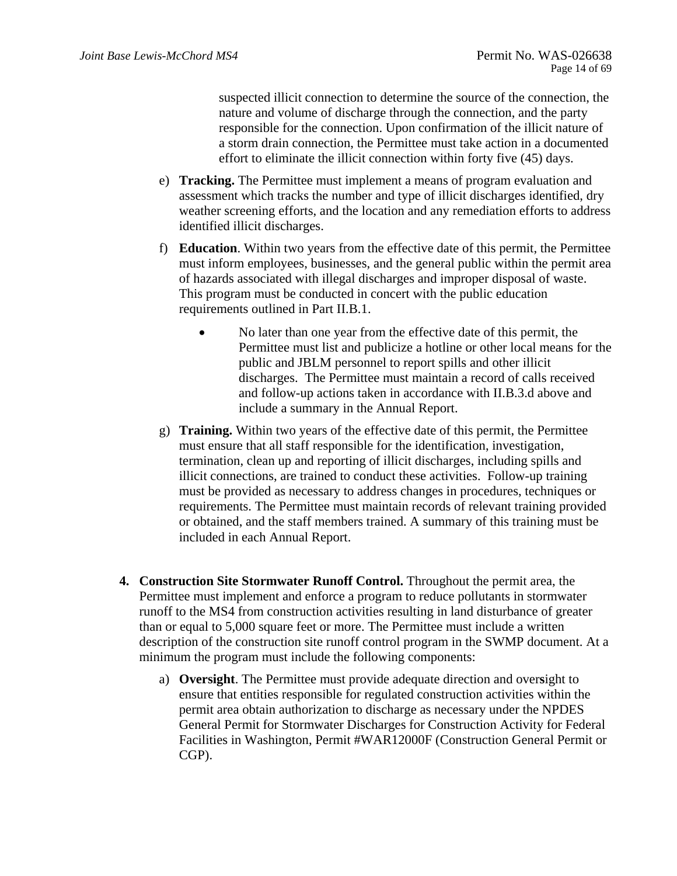suspected illicit connection to determine the source of the connection, the nature and volume of discharge through the connection, and the party responsible for the connection. Upon confirmation of the illicit nature of a storm drain connection, the Permittee must take action in a documented effort to eliminate the illicit connection within forty five (45) days.

- e) **Tracking.** The Permittee must implement a means of program evaluation and assessment which tracks the number and type of illicit discharges identified, dry weather screening efforts, and the location and any remediation efforts to address identified illicit discharges.
- f) **Education**. Within two years from the effective date of this permit, the Permittee must inform employees, businesses, and the general public within the permit area of hazards associated with illegal discharges and improper disposal of waste. This program must be conducted in concert with the public education requirements outlined in Part II.B.1.
	- No later than one year from the effective date of this permit, the Permittee must list and publicize a hotline or other local means for the public and JBLM personnel to report spills and other illicit discharges. The Permittee must maintain a record of calls received and follow-up actions taken in accordance with II.B.3.d above and include a summary in the Annual Report.
- g) **Training.** Within two years of the effective date of this permit, the Permittee must ensure that all staff responsible for the identification, investigation, termination, clean up and reporting of illicit discharges, including spills and illicit connections, are trained to conduct these activities. Follow-up training must be provided as necessary to address changes in procedures, techniques or requirements. The Permittee must maintain records of relevant training provided or obtained, and the staff members trained. A summary of this training must be included in each Annual Report.
- **4. Construction Site Stormwater Runoff Control.** Throughout the permit area, the Permittee must implement and enforce a program to reduce pollutants in stormwater runoff to the MS4 from construction activities resulting in land disturbance of greater than or equal to 5,000 square feet or more. The Permittee must include a written description of the construction site runoff control program in the SWMP document. At a minimum the program must include the following components:
	- a) **Oversight**. The Permittee must provide adequate direction and over**s**ight to ensure that entities responsible for regulated construction activities within the permit area obtain authorization to discharge as necessary under the NPDES General Permit for Stormwater Discharges for Construction Activity for Federal Facilities in Washington, Permit #WAR12000F (Construction General Permit or CGP).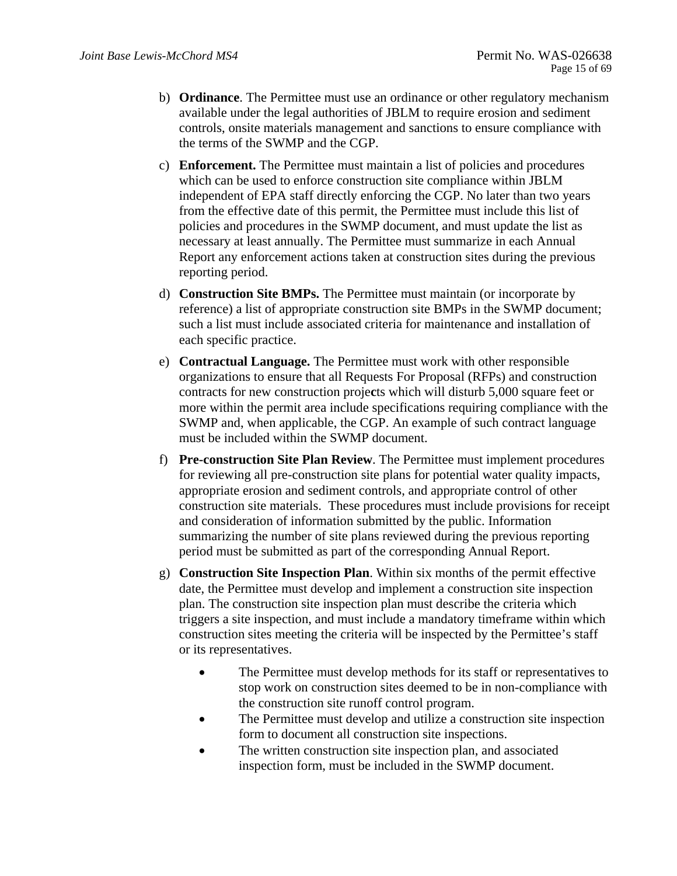- b) **Ordinance**. The Permittee must use an ordinance or other regulatory mechanism available under the legal authorities of JBLM to require erosion and sediment controls, onsite materials management and sanctions to ensure compliance with the terms of the SWMP and the CGP.
- c) **Enforcement.** The Permittee must maintain a list of policies and procedures which can be used to enforce construction site compliance within JBLM independent of EPA staff directly enforcing the CGP. No later than two years from the effective date of this permit, the Permittee must include this list of policies and procedures in the SWMP document, and must update the list as necessary at least annually. The Permittee must summarize in each Annual Report any enforcement actions taken at construction sites during the previous reporting period.
- d) **Construction Site BMPs.** The Permittee must maintain (or incorporate by reference) a list of appropriate construction site BMPs in the SWMP document; such a list must include associated criteria for maintenance and installation of each specific practice.
- e) **Contractual Language.** The Permittee must work with other responsible organizations to ensure that all Requests For Proposal (RFPs) and construction contracts for new construction proje**c**ts which will disturb 5,000 square feet or more within the permit area include specifications requiring compliance with the SWMP and, when applicable, the CGP. An example of such contract language must be included within the SWMP document.
- f) **Pre-construction Site Plan Review**. The Permittee must implement procedures for reviewing all pre-construction site plans for potential water quality impacts, appropriate erosion and sediment controls, and appropriate control of other construction site materials. These procedures must include provisions for receipt and consideration of information submitted by the public. Information summarizing the number of site plans reviewed during the previous reporting period must be submitted as part of the corresponding Annual Report.
- g) **Construction Site Inspection Plan**. Within six months of the permit effective date, the Permittee must develop and implement a construction site inspection plan. The construction site inspection plan must describe the criteria which triggers a site inspection, and must include a mandatory timeframe within which construction sites meeting the criteria will be inspected by the Permittee's staff or its representatives.
	- The Permittee must develop methods for its staff or representatives to stop work on construction sites deemed to be in non-compliance with the construction site runoff control program.
	- The Permittee must develop and utilize a construction site inspection form to document all construction site inspections.
	- The written construction site inspection plan, and associated inspection form, must be included in the SWMP document.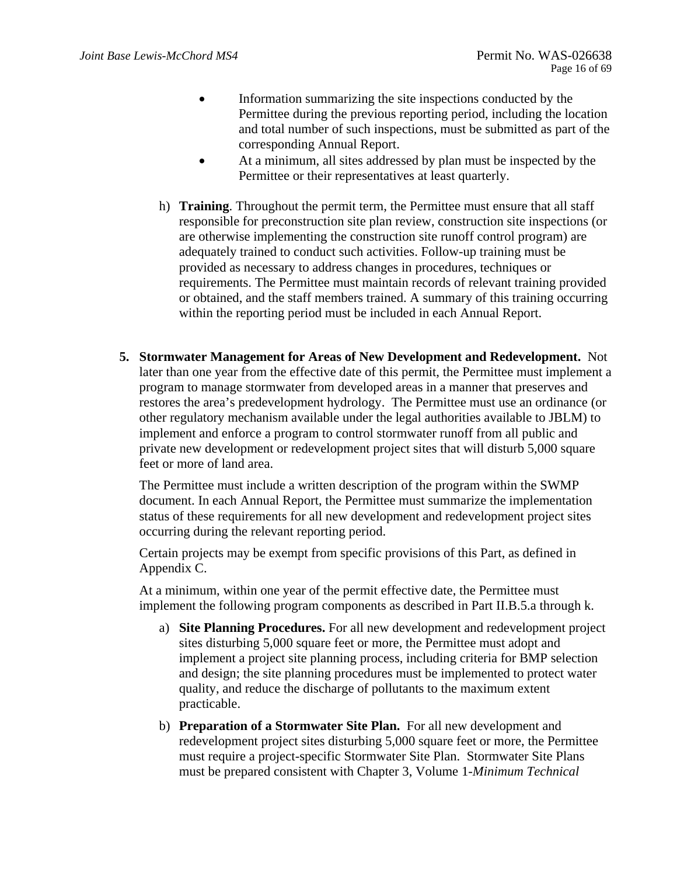- Information summarizing the site inspections conducted by the Permittee during the previous reporting period, including the location and total number of such inspections, must be submitted as part of the corresponding Annual Report.
- At a minimum, all sites addressed by plan must be inspected by the Permittee or their representatives at least quarterly.
- h) **Training**. Throughout the permit term, the Permittee must ensure that all staff responsible for preconstruction site plan review, construction site inspections (or are otherwise implementing the construction site runoff control program) are adequately trained to conduct such activities. Follow-up training must be provided as necessary to address changes in procedures, techniques or requirements. The Permittee must maintain records of relevant training provided or obtained, and the staff members trained. A summary of this training occurring within the reporting period must be included in each Annual Report.
- **5. Stormwater Management for Areas of New Development and Redevelopment.** Not later than one year from the effective date of this permit, the Permittee must implement a program to manage stormwater from developed areas in a manner that preserves and restores the area's predevelopment hydrology. The Permittee must use an ordinance (or other regulatory mechanism available under the legal authorities available to JBLM) to implement and enforce a program to control stormwater runoff from all public and private new development or redevelopment project sites that will disturb 5,000 square feet or more of land area.

The Permittee must include a written description of the program within the SWMP document. In each Annual Report, the Permittee must summarize the implementation status of these requirements for all new development and redevelopment project sites occurring during the relevant reporting period.

Certain projects may be exempt from specific provisions of this Part, as defined in Appendix C.

At a minimum, within one year of the permit effective date, the Permittee must implement the following program components as described in Part II.B.5.a through k.

- a) **Site Planning Procedures.** For all new development and redevelopment project sites disturbing 5,000 square feet or more, the Permittee must adopt and implement a project site planning process, including criteria for BMP selection and design; the site planning procedures must be implemented to protect water quality, and reduce the discharge of pollutants to the maximum extent practicable.
- b) **Preparation of a Stormwater Site Plan.** For all new development and redevelopment project sites disturbing 5,000 square feet or more, the Permittee must require a project-specific Stormwater Site Plan. Stormwater Site Plans must be prepared consistent with Chapter 3, Volume 1-*Minimum Technical*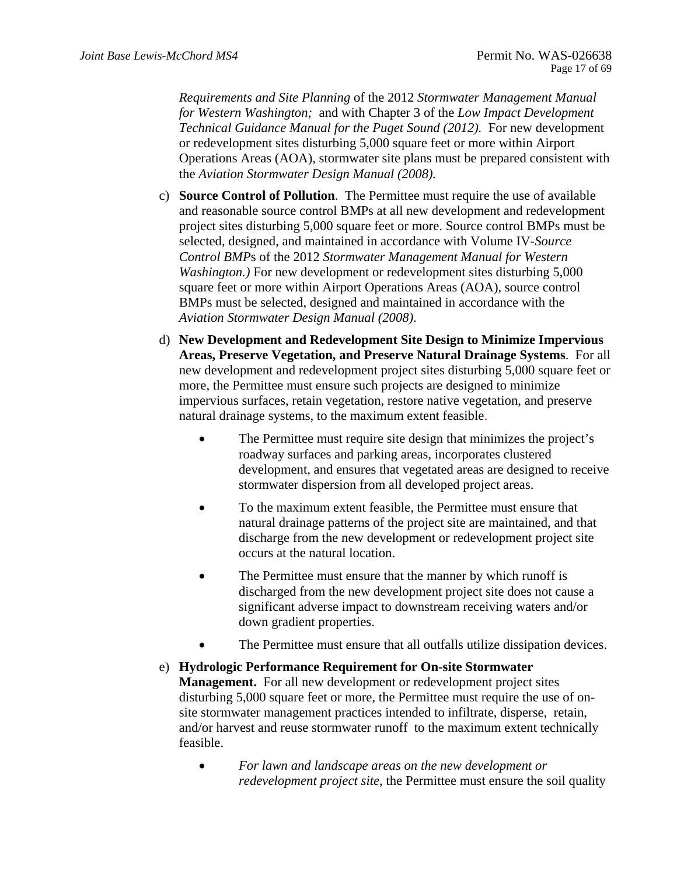*Requirements and Site Planning* of the 2012 *Stormwater Management Manual for Western Washington;* and with Chapter 3 of the *Low Impact Development Technical Guidance Manual for the Puget Sound (2012).* For new development or redevelopment sites disturbing 5,000 square feet or more within Airport Operations Areas (AOA), stormwater site plans must be prepared consistent with the *Aviation Stormwater Design Manual (2008).* 

- c) **Source Control of Pollution**. The Permittee must require the use of available and reasonable source control BMPs at all new development and redevelopment project sites disturbing 5,000 square feet or more. Source control BMPs must be selected, designed, and maintained in accordance with Volume IV-*Source Control BMP*s of the 2012 *Stormwater Management Manual for Western Washington.)* For new development or redevelopment sites disturbing 5,000 square feet or more within Airport Operations Areas (AOA), source control BMPs must be selected, designed and maintained in accordance with the *Aviation Stormwater Design Manual (2008)*.
- natural drainage systems, to the maximum extent feasible. d) **New Development and Redevelopment Site Design to Minimize Impervious Areas, Preserve Vegetation, and Preserve Natural Drainage Systems**. For all new development and redevelopment project sites disturbing 5,000 square feet or more, the Permittee must ensure such projects are designed to minimize impervious surfaces, retain vegetation, restore native vegetation, and preserve
	- The Permittee must require site design that minimizes the project's roadway surfaces and parking areas, incorporates clustered development, and ensures that vegetated areas are designed to receive stormwater dispersion from all developed project areas.
	- To the maximum extent feasible, the Permittee must ensure that natural drainage patterns of the project site are maintained, and that discharge from the new development or redevelopment project site occurs at the natural location.
	- The Permittee must ensure that the manner by which runoff is discharged from the new development project site does not cause a significant adverse impact to downstream receiving waters and/or down gradient properties.
	- The Permittee must ensure that all outfalls utilize dissipation devices.
- e) **Hydrologic Performance Requirement for On-site Stormwater Management.** For all new development or redevelopment project sites disturbing 5,000 square feet or more, the Permittee must require the use of onsite stormwater management practices intended to infiltrate, disperse, retain, and/or harvest and reuse stormwater runoff to the maximum extent technically feasible.
	- *For lawn and landscape areas on the new development or redevelopment project site*, the Permittee must ensure the soil quality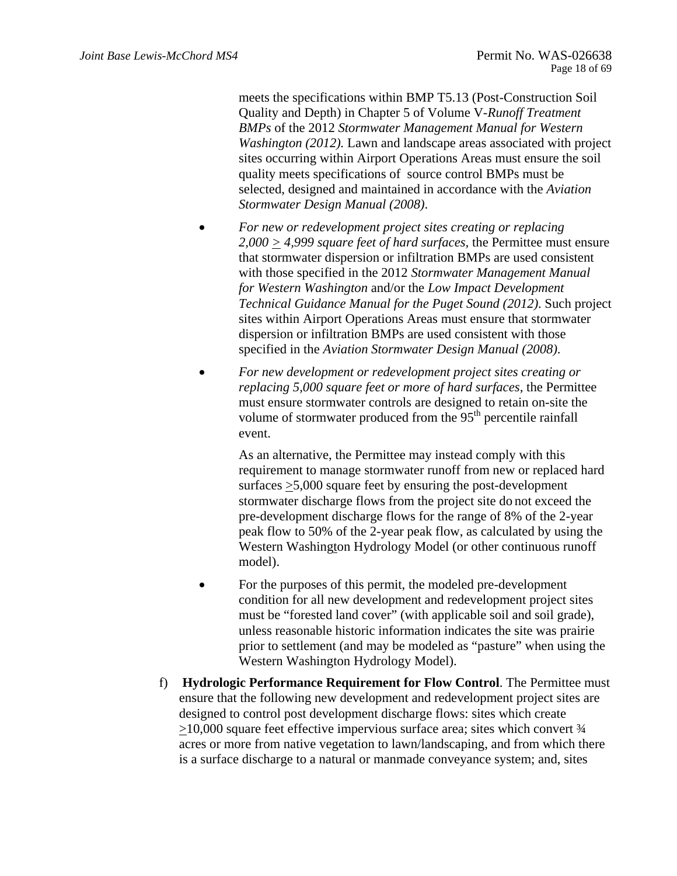meets the specifications within BMP T5.13 (Post-Construction Soil Quality and Depth) in Chapter 5 of Volume V-*Runoff Treatment BMPs* of the 2012 *Stormwater Management Manual for Western Washington (2012).* Lawn and landscape areas associated with project sites occurring within Airport Operations Areas must ensure the soil quality meets specifications of source control BMPs must be selected, designed and maintained in accordance with the *Aviation Stormwater Design Manual (2008)*.

- *For new or redevelopment project sites creating or replacing 2,000 > 4,999 square feet of hard surfaces,* the Permittee must ensure that stormwater dispersion or infiltration BMPs are used consistent with those specified in the 2012 *Stormwater Management Manual for Western Washington* and/or the *Low Impact Development Technical Guidance Manual for the Puget Sound (2012)*. Such project sites within Airport Operations Areas must ensure that stormwater dispersion or infiltration BMPs are used consistent with those specified in the *Aviation Stormwater Design Manual (2008)*.
- *For new development or redevelopment project sites creating or replacing 5,000 square feet or more of hard surfaces*, the Permittee must ensure stormwater controls are designed to retain on-site the volume of stormwater produced from the  $95<sup>th</sup>$  percentile rainfall event.

As an alternative, the Permittee may instead comply with this requirement to manage stormwater runoff from new or replaced hard surfaces >5,000 square feet by ensuring the post-development stormwater discharge flows from the project site do not exceed the pre-development discharge flows for the range of 8% of the 2-year peak flow to 50% of the 2-year peak flow, as calculated by using the Western Washington Hydrology Model (or other continuous runoff model).

- For the purposes of this permit, the modeled pre-development condition for all new development and redevelopment project sites must be "forested land cover" (with applicable soil and soil grade), unless reasonable historic information indicates the site was prairie prior to settlement (and may be modeled as "pasture" when using the Western Washington Hydrology Model).
- f) **Hydrologic Performance Requirement for Flow Control**. The Permittee must ensure that the following new development and redevelopment project sites are designed to control post development discharge flows: sites which create >10,000 square feet effective impervious surface area; sites which convert ¾ acres or more from native vegetation to lawn/landscaping, and from which there is a surface discharge to a natural or manmade conveyance system; and, sites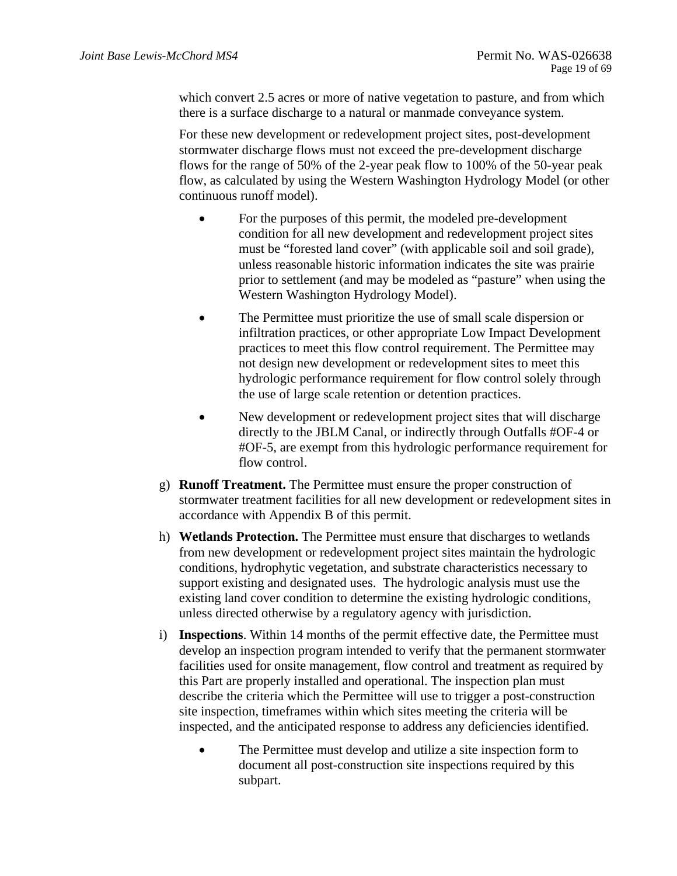which convert 2.5 acres or more of native vegetation to pasture, and from which there is a surface discharge to a natural or manmade conveyance system.

For these new development or redevelopment project sites, post-development stormwater discharge flows must not exceed the pre-development discharge flows for the range of 50% of the 2-year peak flow to 100% of the 50-year peak flow, as calculated by using the Western Washington Hydrology Model (or other continuous runoff model).

- For the purposes of this permit, the modeled pre-development condition for all new development and redevelopment project sites must be "forested land cover" (with applicable soil and soil grade), unless reasonable historic information indicates the site was prairie prior to settlement (and may be modeled as "pasture" when using the Western Washington Hydrology Model).
- The Permittee must prioritize the use of small scale dispersion or infiltration practices, or other appropriate Low Impact Development practices to meet this flow control requirement. The Permittee may not design new development or redevelopment sites to meet this hydrologic performance requirement for flow control solely through the use of large scale retention or detention practices.
- New development or redevelopment project sites that will discharge directly to the JBLM Canal, or indirectly through Outfalls #OF-4 or #OF-5, are exempt from this hydrologic performance requirement for flow control.
- g) **Runoff Treatment.** The Permittee must ensure the proper construction of stormwater treatment facilities for all new development or redevelopment sites in accordance with Appendix B of this permit.
- h) **Wetlands Protection.** The Permittee must ensure that discharges to wetlands from new development or redevelopment project sites maintain the hydrologic conditions, hydrophytic vegetation, and substrate characteristics necessary to support existing and designated uses. The hydrologic analysis must use the existing land cover condition to determine the existing hydrologic conditions, unless directed otherwise by a regulatory agency with jurisdiction.
- i) **Inspections**. Within 14 months of the permit effective date, the Permittee must develop an inspection program intended to verify that the permanent stormwater facilities used for onsite management, flow control and treatment as required by this Part are properly installed and operational. The inspection plan must describe the criteria which the Permittee will use to trigger a post-construction site inspection, timeframes within which sites meeting the criteria will be inspected, and the anticipated response to address any deficiencies identified.
	- The Permittee must develop and utilize a site inspection form to document all post-construction site inspections required by this subpart.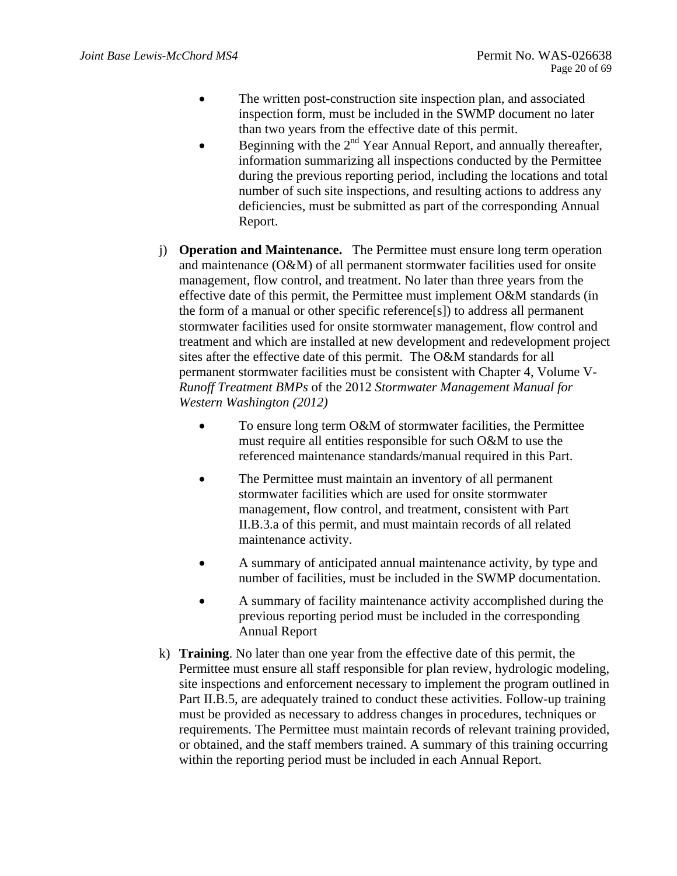- The written post-construction site inspection plan, and associated inspection form, must be included in the SWMP document no later than two years from the effective date of this permit.
- Beginning with the  $2<sup>nd</sup>$  Year Annual Report, and annually thereafter, information summarizing all inspections conducted by the Permittee during the previous reporting period, including the locations and total number of such site inspections, and resulting actions to address any deficiencies, must be submitted as part of the corresponding Annual Report.
- *Western Washington (2012)* j) **Operation and Maintenance.** The Permittee must ensure long term operation and maintenance (O&M) of all permanent stormwater facilities used for onsite management, flow control, and treatment. No later than three years from the effective date of this permit, the Permittee must implement O&M standards (in the form of a manual or other specific reference[s]) to address all permanent stormwater facilities used for onsite stormwater management, flow control and treatment and which are installed at new development and redevelopment project sites after the effective date of this permit. The O&M standards for all permanent stormwater facilities must be consistent with Chapter 4, Volume V*-Runoff Treatment BMPs* of the 2012 *Stormwater Management Manual for* 
	- To ensure long term O&M of stormwater facilities, the Permittee must require all entities responsible for such O&M to use the referenced maintenance standards/manual required in this Part.
	- The Permittee must maintain an inventory of all permanent stormwater facilities which are used for onsite stormwater management, flow control, and treatment, consistent with Part II.B.3.a of this permit, and must maintain records of all related maintenance activity.
	- A summary of anticipated annual maintenance activity, by type and number of facilities, must be included in the SWMP documentation.
	- A summary of facility maintenance activity accomplished during the previous reporting period must be included in the corresponding Annual Report
- k) **Training**. No later than one year from the effective date of this permit, the Permittee must ensure all staff responsible for plan review, hydrologic modeling, site inspections and enforcement necessary to implement the program outlined in Part II.B.5, are adequately trained to conduct these activities. Follow-up training must be provided as necessary to address changes in procedures, techniques or requirements. The Permittee must maintain records of relevant training provided, or obtained, and the staff members trained. A summary of this training occurring within the reporting period must be included in each Annual Report.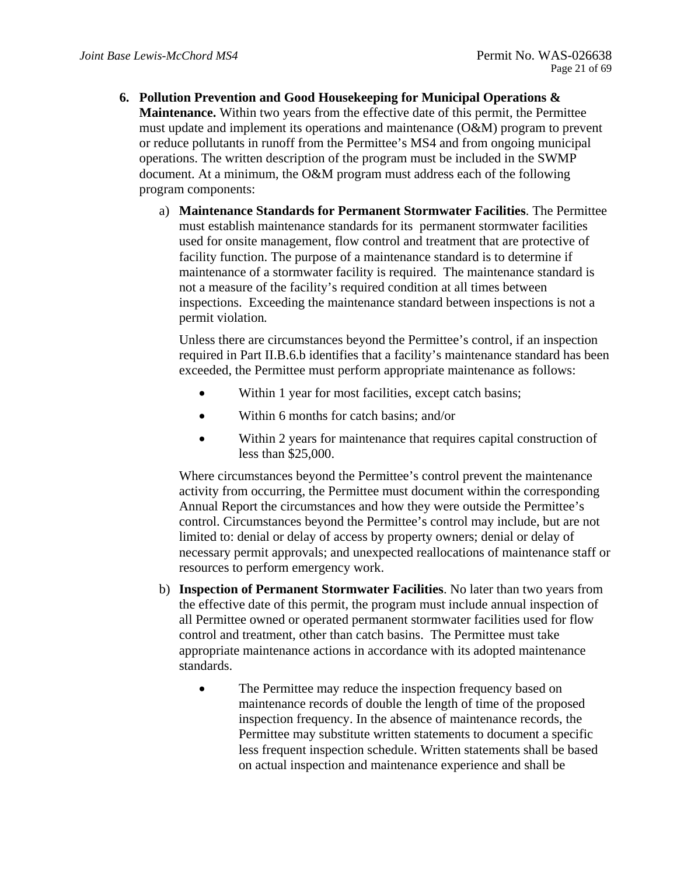- **6. Pollution Prevention and Good Housekeeping for Municipal Operations & Maintenance.** Within two years from the effective date of this permit, the Permittee must update and implement its operations and maintenance (O&M) program to prevent or reduce pollutants in runoff from the Permittee's MS4 and from ongoing municipal operations. The written description of the program must be included in the SWMP document. At a minimum, the O&M program must address each of the following program components:
	- a) **Maintenance Standards for Permanent Stormwater Facilities**. The Permittee must establish maintenance standards for its permanent stormwater facilities used for onsite management, flow control and treatment that are protective of facility function. The purpose of a maintenance standard is to determine if maintenance of a stormwater facility is required. The maintenance standard is not a measure of the facility's required condition at all times between inspections. Exceeding the maintenance standard between inspections is not a permit violation*.*

Unless there are circumstances beyond the Permittee's control, if an inspection required in Part II.B.6.b identifies that a facility's maintenance standard has been exceeded, the Permittee must perform appropriate maintenance as follows:

- Within 1 year for most facilities, except catch basins;
- Within 6 months for catch basins; and/or
- Within 2 years for maintenance that requires capital construction of less than \$25,000.

Where circumstances beyond the Permittee's control prevent the maintenance activity from occurring, the Permittee must document within the corresponding Annual Report the circumstances and how they were outside the Permittee's control. Circumstances beyond the Permittee's control may include, but are not limited to: denial or delay of access by property owners; denial or delay of necessary permit approvals; and unexpected reallocations of maintenance staff or resources to perform emergency work.

- b) **Inspection of Permanent Stormwater Facilities**. No later than two years from the effective date of this permit, the program must include annual inspection of all Permittee owned or operated permanent stormwater facilities used for flow control and treatment, other than catch basins. The Permittee must take appropriate maintenance actions in accordance with its adopted maintenance standards.
	- The Permittee may reduce the inspection frequency based on maintenance records of double the length of time of the proposed inspection frequency. In the absence of maintenance records, the Permittee may substitute written statements to document a specific less frequent inspection schedule. Written statements shall be based on actual inspection and maintenance experience and shall be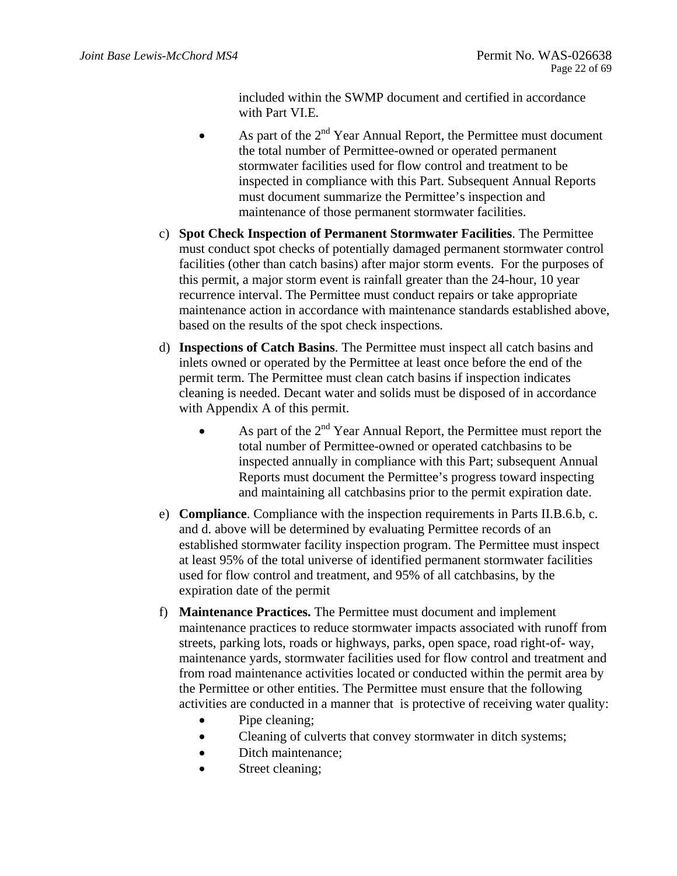included within the SWMP document and certified in accordance with Part VI.E*.* 

- As part of the  $2<sup>nd</sup>$  Year Annual Report, the Permittee must document the total number of Permittee-owned or operated permanent stormwater facilities used for flow control and treatment to be inspected in compliance with this Part. Subsequent Annual Reports must document summarize the Permittee's inspection and maintenance of those permanent stormwater facilities.
- c) **Spot Check Inspection of Permanent Stormwater Facilities**. The Permittee must conduct spot checks of potentially damaged permanent stormwater control facilities (other than catch basins) after major storm events. For the purposes of this permit, a major storm event is rainfall greater than the 24-hour, 10 year recurrence interval. The Permittee must conduct repairs or take appropriate maintenance action in accordance with maintenance standards established above, based on the results of the spot check inspections*.*
- d) **Inspections of Catch Basins**. The Permittee must inspect all catch basins and inlets owned or operated by the Permittee at least once before the end of the permit term. The Permittee must clean catch basins if inspection indicates cleaning is needed. Decant water and solids must be disposed of in accordance with Appendix A of this permit.
	- As part of the  $2<sup>nd</sup>$  Year Annual Report, the Permittee must report the total number of Permittee-owned or operated catchbasins to be inspected annually in compliance with this Part; subsequent Annual Reports must document the Permittee's progress toward inspecting and maintaining all catchbasins prior to the permit expiration date.
- e) **Compliance**. Compliance with the inspection requirements in Parts II.B.6.b, c. and d. above will be determined by evaluating Permittee records of an established stormwater facility inspection program. The Permittee must inspect at least 95% of the total universe of identified permanent stormwater facilities used for flow control and treatment, and 95% of all catchbasins, by the expiration date of the permit
- f) **Maintenance Practices.** The Permittee must document and implement maintenance practices to reduce stormwater impacts associated with runoff from streets, parking lots, roads or highways, parks, open space, road right-of- way, maintenance yards, stormwater facilities used for flow control and treatment and from road maintenance activities located or conducted within the permit area by the Permittee or other entities. The Permittee must ensure that the following activities are conducted in a manner that is protective of receiving water quality:
	- Pipe cleaning;
	- Cleaning of culverts that convey stormwater in ditch systems;
	- Ditch maintenance;
	- Street cleaning;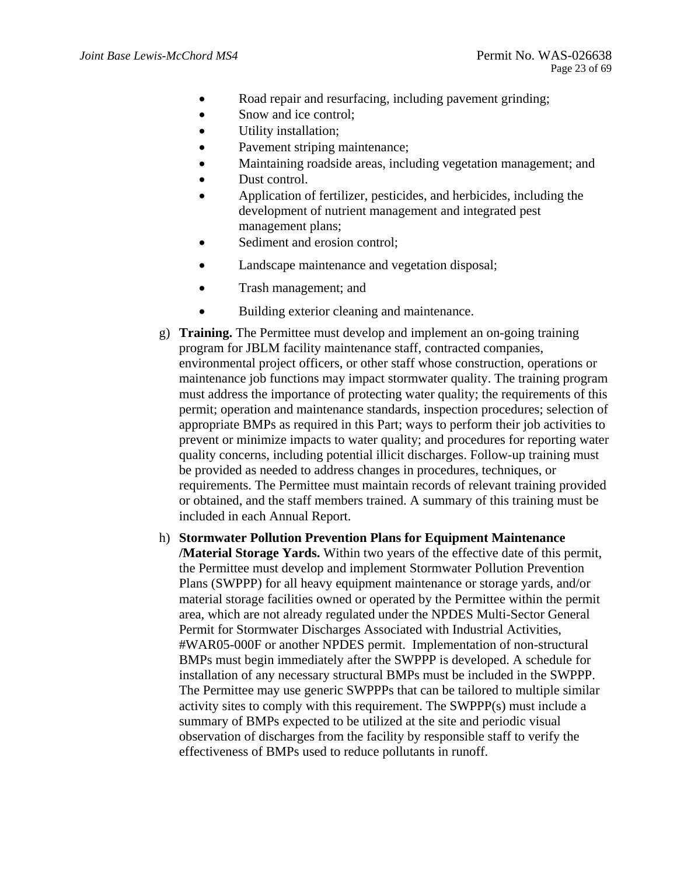- Road repair and resurfacing, including pavement grinding;
- Snow and ice control;
- Utility installation;
- Pavement striping maintenance;
- Maintaining roadside areas, including vegetation management; and
- Dust control.
- Application of fertilizer, pesticides, and herbicides, including the development of nutrient management and integrated pest management plans;
- Sediment and erosion control;
- Landscape maintenance and vegetation disposal;
- Trash management; and
- Building exterior cleaning and maintenance.
- permit; operation and maintenance standards, inspection procedures; selection of g) **Training.** The Permittee must develop and implement an on-going training program for JBLM facility maintenance staff, contracted companies, environmental project officers, or other staff whose construction, operations or maintenance job functions may impact stormwater quality. The training program must address the importance of protecting water quality; the requirements of this appropriate BMPs as required in this Part; ways to perform their job activities to prevent or minimize impacts to water quality; and procedures for reporting water quality concerns, including potential illicit discharges. Follow-up training must be provided as needed to address changes in procedures, techniques, or requirements. The Permittee must maintain records of relevant training provided or obtained, and the staff members trained. A summary of this training must be included in each Annual Report.
- h) **Stormwater Pollution Prevention Plans for Equipment Maintenance /Material Storage Yards.** Within two years of the effective date of this permit, the Permittee must develop and implement Stormwater Pollution Prevention Plans (SWPPP) for all heavy equipment maintenance or storage yards, and/or material storage facilities owned or operated by the Permittee within the permit area, which are not already regulated under the NPDES Multi-Sector General Permit for Stormwater Discharges Associated with Industrial Activities, #WAR05-000F or another NPDES permit. Implementation of non-structural BMPs must begin immediately after the SWPPP is developed. A schedule for installation of any necessary structural BMPs must be included in the SWPPP. The Permittee may use generic SWPPPs that can be tailored to multiple similar activity sites to comply with this requirement. The SWPPP(s) must include a summary of BMPs expected to be utilized at the site and periodic visual observation of discharges from the facility by responsible staff to verify the effectiveness of BMPs used to reduce pollutants in runoff.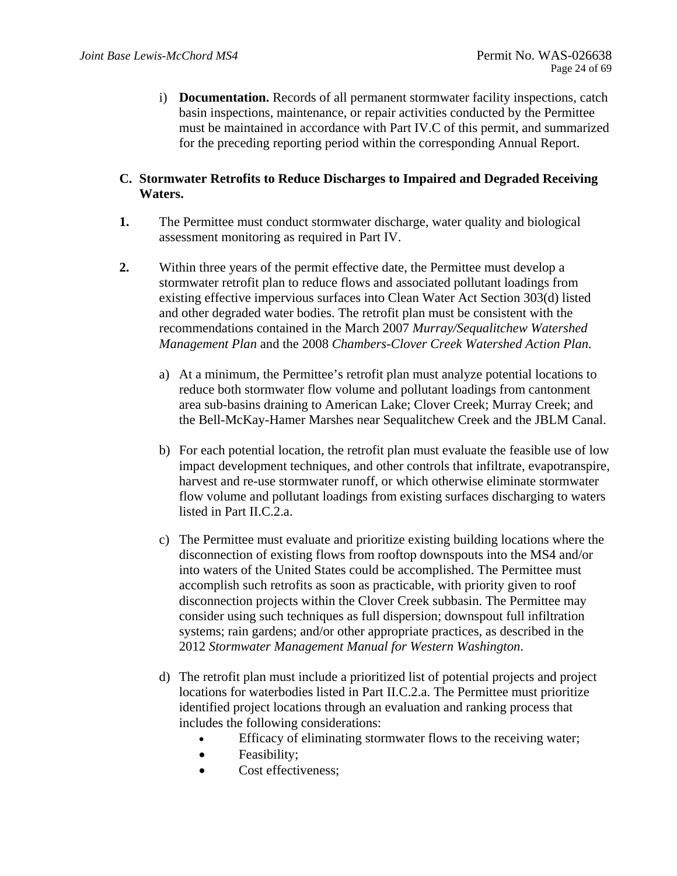i) **Documentation.** Records of all permanent stormwater facility inspections, catch basin inspections, maintenance, or repair activities conducted by the Permittee must be maintained in accordance with Part IV.C of this permit, and summarized for the preceding reporting period within the corresponding Annual Report.

## **C. Stormwater Retrofits to Reduce Discharges to Impaired and Degraded Receiving Waters.**

- **1.** The Permittee must conduct stormwater discharge, water quality and biological assessment monitoring as required in Part IV.
- *Management Plan* and the 2008 *Chambers-Clover Creek Watershed Action Plan.* **2.** Within three years of the permit effective date, the Permittee must develop a stormwater retrofit plan to reduce flows and associated pollutant loadings from existing effective impervious surfaces into Clean Water Act Section 303(d) listed and other degraded water bodies. The retrofit plan must be consistent with the recommendations contained in the March 2007 *Murray/Sequalitchew Watershed* 
	- a) At a minimum, the Permittee's retrofit plan must analyze potential locations to reduce both stormwater flow volume and pollutant loadings from cantonment area sub-basins draining to American Lake; Clover Creek; Murray Creek; and the Bell-McKay-Hamer Marshes near Sequalitchew Creek and the JBLM Canal.
	- b) For each potential location, the retrofit plan must evaluate the feasible use of low impact development techniques, and other controls that infiltrate, evapotranspire, harvest and re-use stormwater runoff, or which otherwise eliminate stormwater flow volume and pollutant loadings from existing surfaces discharging to waters listed in Part II.C.2.a.
	- c) The Permittee must evaluate and prioritize existing building locations where the disconnection of existing flows from rooftop downspouts into the MS4 and/or into waters of the United States could be accomplished. The Permittee must accomplish such retrofits as soon as practicable, with priority given to roof disconnection projects within the Clover Creek subbasin. The Permittee may consider using such techniques as full dispersion; downspout full infiltration systems; rain gardens; and/or other appropriate practices, as described in the 2012 *Stormwater Management Manual for Western Washington*.
	- d) The retrofit plan must include a prioritized list of potential projects and project locations for waterbodies listed in Part II.C.2.a. The Permittee must prioritize identified project locations through an evaluation and ranking process that includes the following considerations:
		- Efficacy of eliminating stormwater flows to the receiving water;
		- Feasibility;
		- Cost effectiveness;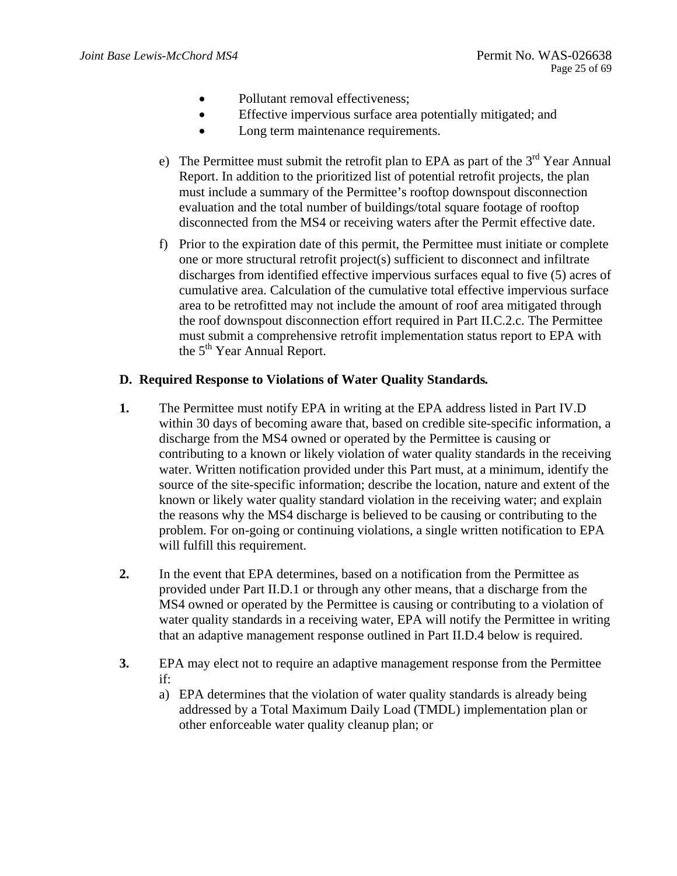- Pollutant removal effectiveness;
- Effective impervious surface area potentially mitigated; and
- Long term maintenance requirements.
- e) The Permittee must submit the retrofit plan to EPA as part of the  $3<sup>rd</sup>$  Year Annual Report. In addition to the prioritized list of potential retrofit projects, the plan must include a summary of the Permittee's rooftop downspout disconnection evaluation and the total number of buildings/total square footage of rooftop disconnected from the MS4 or receiving waters after the Permit effective date.
- f) Prior to the expiration date of this permit, the Permittee must initiate or complete one or more structural retrofit project(s) sufficient to disconnect and infiltrate discharges from identified effective impervious surfaces equal to five (5) acres of cumulative area. Calculation of the cumulative total effective impervious surface area to be retrofitted may not include the amount of roof area mitigated through the roof downspout disconnection effort required in Part II.C.2.c. The Permittee must submit a comprehensive retrofit implementation status report to EPA with the 5<sup>th</sup> Year Annual Report.

### **D. Required Response to Violations of Water Quality Standards***.*

- **1.** The Permittee must notify EPA in writing at the EPA address listed in Part IV.D within 30 days of becoming aware that, based on credible site-specific information, a discharge from the MS4 owned or operated by the Permittee is causing or contributing to a known or likely violation of water quality standards in the receiving water. Written notification provided under this Part must, at a minimum, identify the source of the site-specific information; describe the location, nature and extent of the known or likely water quality standard violation in the receiving water; and explain the reasons why the MS4 discharge is believed to be causing or contributing to the problem. For on-going or continuing violations, a single written notification to EPA will fulfill this requirement.
- **2.** In the event that EPA determines, based on a notification from the Permittee as provided under Part II.D.1 or through any other means, that a discharge from the MS4 owned or operated by the Permittee is causing or contributing to a violation of water quality standards in a receiving water, EPA will notify the Permittee in writing that an adaptive management response outlined in Part II.D.4 below is required.
- **3.** EPA may elect not to require an adaptive management response from the Permittee if:
	- a) EPA determines that the violation of water quality standards is already being addressed by a Total Maximum Daily Load (TMDL) implementation plan or other enforceable water quality cleanup plan; or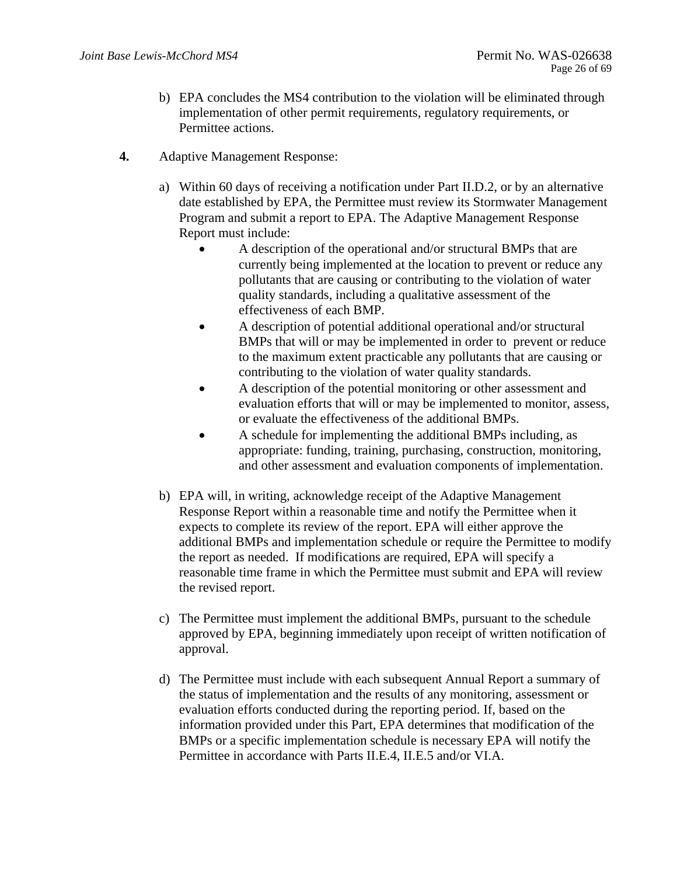- b) EPA concludes the MS4 contribution to the violation will be eliminated through implementation of other permit requirements, regulatory requirements, or Permittee actions.
- **4.** Adaptive Management Response:
	- a) Within 60 days of receiving a notification under Part II.D.2, or by an alternative date established by EPA, the Permittee must review its Stormwater Management Program and submit a report to EPA. The Adaptive Management Response Report must include:
		- A description of the operational and/or structural BMPs that are currently being implemented at the location to prevent or reduce any pollutants that are causing or contributing to the violation of water quality standards, including a qualitative assessment of the effectiveness of each BMP.
		- A description of potential additional operational and/or structural BMPs that will or may be implemented in order to prevent or reduce to the maximum extent practicable any pollutants that are causing or contributing to the violation of water quality standards.
		- A description of the potential monitoring or other assessment and evaluation efforts that will or may be implemented to monitor, assess, or evaluate the effectiveness of the additional BMPs.
		- A schedule for implementing the additional BMPs including, as appropriate: funding, training, purchasing, construction, monitoring, and other assessment and evaluation components of implementation.
	- b) EPA will, in writing, acknowledge receipt of the Adaptive Management Response Report within a reasonable time and notify the Permittee when it expects to complete its review of the report. EPA will either approve the additional BMPs and implementation schedule or require the Permittee to modify the report as needed. If modifications are required, EPA will specify a reasonable time frame in which the Permittee must submit and EPA will review the revised report.
	- c) The Permittee must implement the additional BMPs, pursuant to the schedule approved by EPA, beginning immediately upon receipt of written notification of approval.
	- d) The Permittee must include with each subsequent Annual Report a summary of the status of implementation and the results of any monitoring, assessment or evaluation efforts conducted during the reporting period. If, based on the information provided under this Part, EPA determines that modification of the BMPs or a specific implementation schedule is necessary EPA will notify the Permittee in accordance with Parts II.E.4, II.E.5 and/or VI.A.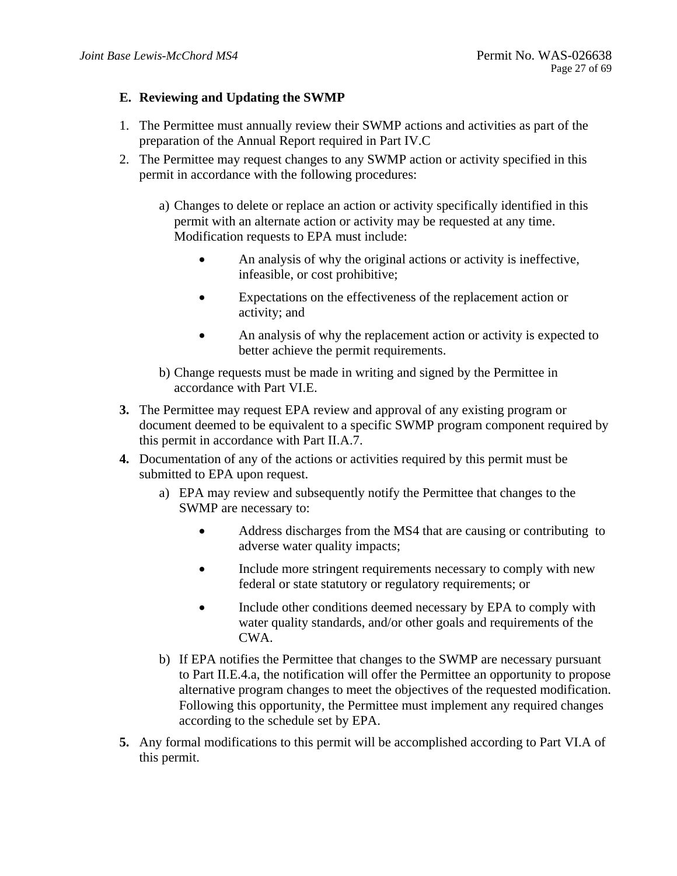## **E. Reviewing and Updating the SWMP**

- 1. The Permittee must annually review their SWMP actions and activities as part of the preparation of the Annual Report required in Part IV.C
- 2. The Permittee may request changes to any SWMP action or activity specified in this permit in accordance with the following procedures:
	- a) Changes to delete or replace an action or activity specifically identified in this permit with an alternate action or activity may be requested at any time. Modification requests to EPA must include:
		- An analysis of why the original actions or activity is ineffective, infeasible, or cost prohibitive;
		- Expectations on the effectiveness of the replacement action or activity; and
		- An analysis of why the replacement action or activity is expected to better achieve the permit requirements.
	- b) Change requests must be made in writing and signed by the Permittee in accordance with Part VI.E.
- **3.** The Permittee may request EPA review and approval of any existing program or document deemed to be equivalent to a specific SWMP program component required by this permit in accordance with Part II.A.7.
- **4.** Documentation of any of the actions or activities required by this permit must be submitted to EPA upon request.
	- a) EPA may review and subsequently notify the Permittee that changes to the SWMP are necessary to:
		- Address discharges from the MS4 that are causing or contributing to adverse water quality impacts;
		- Include more stringent requirements necessary to comply with new federal or state statutory or regulatory requirements; or
		- Include other conditions deemed necessary by EPA to comply with water quality standards, and/or other goals and requirements of the CWA.
	- b) If EPA notifies the Permittee that changes to the SWMP are necessary pursuant to Part II.E.4.a, the notification will offer the Permittee an opportunity to propose alternative program changes to meet the objectives of the requested modification. Following this opportunity, the Permittee must implement any required changes according to the schedule set by EPA.
- **5.** Any formal modifications to this permit will be accomplished according to Part VI.A of this permit.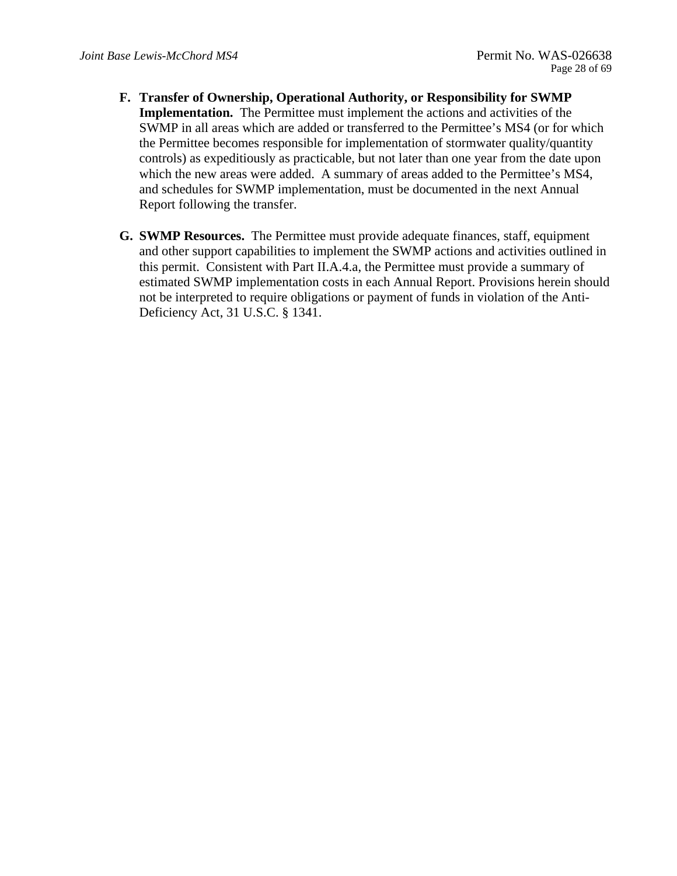- **F. Transfer of Ownership, Operational Authority, or Responsibility for SWMP Implementation.** The Permittee must implement the actions and activities of the SWMP in all areas which are added or transferred to the Permittee's MS4 (or for which the Permittee becomes responsible for implementation of stormwater quality/quantity controls) as expeditiously as practicable, but not later than one year from the date upon which the new areas were added. A summary of areas added to the Permittee's MS4, and schedules for SWMP implementation, must be documented in the next Annual Report following the transfer.
- **G. SWMP Resources.** The Permittee must provide adequate finances, staff, equipment and other support capabilities to implement the SWMP actions and activities outlined in this permit. Consistent with Part II.A.4.a, the Permittee must provide a summary of estimated SWMP implementation costs in each Annual Report. Provisions herein should not be interpreted to require obligations or payment of funds in violation of the Anti-Deficiency Act, 31 U.S.C. § 1341.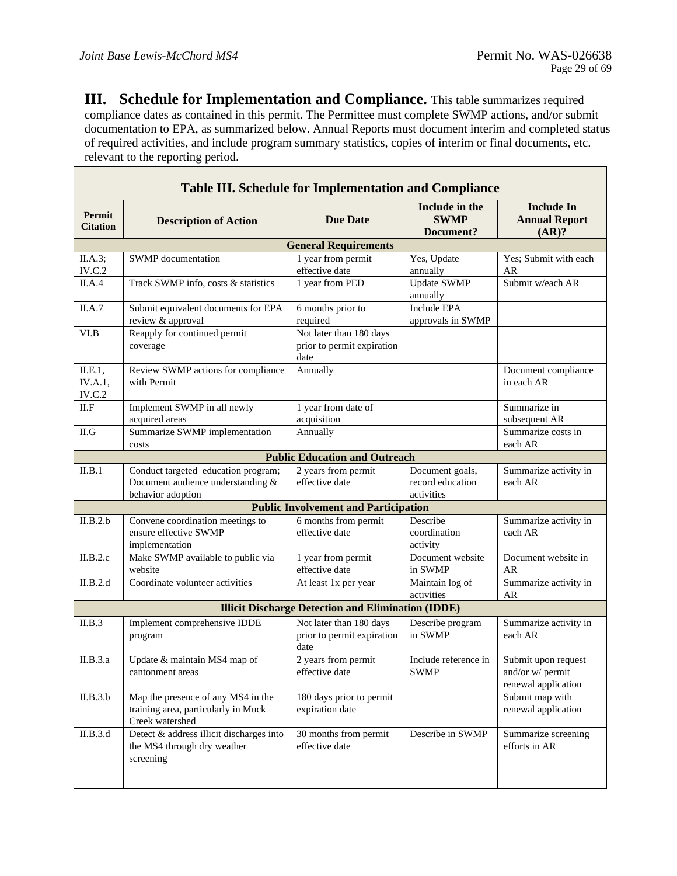$\overline{\phantom{a}}$ 

**III.** Schedule for Implementation and Compliance. This table summarizes required compliance dates as contained in this permit. The Permittee must complete SWMP actions, and/or submit documentation to EPA, as summarized below. Annual Reports must document interim and completed status of required activities, and include program summary statistics, copies of interim or final documents, etc. relevant to the reporting period.

| <b>Table III. Schedule for Implementation and Compliance</b> |                                                                                               |                                                               |                                                   |                                                                |
|--------------------------------------------------------------|-----------------------------------------------------------------------------------------------|---------------------------------------------------------------|---------------------------------------------------|----------------------------------------------------------------|
| Permit<br><b>Citation</b>                                    | <b>Description of Action</b>                                                                  | <b>Due Date</b>                                               | Include in the<br><b>SWMP</b><br>Document?        | <b>Include In</b><br><b>Annual Report</b><br>(AR)?             |
|                                                              |                                                                                               | <b>General Requirements</b>                                   |                                                   |                                                                |
| II.A.3;<br>IV.C.2                                            | <b>SWMP</b> documentation                                                                     | 1 year from permit<br>effective date                          | Yes, Update<br>annually                           | Yes; Submit with each<br>AR                                    |
| II.A.4                                                       | Track SWMP info, costs & statistics                                                           | 1 year from PED                                               | <b>Update SWMP</b><br>annually                    | Submit w/each AR                                               |
| II.A.7                                                       | Submit equivalent documents for EPA<br>review & approval                                      | 6 months prior to<br>required                                 | <b>Include EPA</b><br>approvals in SWMP           |                                                                |
| VI.B                                                         | Reapply for continued permit<br>coverage                                                      | Not later than 180 days<br>prior to permit expiration<br>date |                                                   |                                                                |
| II.E.1,<br>IV.A.1,<br>IV.C.2                                 | Review SWMP actions for compliance<br>with Permit                                             | Annually                                                      |                                                   | Document compliance<br>in each AR                              |
| II.F                                                         | Implement SWMP in all newly<br>acquired areas                                                 | 1 year from date of<br>acquisition                            |                                                   | Summarize in<br>subsequent AR                                  |
| II.G                                                         | Summarize SWMP implementation<br>costs                                                        | Annually                                                      |                                                   | Summarize costs in<br>each AR                                  |
|                                                              |                                                                                               | <b>Public Education and Outreach</b>                          |                                                   |                                                                |
| II.B.1                                                       | Conduct targeted education program;<br>Document audience understanding &<br>behavior adoption | 2 years from permit<br>effective date                         | Document goals,<br>record education<br>activities | Summarize activity in<br>each AR                               |
|                                                              |                                                                                               | <b>Public Involvement and Participation</b>                   |                                                   |                                                                |
| II.B.2.b                                                     | Convene coordination meetings to<br>ensure effective SWMP<br>implementation                   | 6 months from permit<br>effective date                        | Describe<br>coordination<br>activity              | Summarize activity in<br>each AR                               |
| II.B.2.c                                                     | Make SWMP available to public via<br>website                                                  | 1 year from permit<br>effective date                          | Document website<br>in SWMP                       | Document website in<br>AR                                      |
| II.B.2.d                                                     | Coordinate volunteer activities                                                               | At least 1x per year                                          | Maintain log of<br>activities                     | Summarize activity in<br>AR                                    |
|                                                              |                                                                                               | <b>Illicit Discharge Detection and Elimination (IDDE)</b>     |                                                   |                                                                |
| II.B.3                                                       | Implement comprehensive IDDE<br>program                                                       | Not later than 180 days<br>prior to permit expiration<br>date | Describe program<br>in SWMP                       | Summarize activity in<br>each AR                               |
| II.B.3.a                                                     | Update & maintain MS4 map of<br>cantonment areas                                              | 2 years from permit<br>effective date                         | Include reference in<br><b>SWMP</b>               | Submit upon request<br>and/or w/ permit<br>renewal application |
| II.B.3.b                                                     | Map the presence of any MS4 in the<br>training area, particularly in Muck<br>Creek watershed  | 180 days prior to permit<br>expiration date                   |                                                   | Submit map with<br>renewal application                         |
| II.B.3.d                                                     | Detect & address illicit discharges into<br>the MS4 through dry weather<br>screening          | 30 months from permit<br>effective date                       | Describe in SWMP                                  | Summarize screening<br>efforts in AR                           |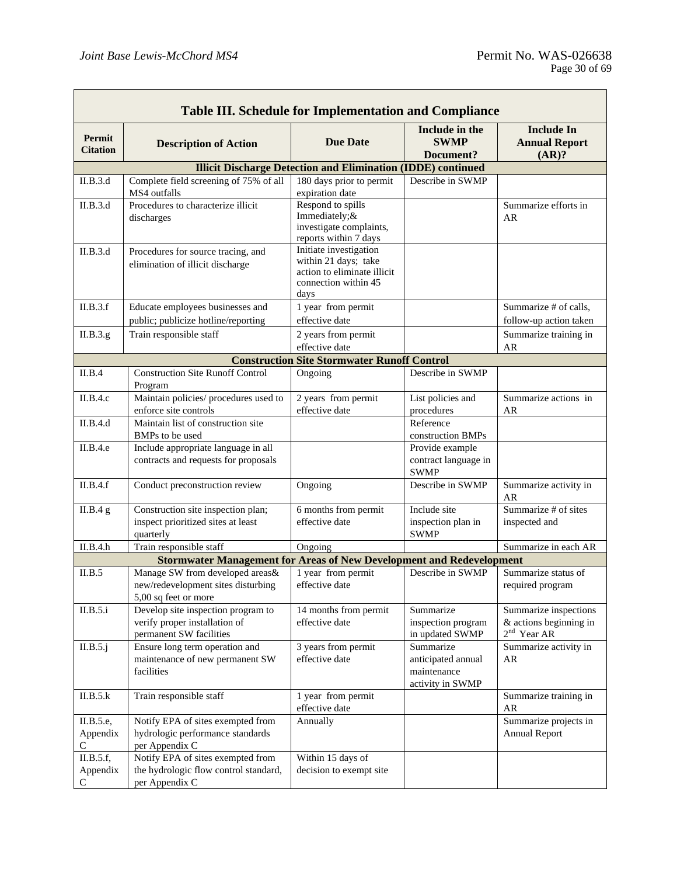$\mathbf{r}$ 

| <b>Table III. Schedule for Implementation and Compliance</b> |                                                                                                |                                                                                                               |                                                                    |                                                                  |
|--------------------------------------------------------------|------------------------------------------------------------------------------------------------|---------------------------------------------------------------------------------------------------------------|--------------------------------------------------------------------|------------------------------------------------------------------|
| Permit<br><b>Citation</b>                                    | <b>Description of Action</b>                                                                   | <b>Due Date</b>                                                                                               | Include in the<br><b>SWMP</b><br>Document?                         | <b>Include In</b><br><b>Annual Report</b><br>(AR)?               |
|                                                              |                                                                                                | <b>Illicit Discharge Detection and Elimination (IDDE) continued</b>                                           |                                                                    |                                                                  |
| II.B.3.d                                                     | Complete field screening of 75% of all<br>MS4 outfalls                                         | 180 days prior to permit<br>expiration date                                                                   | Describe in SWMP                                                   |                                                                  |
| II.B.3.d                                                     | Procedures to characterize illicit<br>discharges                                               | Respond to spills<br>Immediately;&<br>investigate complaints,<br>reports within 7 days                        |                                                                    | Summarize efforts in<br>AR                                       |
| II.B.3.d                                                     | Procedures for source tracing, and<br>elimination of illicit discharge                         | Initiate investigation<br>within 21 days; take<br>action to eliminate illicit<br>connection within 45<br>days |                                                                    |                                                                  |
| II.B.3.f                                                     | Educate employees businesses and<br>public; publicize hotline/reporting                        | 1 year from permit<br>effective date                                                                          |                                                                    | Summarize # of calls,<br>follow-up action taken                  |
| II.B.3.g.                                                    | Train responsible staff                                                                        | 2 years from permit                                                                                           |                                                                    | Summarize training in                                            |
|                                                              |                                                                                                | effective date                                                                                                |                                                                    | AR                                                               |
|                                                              |                                                                                                | <b>Construction Site Stormwater Runoff Control</b>                                                            |                                                                    |                                                                  |
| II.B.4                                                       | <b>Construction Site Runoff Control</b><br>Program                                             | Ongoing                                                                                                       | Describe in SWMP                                                   |                                                                  |
| II.B.4.c                                                     | Maintain policies/ procedures used to<br>enforce site controls                                 | 2 years from permit<br>effective date                                                                         | List policies and<br>procedures                                    | Summarize actions in<br>AR                                       |
| II.B.4.d                                                     | Maintain list of construction site<br>BMPs to be used                                          |                                                                                                               | Reference<br>construction BMPs                                     |                                                                  |
| II.B.4.e                                                     | Include appropriate language in all<br>contracts and requests for proposals                    |                                                                                                               | Provide example<br>contract language in<br><b>SWMP</b>             |                                                                  |
| II.B.4.f                                                     | Conduct preconstruction review                                                                 | Ongoing                                                                                                       | Describe in SWMP                                                   | Summarize activity in<br>AR                                      |
| II.B.4 g                                                     | Construction site inspection plan;<br>inspect prioritized sites at least<br>quarterly          | 6 months from permit<br>effective date                                                                        | Include site<br>inspection plan in<br><b>SWMP</b>                  | Summarize # of sites<br>inspected and                            |
| II.B.4.h                                                     | Train responsible staff                                                                        | Ongoing                                                                                                       |                                                                    | Summarize in each AR                                             |
|                                                              | <b>Stormwater Management for Areas of New Development and Redevelopment</b>                    |                                                                                                               |                                                                    |                                                                  |
| II.B.5                                                       | Manage SW from developed areas&<br>new/redevelopment sites disturbing<br>5,00 sq feet or more  | 1 year from permit<br>effective date                                                                          | Describe in SWMP                                                   | Summarize status of<br>required program                          |
| II.B.5.i                                                     | Develop site inspection program to<br>verify proper installation of<br>permanent SW facilities | 14 months from permit<br>effective date                                                                       | Summarize<br>inspection program<br>in updated SWMP                 | Summarize inspections<br>& actions beginning in<br>$2nd$ Year AR |
| II.B.5.j                                                     | Ensure long term operation and<br>maintenance of new permanent SW<br>facilities                | 3 years from permit<br>effective date                                                                         | Summarize<br>anticipated annual<br>maintenance<br>activity in SWMP | Summarize activity in<br>AR                                      |
| II.B.5.k                                                     | Train responsible staff                                                                        | 1 year from permit<br>effective date                                                                          |                                                                    | Summarize training in<br>AR                                      |
| II.B.5.e,<br>Appendix<br>C                                   | Notify EPA of sites exempted from<br>hydrologic performance standards<br>per Appendix C        | Annually                                                                                                      |                                                                    | Summarize projects in<br><b>Annual Report</b>                    |
| II.B.5.f,<br>Appendix<br>$\mathsf{C}$                        | Notify EPA of sites exempted from<br>the hydrologic flow control standard,<br>per Appendix C   | Within 15 days of<br>decision to exempt site                                                                  |                                                                    |                                                                  |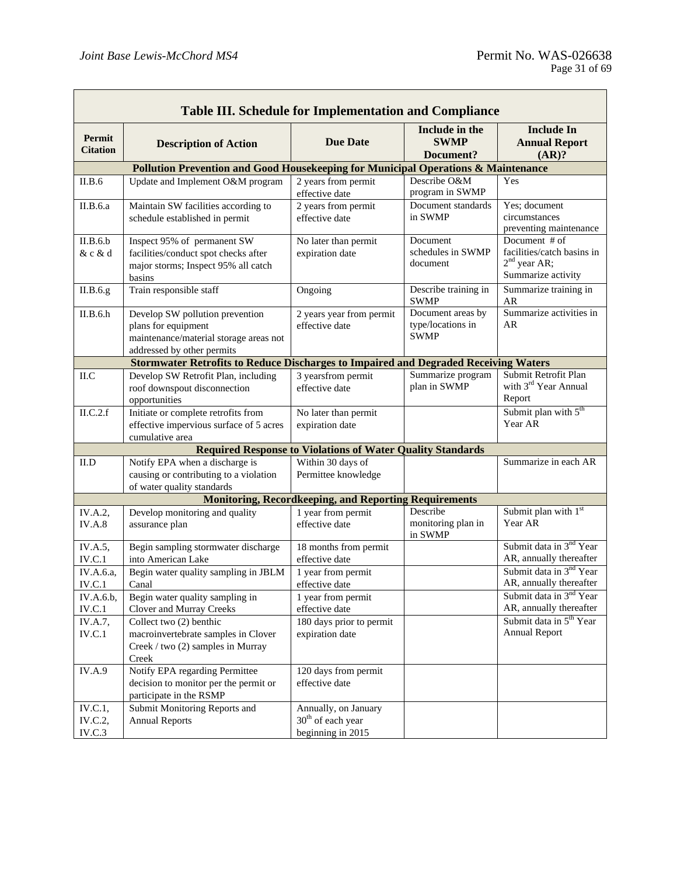| <b>Table III. Schedule for Implementation and Compliance</b> |                                                                                                                                |                                                                            |                                                       |                                                                                     |
|--------------------------------------------------------------|--------------------------------------------------------------------------------------------------------------------------------|----------------------------------------------------------------------------|-------------------------------------------------------|-------------------------------------------------------------------------------------|
| Permit<br><b>Citation</b>                                    | <b>Description of Action</b>                                                                                                   | <b>Due Date</b>                                                            | Include in the<br><b>SWMP</b><br>Document?            | <b>Include In</b><br><b>Annual Report</b><br>(AR)?                                  |
|                                                              | Pollution Prevention and Good Housekeeping for Municipal Operations & Maintenance                                              |                                                                            |                                                       |                                                                                     |
| II.B.6                                                       | Update and Implement O&M program                                                                                               | 2 years from permit<br>effective date                                      | Describe O&M<br>program in SWMP                       | Yes                                                                                 |
| II.B.6.a                                                     | Maintain SW facilities according to<br>schedule established in permit                                                          | 2 years from permit<br>effective date                                      | Document standards<br>in SWMP                         | Yes; document<br>circumstances<br>preventing maintenance                            |
| II.B.6.b<br>& c & d                                          | Inspect 95% of permanent SW<br>facilities/conduct spot checks after<br>major storms; Inspect 95% all catch<br>basins           | No later than permit<br>expiration date                                    | Document<br>schedules in SWMP<br>document             | Document # of<br>facilities/catch basins in<br>$2nd$ year AR;<br>Summarize activity |
| II.B.6.g                                                     | Train responsible staff                                                                                                        | Ongoing                                                                    | Describe training in<br><b>SWMP</b>                   | Summarize training in<br>AR                                                         |
| II.B.6.h                                                     | Develop SW pollution prevention<br>plans for equipment<br>maintenance/material storage areas not<br>addressed by other permits | 2 years year from permit<br>effective date                                 | Document areas by<br>type/locations in<br><b>SWMP</b> | Summarize activities in<br>AR                                                       |
|                                                              | <b>Stormwater Retrofits to Reduce Discharges to Impaired and Degraded Receiving Waters</b>                                     |                                                                            |                                                       |                                                                                     |
| II.C                                                         | Develop SW Retrofit Plan, including<br>roof downspout disconnection<br>opportunities                                           | 3 yearsfrom permit<br>effective date                                       | Summarize program<br>plan in SWMP                     | Submit Retrofit Plan<br>with 3 <sup>rd</sup> Year Annual<br>Report                  |
| ILC.2.f                                                      | Initiate or complete retrofits from<br>effective impervious surface of 5 acres<br>cumulative area                              | No later than permit<br>expiration date                                    |                                                       | Submit plan with 5 <sup>th</sup><br>Year AR                                         |
|                                                              |                                                                                                                                | <b>Required Response to Violations of Water Quality Standards</b>          |                                                       |                                                                                     |
| II.D                                                         | Notify EPA when a discharge is<br>causing or contributing to a violation<br>of water quality standards                         | Within 30 days of<br>Permittee knowledge                                   |                                                       | Summarize in each AR                                                                |
|                                                              |                                                                                                                                | <b>Monitoring, Recordkeeping, and Reporting Requirements</b>               |                                                       |                                                                                     |
| IV.A.2,<br><b>IV.A.8</b>                                     | Develop monitoring and quality<br>assurance plan                                                                               | 1 year from permit<br>effective date                                       | Describe<br>monitoring plan in<br>in SWMP             | Submit plan with 1st<br>Year AR                                                     |
| IV.A.5,<br>IV.C.1                                            | Begin sampling stormwater discharge<br>into American Lake                                                                      | 18 months from permit<br>effective date                                    |                                                       | Submit data in 3 <sup>nd</sup> Year<br>AR, annually thereafter                      |
| IV.A.6.a,<br>IV.C.1                                          | Begin water quality sampling in JBLM<br>Canal                                                                                  | 1 year from permit<br>effective date                                       |                                                       | Submit data in 3 <sup>nd</sup> Year<br>AR, annually thereafter                      |
| IV.A.6.b,<br>IV.C.1                                          | Begin water quality sampling in<br>Clover and Murray Creeks                                                                    | 1 year from permit<br>effective date                                       |                                                       | Submit data in 3 <sup>nd</sup> Year<br>AR, annually thereafter                      |
| IV.A.7,<br>IV.C.1                                            | Collect two (2) benthic<br>macroinvertebrate samples in Clover<br>Creek / two (2) samples in Murray<br>Creek                   | 180 days prior to permit<br>expiration date                                |                                                       | Submit data in 5 <sup>th</sup> Year<br><b>Annual Report</b>                         |
| IV.A.9                                                       | Notify EPA regarding Permittee<br>decision to monitor per the permit or<br>participate in the RSMP                             | 120 days from permit<br>effective date                                     |                                                       |                                                                                     |
| IV.C.1,<br>IV.C.2,<br>IV.C.3                                 | Submit Monitoring Reports and<br><b>Annual Reports</b>                                                                         | Annually, on January<br>30 <sup>th</sup> of each year<br>beginning in 2015 |                                                       |                                                                                     |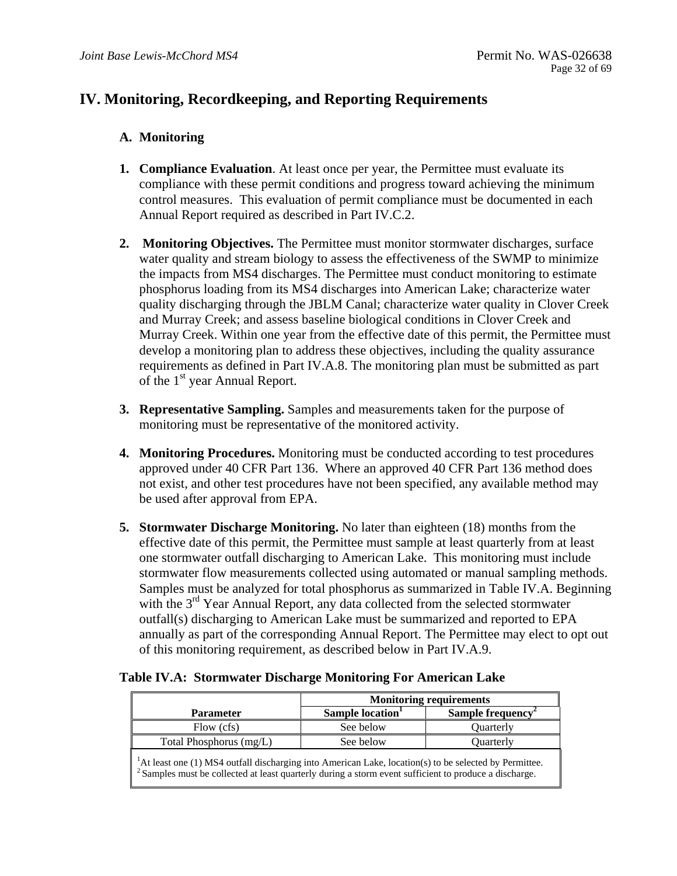## **IV. Monitoring, Recordkeeping, and Reporting Requirements**

## **A. Monitoring**

- **1. Compliance Evaluation.** At least once per year, the Permittee must evaluate its compliance with these permit conditions and progress toward achieving the minimum control measures. This evaluation of permit compliance must be documented in each Annual Report required as described in Part IV.C.2.
- **2. Monitoring Objectives.** The Permittee must monitor stormwater discharges, surface water quality and stream biology to assess the effectiveness of the SWMP to minimize the impacts from MS4 discharges. The Permittee must conduct monitoring to estimate phosphorus loading from its MS4 discharges into American Lake; characterize water quality discharging through the JBLM Canal; characterize water quality in Clover Creek and Murray Creek; and assess baseline biological conditions in Clover Creek and Murray Creek. Within one year from the effective date of this permit, the Permittee must develop a monitoring plan to address these objectives, including the quality assurance requirements as defined in Part IV.A.8. The monitoring plan must be submitted as part of the 1<sup>st</sup> year Annual Report.
- **3. Representative Sampling.** Samples and measurements taken for the purpose of monitoring must be representative of the monitored activity.
- **4. Monitoring Procedures.** Monitoring must be conducted according to test procedures approved under 40 CFR Part 136. Where an approved 40 CFR Part 136 method does not exist, and other test procedures have not been specified, any available method may be used after approval from EPA.
- **5. Stormwater Discharge Monitoring.** No later than eighteen (18) months from the effective date of this permit, the Permittee must sample at least quarterly from at least one stormwater outfall discharging to American Lake. This monitoring must include stormwater flow measurements collected using automated or manual sampling methods. Samples must be analyzed for total phosphorus as summarized in Table IV.A. Beginning with the  $3<sup>rd</sup>$  Year Annual Report, any data collected from the selected stormwater outfall(s) discharging to American Lake must be summarized and reported to EPA annually as part of the corresponding Annual Report. The Permittee may elect to opt out of this monitoring requirement, as described below in Part IV.A.9.

|                                                                                                                                                                                                                                     | <b>Monitoring requirements</b> |                         |  |
|-------------------------------------------------------------------------------------------------------------------------------------------------------------------------------------------------------------------------------------|--------------------------------|-------------------------|--|
| <b>Parameter</b>                                                                                                                                                                                                                    | Sample location <sup>1</sup>   | <b>Sample frequency</b> |  |
| Flow (cfs)                                                                                                                                                                                                                          | See below                      | Ouarterly               |  |
| Total Phosphorus (mg/L)                                                                                                                                                                                                             | See below                      | <b>Ouarterly</b>        |  |
| ${}^{1}$ At least one (1) MS4 outfall discharging into American Lake, location(s) to be selected by Permittee.<br><sup>2</sup> Samples must be collected at least quarterly during a storm event sufficient to produce a discharge. |                                |                         |  |

### **Table IV.A: Stormwater Discharge Monitoring For American Lake**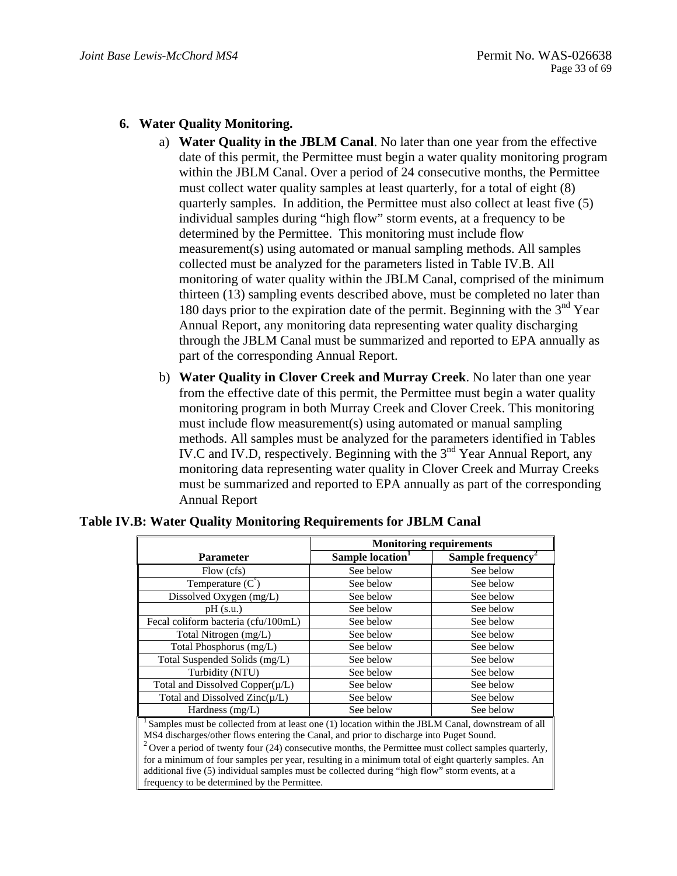## **6. Water Quality Monitoring.**

- a) **Water Quality in the JBLM Canal**. No later than one year from the effective date of this permit, the Permittee must begin a water quality monitoring program within the JBLM Canal. Over a period of 24 consecutive months, the Permittee must collect water quality samples at least quarterly, for a total of eight (8) quarterly samples. In addition, the Permittee must also collect at least five (5) individual samples during "high flow" storm events, at a frequency to be determined by the Permittee. This monitoring must include flow measurement(s) using automated or manual sampling methods. All samples collected must be analyzed for the parameters listed in Table IV.B. All monitoring of water quality within the JBLM Canal, comprised of the minimum thirteen (13) sampling events described above, must be completed no later than 180 days prior to the expiration date of the permit. Beginning with the  $3<sup>nd</sup>$  Year Annual Report, any monitoring data representing water quality discharging through the JBLM Canal must be summarized and reported to EPA annually as part of the corresponding Annual Report.
- b) **Water Quality in Clover Creek and Murray Creek**. No later than one year from the effective date of this permit, the Permittee must begin a water quality monitoring program in both Murray Creek and Clover Creek. This monitoring must include flow measurement(s) using automated or manual sampling methods. All samples must be analyzed for the parameters identified in Tables IV.C and IV.D, respectively. Beginning with the  $3<sup>nd</sup>$  Year Annual Report, any monitoring data representing water quality in Clover Creek and Murray Creeks must be summarized and reported to EPA annually as part of the corresponding Annual Report

|                                                                                                                                                                                              | <b>Monitoring requirements</b> |                               |  |
|----------------------------------------------------------------------------------------------------------------------------------------------------------------------------------------------|--------------------------------|-------------------------------|--|
| <b>Parameter</b>                                                                                                                                                                             | Sample location <sup>1</sup>   | Sample frequency <sup>2</sup> |  |
| Flow (cfs)                                                                                                                                                                                   | See below                      | See below                     |  |
| Temperature $(C)$                                                                                                                                                                            | See below                      | See below                     |  |
| Dissolved Oxygen (mg/L)                                                                                                                                                                      | See below                      | See below                     |  |
| $pH$ (s.u.)                                                                                                                                                                                  | See below                      | See below                     |  |
| Fecal coliform bacteria (cfu/100mL)                                                                                                                                                          | See below                      | See below                     |  |
| Total Nitrogen (mg/L)                                                                                                                                                                        | See below                      | See below                     |  |
| Total Phosphorus (mg/L)                                                                                                                                                                      | See below                      | See below                     |  |
| Total Suspended Solids (mg/L)                                                                                                                                                                | See below                      | See below                     |  |
| Turbidity (NTU)                                                                                                                                                                              | See below                      | See below                     |  |
| Total and Dissolved Copper $(\mu/L)$                                                                                                                                                         | See below                      | See below                     |  |
| Total and Dissolved $Zinc(\mu/L)$                                                                                                                                                            | See below                      | See below                     |  |
| Hardness (mg/L)                                                                                                                                                                              | See below                      | See below                     |  |
| Samples must be collected from at least one (1) location within the JBLM Canal, downstream of all<br>MS4 discharges/other flows entering the Canal, and prior to discharge into Puget Sound. |                                |                               |  |
| $2$ Over a period of twenty four (24) consecutive months, the Permittee must collect samples quarterly,                                                                                      |                                |                               |  |
| for a minimum of four samples per year, resulting in a minimum total of eight quarterly samples. An                                                                                          |                                |                               |  |
| additional five (5) individual samples must be collected during "high flow" storm events, at a                                                                                               |                                |                               |  |
| frequency to be determined by the Permittee.                                                                                                                                                 |                                |                               |  |

**Table IV.B: Water Quality Monitoring Requirements for JBLM Canal**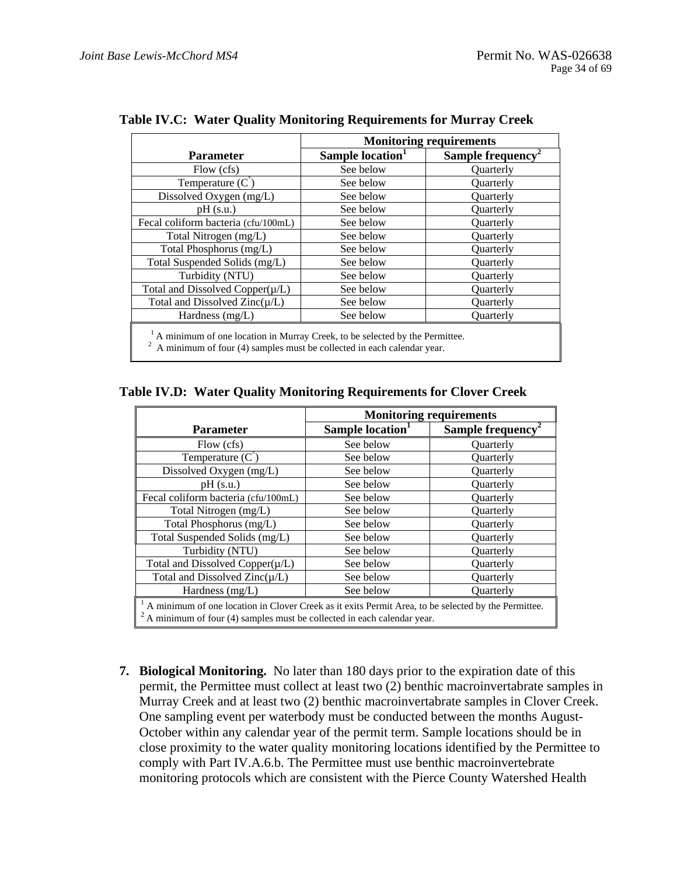|                                                                                                                                                       | <b>Monitoring requirements</b> |                               |  |
|-------------------------------------------------------------------------------------------------------------------------------------------------------|--------------------------------|-------------------------------|--|
| <b>Parameter</b>                                                                                                                                      | Sample location <sup>1</sup>   | Sample frequency <sup>2</sup> |  |
| Flow (cfs)                                                                                                                                            | See below                      | <b>Ouarterly</b>              |  |
| Temperature $(C)$                                                                                                                                     | See below                      | <b>Ouarterly</b>              |  |
| Dissolved Oxygen (mg/L)                                                                                                                               | See below                      | <b>Ouarterly</b>              |  |
| $pH$ (s.u.)                                                                                                                                           | See below                      | <b>Ouarterly</b>              |  |
| Fecal coliform bacteria (cfu/100mL)                                                                                                                   | See below                      | <b>Ouarterly</b>              |  |
| Total Nitrogen (mg/L)                                                                                                                                 | See below                      | Quarterly                     |  |
| Total Phosphorus (mg/L)                                                                                                                               | See below                      | Quarterly                     |  |
| Total Suspended Solids (mg/L)                                                                                                                         | See below                      | <b>Ouarterly</b>              |  |
| Turbidity (NTU)                                                                                                                                       | See below                      | <b>Ouarterly</b>              |  |
| Total and Dissolved Copper $(\mu/L)$                                                                                                                  | See below                      | <b>Ouarterly</b>              |  |
| Total and Dissolved $Zinc(\mu/L)$                                                                                                                     | See below                      | <b>Ouarterly</b>              |  |
| Hardness (mg/L)                                                                                                                                       | See below                      | <b>Ouarterly</b>              |  |
| A minimum of one location in Murray Creek, to be selected by the Permittee.<br>A minimum of four (4) samples must be collected in each calendar year. |                                |                               |  |

**Table IV.C: Water Quality Monitoring Requirements for Murray Creek** 

**Table IV.D: Water Quality Monitoring Requirements for Clover Creek** 

|                                                                                                                                                                               | <b>Monitoring requirements</b> |                               |
|-------------------------------------------------------------------------------------------------------------------------------------------------------------------------------|--------------------------------|-------------------------------|
| <b>Parameter</b>                                                                                                                                                              | Sample location <sup>1</sup>   | Sample frequency <sup>2</sup> |
| Flow (cfs)                                                                                                                                                                    | See below                      | <b>Ouarterly</b>              |
| Temperature $(C^{\prime})$                                                                                                                                                    | See below                      | Quarterly                     |
| Dissolved Oxygen (mg/L)                                                                                                                                                       | See below                      | Quarterly                     |
| $pH$ (s.u.)                                                                                                                                                                   | See below                      | <b>Ouarterly</b>              |
| Fecal coliform bacteria (cfu/100mL)                                                                                                                                           | See below                      | <b>Ouarterly</b>              |
| Total Nitrogen (mg/L)                                                                                                                                                         | See below                      | <b>Ouarterly</b>              |
| Total Phosphorus (mg/L)                                                                                                                                                       | See below                      | <b>Ouarterly</b>              |
| Total Suspended Solids (mg/L)                                                                                                                                                 | See below                      | Quarterly                     |
| Turbidity (NTU)                                                                                                                                                               | See below                      | <b>Ouarterly</b>              |
| Total and Dissolved Copper $(\mu/L)$                                                                                                                                          | See below                      | <b>Ouarterly</b>              |
| Total and Dissolved $Zinc(\mu/L)$                                                                                                                                             | See below                      | <b>Ouarterly</b>              |
| Hardness (mg/L)                                                                                                                                                               | See below                      | Quarterly                     |
| A minimum of one location in Clover Creek as it exits Permit Area, to be selected by the Permittee.<br>A minimum of four (4) samples must be collected in each calendar year. |                                |                               |

**7. Biological Monitoring.** No later than 180 days prior to the expiration date of this permit, the Permittee must collect at least two (2) benthic macroinvertabrate samples in Murray Creek and at least two (2) benthic macroinvertabrate samples in Clover Creek. One sampling event per waterbody must be conducted between the months August-October within any calendar year of the permit term. Sample locations should be in close proximity to the water quality monitoring locations identified by the Permittee to comply with Part IV.A.6.b. The Permittee must use benthic macroinvertebrate monitoring protocols which are consistent with the Pierce County Watershed Health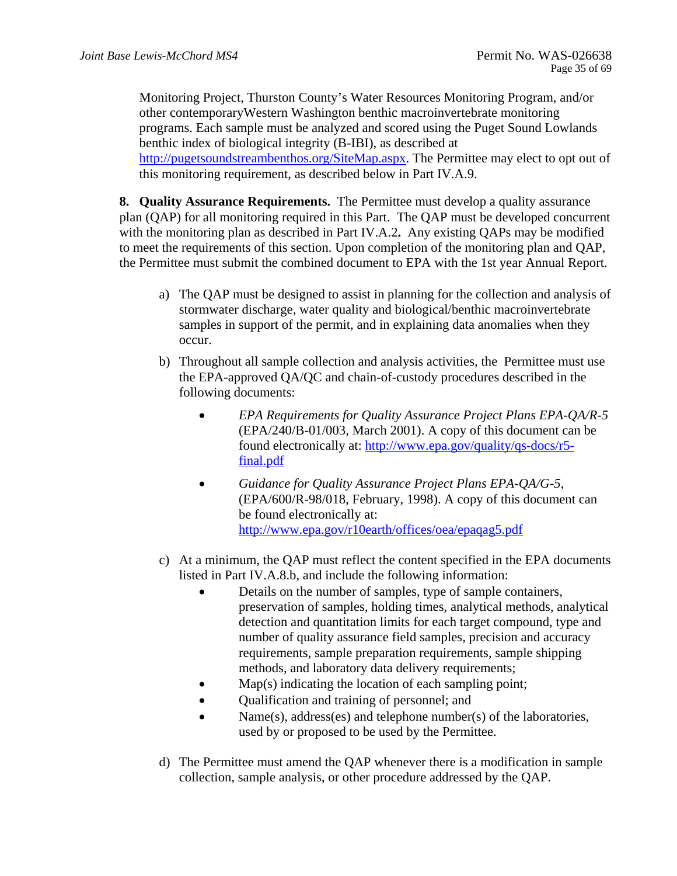Monitoring Project, Thurston County's Water Resources Monitoring Program, and/or other contemporaryWestern Washington benthic macroinvertebrate monitoring programs. Each sample must be analyzed and scored using the Puget Sound Lowlands benthic index of biological integrity (B-IBI), as described at http://pugetsoundstreambenthos.org/SiteMap.aspx. The Permittee may elect to opt out of this monitoring requirement, as described below in Part IV.A.9.

**8. Quality Assurance Requirements.** The Permittee must develop a quality assurance plan (QAP) for all monitoring required in this Part. The QAP must be developed concurrent with the monitoring plan as described in Part IV.A.2**.** Any existing QAPs may be modified to meet the requirements of this section. Upon completion of the monitoring plan and QAP, the Permittee must submit the combined document to EPA with the 1st year Annual Report.

- a) The QAP must be designed to assist in planning for the collection and analysis of stormwater discharge, water quality and biological/benthic macroinvertebrate samples in support of the permit, and in explaining data anomalies when they occur.
- b) Throughout all sample collection and analysis activities, the Permittee must use the EPA-approved QA/QC and chain-of-custody procedures described in the following documents:
	- *EPA Requirements for Quality Assurance Project Plans EPA-QA/R-5*  (EPA/240/B-01/003, March 2001). A copy of this document can be found electronically at: http://www.epa.gov/quality/qs-docs/r5 final.pdf
	- http://www.epa.gov/r10earth/offices/oea/epaqag5.pdf *Guidance for Quality Assurance Project Plans EPA-QA/G-5*, (EPA/600/R-98/018, February, 1998). A copy of this document can be found electronically at:
- c) At a minimum, the QAP must reflect the content specified in the EPA documents listed in Part IV.A.8.b, and include the following information:
	- Details on the number of samples, type of sample containers, preservation of samples, holding times, analytical methods, analytical detection and quantitation limits for each target compound, type and number of quality assurance field samples, precision and accuracy requirements, sample preparation requirements, sample shipping methods, and laboratory data delivery requirements;
	- Map(s) indicating the location of each sampling point;
	- Qualification and training of personnel; and
	- Name(s), address(es) and telephone number(s) of the laboratories, used by or proposed to be used by the Permittee.
- d) The Permittee must amend the QAP whenever there is a modification in sample collection, sample analysis, or other procedure addressed by the QAP.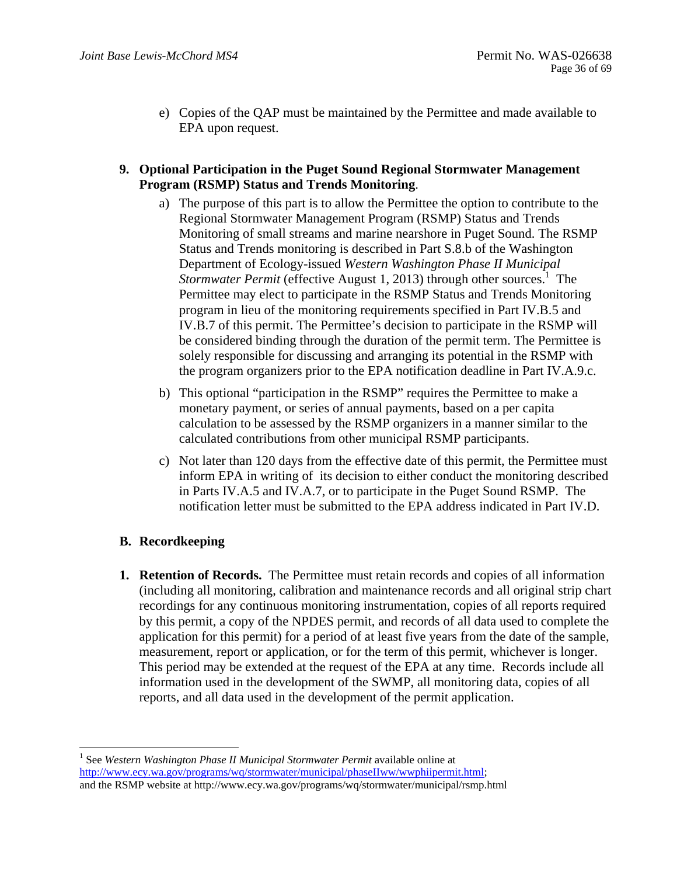- e) Copies of the QAP must be maintained by the Permittee and made available to EPA upon request.
- **9. Optional Participation in the Puget Sound Regional Stormwater Management Program (RSMP) Status and Trends Monitoring**.
	- a) The purpose of this part is to allow the Permittee the option to contribute to the Regional Stormwater Management Program (RSMP) Status and Trends Monitoring of small streams and marine nearshore in Puget Sound. The RSMP Status and Trends monitoring is described in Part S.8.b of the Washington Department of Ecology-issued *Western Washington Phase II Municipal Stormwater Permit* (effective August 1, 2013) through other sources.<sup>1</sup> The Permittee may elect to participate in the RSMP Status and Trends Monitoring program in lieu of the monitoring requirements specified in Part IV.B.5 and IV.B.7 of this permit. The Permittee's decision to participate in the RSMP will be considered binding through the duration of the permit term. The Permittee is solely responsible for discussing and arranging its potential in the RSMP with the program organizers prior to the EPA notification deadline in Part IV.A.9.c.
	- b) This optional "participation in the RSMP" requires the Permittee to make a monetary payment, or series of annual payments, based on a per capita calculation to be assessed by the RSMP organizers in a manner similar to the calculated contributions from other municipal RSMP participants.
	- c) Not later than 120 days from the effective date of this permit, the Permittee must inform EPA in writing of its decision to either conduct the monitoring described in Parts IV.A.5 and IV.A.7, or to participate in the Puget Sound RSMP. The notification letter must be submitted to the EPA address indicated in Part IV.D.

## **B. Recordkeeping**

**1. Retention of Records.** The Permittee must retain records and copies of all information (including all monitoring, calibration and maintenance records and all original strip chart recordings for any continuous monitoring instrumentation, copies of all reports required by this permit, a copy of the NPDES permit, and records of all data used to complete the application for this permit) for a period of at least five years from the date of the sample, measurement, report or application, or for the term of this permit, whichever is longer. This period may be extended at the request of the EPA at any time. Records include all information used in the development of the SWMP, all monitoring data, copies of all reports, and all data used in the development of the permit application.

l and the RSMP website at http://www.ecy.wa.gov/programs/wq/stormwater/municipal/rsmp.html <sup>1</sup> See Western Washington Phase II Municipal Stormwater Permit available online at http://www.ecy.wa.gov/programs/wq/stormwater/municipal/phaseIIww/wwphiipermit.html;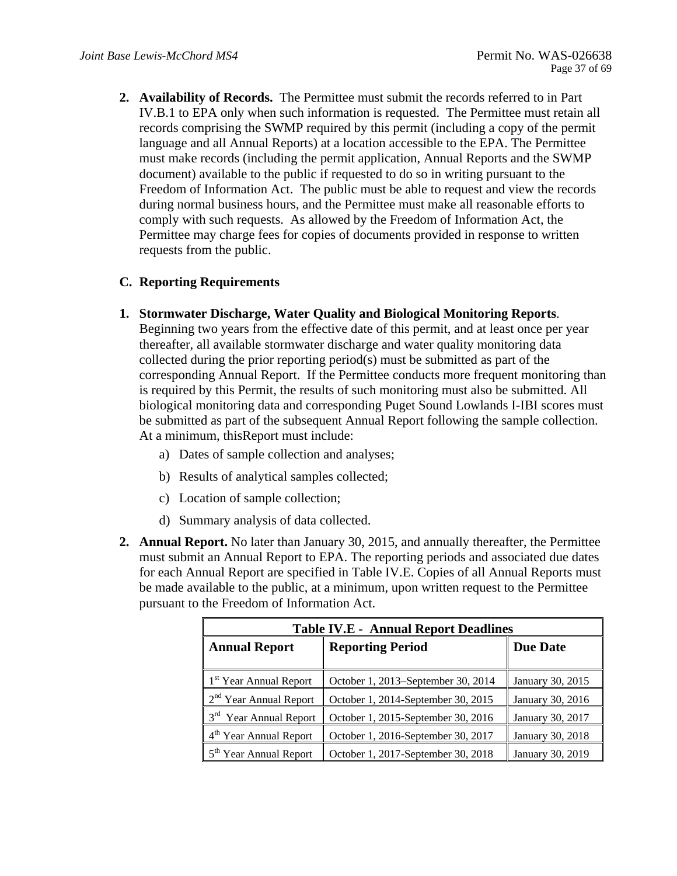requests from the public. **2. Availability of Records.** The Permittee must submit the records referred to in Part IV.B.1 to EPA only when such information is requested. The Permittee must retain all records comprising the SWMP required by this permit (including a copy of the permit language and all Annual Reports) at a location accessible to the EPA. The Permittee must make records (including the permit application, Annual Reports and the SWMP document) available to the public if requested to do so in writing pursuant to the Freedom of Information Act. The public must be able to request and view the records during normal business hours, and the Permittee must make all reasonable efforts to comply with such requests. As allowed by the Freedom of Information Act, the Permittee may charge fees for copies of documents provided in response to written

### **C. Reporting Requirements**

**1. Stormwater Discharge, Water Quality and Biological Monitoring Reports**. Beginning two years from the effective date of this permit, and at least once per year

thereafter, all available stormwater discharge and water quality monitoring data collected during the prior reporting period(s) must be submitted as part of the corresponding Annual Report. If the Permittee conducts more frequent monitoring than is required by this Permit, the results of such monitoring must also be submitted. All biological monitoring data and corresponding Puget Sound Lowlands I-IBI scores must be submitted as part of the subsequent Annual Report following the sample collection. At a minimum, thisReport must include:

- a) Dates of sample collection and analyses;
- b) Results of analytical samples collected;
- c) Location of sample collection;
- d) Summary analysis of data collected.
- **2. Annual Report.** No later than January 30, 2015, and annually thereafter, the Permittee must submit an Annual Report to EPA. The reporting periods and associated due dates for each Annual Report are specified in Table IV.E. Copies of all Annual Reports must be made available to the public, at a minimum, upon written request to the Permittee pursuant to the Freedom of Information Act.

| <b>Table IV.E - Annual Report Deadlines</b> |                                    |                  |  |
|---------------------------------------------|------------------------------------|------------------|--|
| <b>Annual Report</b>                        | <b>Reporting Period</b>            | <b>Due Date</b>  |  |
|                                             |                                    |                  |  |
| 1 <sup>st</sup> Year Annual Report          | October 1, 2013–September 30, 2014 | January 30, 2015 |  |
| $2nd$ Year Annual Report                    | October 1, 2014-September 30, 2015 | January 30, 2016 |  |
| 3 <sup>rd</sup> Year Annual Report          | October 1, 2015-September 30, 2016 | January 30, 2017 |  |
| 4 <sup>th</sup> Year Annual Report          | October 1, 2016-September 30, 2017 | January 30, 2018 |  |
| 5 <sup>th</sup> Year Annual Report          | October 1, 2017-September 30, 2018 | January 30, 2019 |  |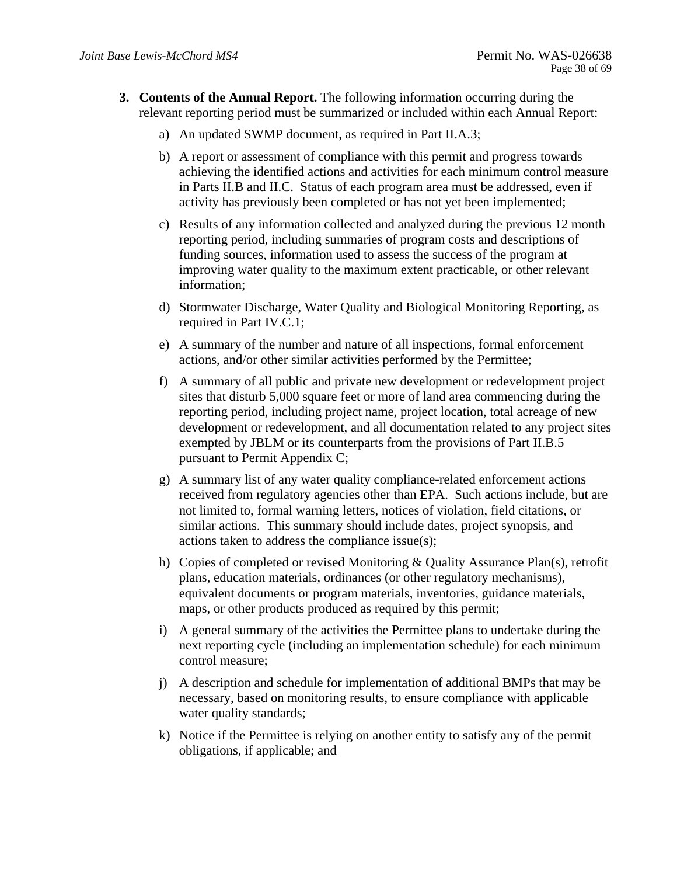- **3. Contents of the Annual Report.** The following information occurring during the relevant reporting period must be summarized or included within each Annual Report:
	- a) An updated SWMP document, as required in Part II.A.3;
	- b) A report or assessment of compliance with this permit and progress towards achieving the identified actions and activities for each minimum control measure in Parts II.B and II.C. Status of each program area must be addressed, even if activity has previously been completed or has not yet been implemented;
	- c) Results of any information collected and analyzed during the previous 12 month reporting period, including summaries of program costs and descriptions of funding sources, information used to assess the success of the program at improving water quality to the maximum extent practicable, or other relevant information;
	- d) Stormwater Discharge, Water Quality and Biological Monitoring Reporting, as required in Part IV.C.1;
	- e) A summary of the number and nature of all inspections, formal enforcement actions, and/or other similar activities performed by the Permittee;
	- f) A summary of all public and private new development or redevelopment project sites that disturb 5,000 square feet or more of land area commencing during the reporting period, including project name, project location, total acreage of new development or redevelopment, and all documentation related to any project sites exempted by JBLM or its counterparts from the provisions of Part II.B.5 pursuant to Permit Appendix C;
	- g) A summary list of any water quality compliance-related enforcement actions received from regulatory agencies other than EPA. Such actions include, but are not limited to, formal warning letters, notices of violation, field citations, or similar actions. This summary should include dates, project synopsis, and actions taken to address the compliance issue(s);
	- h) Copies of completed or revised Monitoring & Quality Assurance Plan(s), retrofit plans, education materials, ordinances (or other regulatory mechanisms), equivalent documents or program materials, inventories, guidance materials, maps, or other products produced as required by this permit;
	- i) A general summary of the activities the Permittee plans to undertake during the next reporting cycle (including an implementation schedule) for each minimum control measure;
	- j) A description and schedule for implementation of additional BMPs that may be necessary, based on monitoring results, to ensure compliance with applicable water quality standards;
	- k) Notice if the Permittee is relying on another entity to satisfy any of the permit obligations, if applicable; and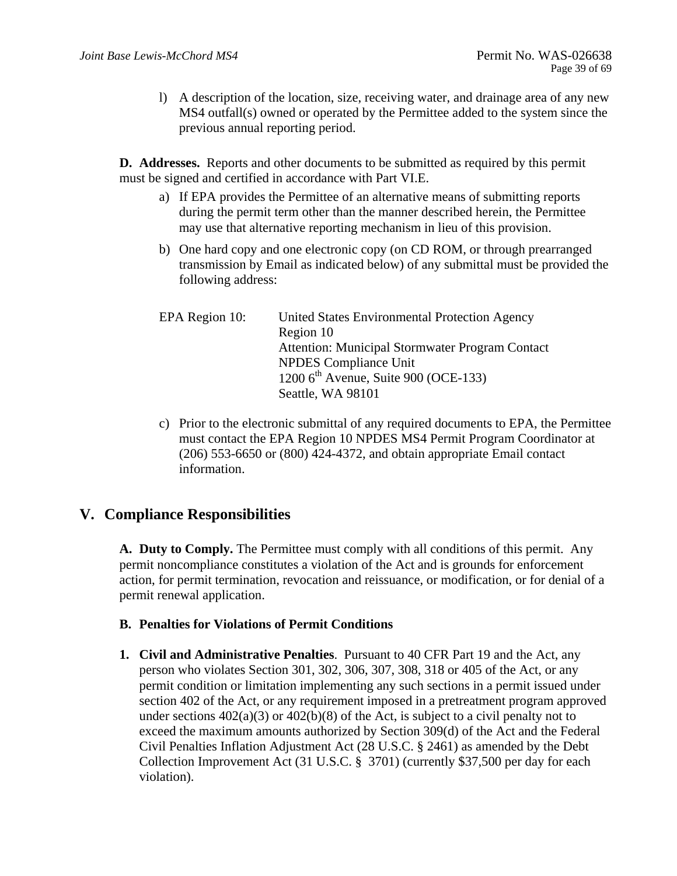l) A description of the location, size, receiving water, and drainage area of any new MS4 outfall(s) owned or operated by the Permittee added to the system since the previous annual reporting period.

**D. Addresses.** Reports and other documents to be submitted as required by this permit must be signed and certified in accordance with Part VI.E.

- a) If EPA provides the Permittee of an alternative means of submitting reports during the permit term other than the manner described herein, the Permittee may use that alternative reporting mechanism in lieu of this provision.
- b) One hard copy and one electronic copy (on CD ROM, or through prearranged transmission by Email as indicated below) of any submittal must be provided the following address:

| EPA Region 10: | United States Environmental Protection Agency    |
|----------------|--------------------------------------------------|
|                | Region 10                                        |
|                | Attention: Municipal Stormwater Program Contact  |
|                | <b>NPDES</b> Compliance Unit                     |
|                | 1200 $6^{\text{th}}$ Avenue, Suite 900 (OCE-133) |
|                | Seattle, WA 98101                                |

c) Prior to the electronic submittal of any required documents to EPA, the Permittee must contact the EPA Region 10 NPDES MS4 Permit Program Coordinator at (206) 553-6650 or (800) 424-4372, and obtain appropriate Email contact information.

## **V. Compliance Responsibilities**

**A. Duty to Comply.** The Permittee must comply with all conditions of this permit. Any permit noncompliance constitutes a violation of the Act and is grounds for enforcement action, for permit termination, revocation and reissuance, or modification, or for denial of a permit renewal application.

### **B. Penalties for Violations of Permit Conditions**

**1. Civil and Administrative Penalties.** Pursuant to 40 CFR Part 19 and the Act, any person who violates Section 301, 302, 306, 307, 308, 318 or 405 of the Act, or any permit condition or limitation implementing any such sections in a permit issued under section 402 of the Act, or any requirement imposed in a pretreatment program approved under sections  $402(a)(3)$  or  $402(b)(8)$  of the Act, is subject to a civil penalty not to exceed the maximum amounts authorized by Section 309(d) of the Act and the Federal Civil Penalties Inflation Adjustment Act (28 U.S.C. § 2461) as amended by the Debt Collection Improvement Act (31 U.S.C. § 3701) (currently \$37,500 per day for each violation).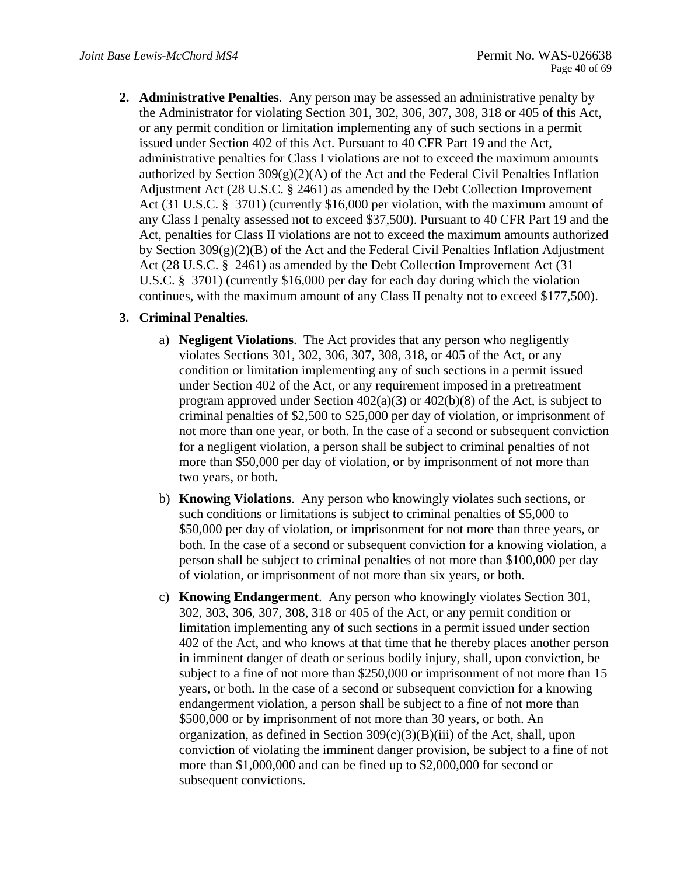**2. Administrative Penalties**. Any person may be assessed an administrative penalty by the Administrator for violating Section 301, 302, 306, 307, 308, 318 or 405 of this Act, or any permit condition or limitation implementing any of such sections in a permit issued under Section 402 of this Act. Pursuant to 40 CFR Part 19 and the Act, administrative penalties for Class I violations are not to exceed the maximum amounts authorized by Section  $309(g)(2)(A)$  of the Act and the Federal Civil Penalties Inflation Adjustment Act (28 U.S.C. § 2461) as amended by the Debt Collection Improvement Act (31 U.S.C. § 3701) (currently \$16,000 per violation, with the maximum amount of any Class I penalty assessed not to exceed \$37,500). Pursuant to 40 CFR Part 19 and the Act, penalties for Class II violations are not to exceed the maximum amounts authorized by Section 309(g)(2)(B) of the Act and the Federal Civil Penalties Inflation Adjustment Act (28 U.S.C. § 2461) as amended by the Debt Collection Improvement Act (31 U.S.C. § 3701) (currently \$16,000 per day for each day during which the violation continues, with the maximum amount of any Class II penalty not to exceed \$177,500).

### **3. Criminal Penalties.**

- a) **Negligent Violations**. The Act provides that any person who negligently violates Sections 301, 302, 306, 307, 308, 318, or 405 of the Act, or any condition or limitation implementing any of such sections in a permit issued under Section 402 of the Act, or any requirement imposed in a pretreatment program approved under Section 402(a)(3) or 402(b)(8) of the Act, is subject to criminal penalties of \$2,500 to \$25,000 per day of violation, or imprisonment of not more than one year, or both. In the case of a second or subsequent conviction for a negligent violation, a person shall be subject to criminal penalties of not more than \$50,000 per day of violation, or by imprisonment of not more than two years, or both.
- b) **Knowing Violations**. Any person who knowingly violates such sections, or such conditions or limitations is subject to criminal penalties of \$5,000 to \$50,000 per day of violation, or imprisonment for not more than three years, or both. In the case of a second or subsequent conviction for a knowing violation, a person shall be subject to criminal penalties of not more than \$100,000 per day of violation, or imprisonment of not more than six years, or both.
- c) **Knowing Endangerment**. Any person who knowingly violates Section 301, 302, 303, 306, 307, 308, 318 or 405 of the Act, or any permit condition or limitation implementing any of such sections in a permit issued under section 402 of the Act, and who knows at that time that he thereby places another person in imminent danger of death or serious bodily injury, shall, upon conviction, be subject to a fine of not more than \$250,000 or imprisonment of not more than 15 years, or both. In the case of a second or subsequent conviction for a knowing endangerment violation, a person shall be subject to a fine of not more than \$500,000 or by imprisonment of not more than 30 years, or both. An organization, as defined in Section  $309(c)(3)(B)(iii)$  of the Act, shall, upon conviction of violating the imminent danger provision, be subject to a fine of not more than \$1,000,000 and can be fined up to \$2,000,000 for second or subsequent convictions.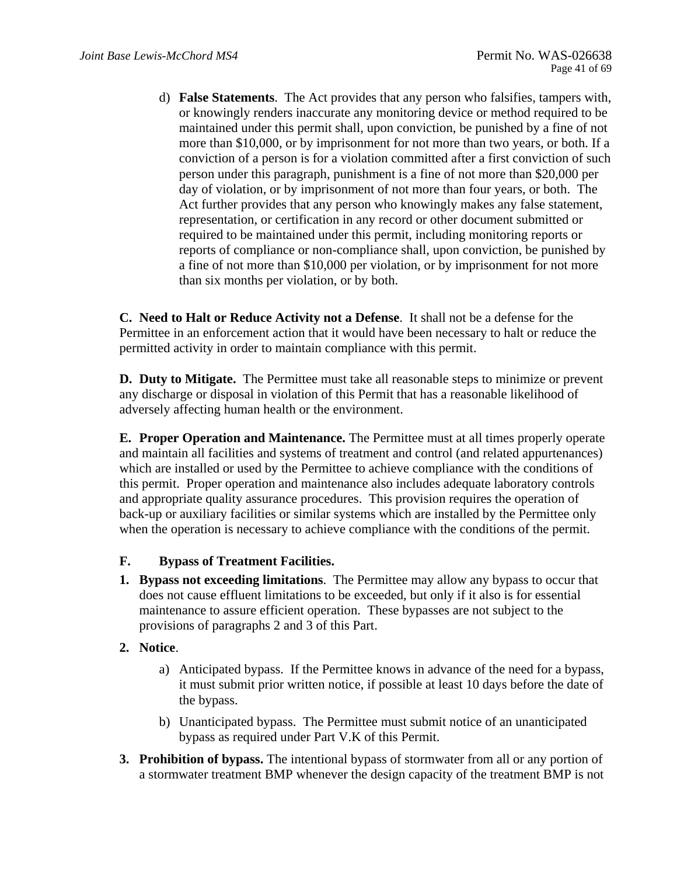d) **False Statements**. The Act provides that any person who falsifies, tampers with, or knowingly renders inaccurate any monitoring device or method required to be maintained under this permit shall, upon conviction, be punished by a fine of not more than \$10,000, or by imprisonment for not more than two years, or both. If a conviction of a person is for a violation committed after a first conviction of such person under this paragraph, punishment is a fine of not more than \$20,000 per day of violation, or by imprisonment of not more than four years, or both. The Act further provides that any person who knowingly makes any false statement, representation, or certification in any record or other document submitted or required to be maintained under this permit, including monitoring reports or reports of compliance or non-compliance shall, upon conviction, be punished by a fine of not more than \$10,000 per violation, or by imprisonment for not more than six months per violation, or by both.

**C. Need to Halt or Reduce Activity not a Defense**. It shall not be a defense for the Permittee in an enforcement action that it would have been necessary to halt or reduce the permitted activity in order to maintain compliance with this permit.

**D. Duty to Mitigate.** The Permittee must take all reasonable steps to minimize or prevent any discharge or disposal in violation of this Permit that has a reasonable likelihood of adversely affecting human health or the environment.

**E. Proper Operation and Maintenance.** The Permittee must at all times properly operate and maintain all facilities and systems of treatment and control (and related appurtenances) which are installed or used by the Permittee to achieve compliance with the conditions of this permit. Proper operation and maintenance also includes adequate laboratory controls and appropriate quality assurance procedures. This provision requires the operation of back-up or auxiliary facilities or similar systems which are installed by the Permittee only when the operation is necessary to achieve compliance with the conditions of the permit.

### **F. Bypass of Treatment Facilities.**

**1. Bypass not exceeding limitations**. The Permittee may allow any bypass to occur that does not cause effluent limitations to be exceeded, but only if it also is for essential maintenance to assure efficient operation. These bypasses are not subject to the provisions of paragraphs 2 and 3 of this Part.

### **2. Notice**.

- a) Anticipated bypass. If the Permittee knows in advance of the need for a bypass, it must submit prior written notice, if possible at least 10 days before the date of the bypass.
- b) Unanticipated bypass. The Permittee must submit notice of an unanticipated bypass as required under Part V.K of this Permit.
- **3. Prohibition of bypass.** The intentional bypass of stormwater from all or any portion of a stormwater treatment BMP whenever the design capacity of the treatment BMP is not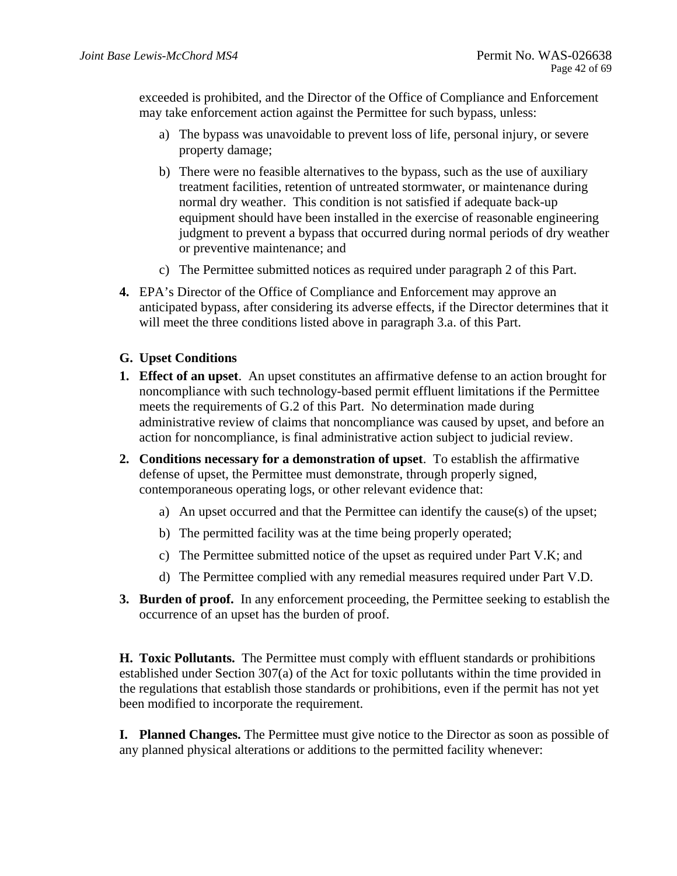exceeded is prohibited, and the Director of the Office of Compliance and Enforcement may take enforcement action against the Permittee for such bypass, unless:

- a) The bypass was unavoidable to prevent loss of life, personal injury, or severe property damage;
- b) There were no feasible alternatives to the bypass, such as the use of auxiliary treatment facilities, retention of untreated stormwater, or maintenance during normal dry weather. This condition is not satisfied if adequate back-up equipment should have been installed in the exercise of reasonable engineering judgment to prevent a bypass that occurred during normal periods of dry weather or preventive maintenance; and
- c) The Permittee submitted notices as required under paragraph 2 of this Part.
- **4.** EPA's Director of the Office of Compliance and Enforcement may approve an anticipated bypass, after considering its adverse effects, if the Director determines that it will meet the three conditions listed above in paragraph 3.a. of this Part.

## **G. Upset Conditions**

- **1. Effect of an upset**. An upset constitutes an affirmative defense to an action brought for noncompliance with such technology-based permit effluent limitations if the Permittee meets the requirements of G.2 of this Part. No determination made during administrative review of claims that noncompliance was caused by upset, and before an action for noncompliance, is final administrative action subject to judicial review.
- **2. Conditions necessary for a demonstration of upset**. To establish the affirmative defense of upset, the Permittee must demonstrate, through properly signed, contemporaneous operating logs, or other relevant evidence that:
	- a) An upset occurred and that the Permittee can identify the cause(s) of the upset;
	- b) The permitted facility was at the time being properly operated;
	- c) The Permittee submitted notice of the upset as required under Part  $V.K$ ; and
	- d) The Permittee complied with any remedial measures required under Part V.D.
- **3.** Burden of proof. In any enforcement proceeding, the Permittee seeking to establish the occurrence of an upset has the burden of proof.

**H. Toxic Pollutants.** The Permittee must comply with effluent standards or prohibitions established under Section 307(a) of the Act for toxic pollutants within the time provided in the regulations that establish those standards or prohibitions, even if the permit has not yet been modified to incorporate the requirement.

**I. Planned Changes.** The Permittee must give notice to the Director as soon as possible of any planned physical alterations or additions to the permitted facility whenever: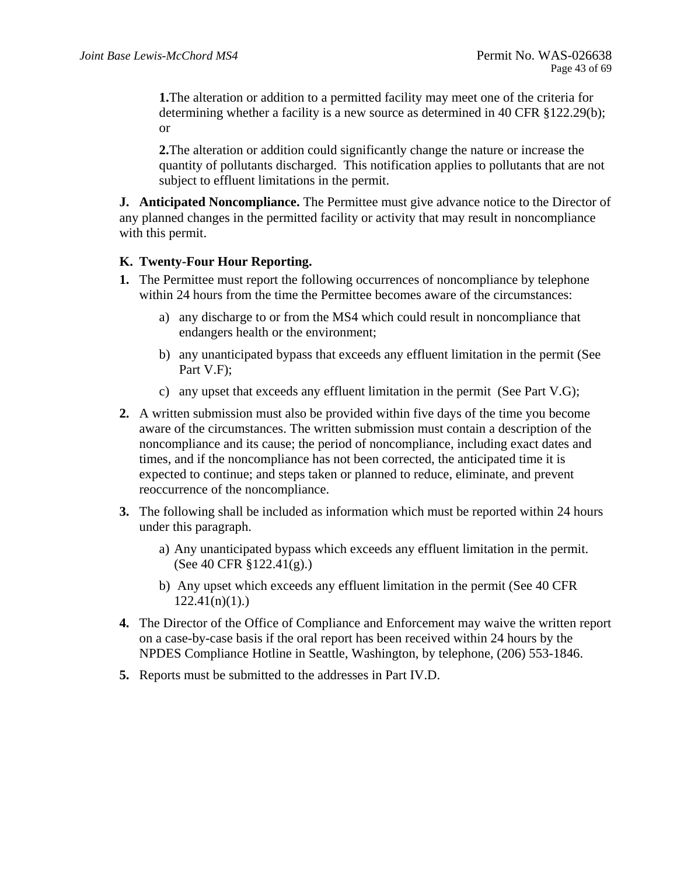**1.**The alteration or addition to a permitted facility may meet one of the criteria for determining whether a facility is a new source as determined in 40 CFR §122.29(b); or

**2.**The alteration or addition could significantly change the nature or increase the quantity of pollutants discharged. This notification applies to pollutants that are not subject to effluent limitations in the permit.

**J. Anticipated Noncompliance.** The Permittee must give advance notice to the Director of any planned changes in the permitted facility or activity that may result in noncompliance with this permit.

## **K. Twenty-Four Hour Reporting.**

- **1.** The Permittee must report the following occurrences of noncompliance by telephone within 24 hours from the time the Permittee becomes aware of the circumstances:
	- a) any discharge to or from the MS4 which could result in noncompliance that endangers health or the environment;
	- b) any unanticipated bypass that exceeds any effluent limitation in the permit (See Part V.F);
	- c) any upset that exceeds any effluent limitation in the permit (See Part V.G);
- **2.** A written submission must also be provided within five days of the time you become aware of the circumstances. The written submission must contain a description of the noncompliance and its cause; the period of noncompliance, including exact dates and times, and if the noncompliance has not been corrected, the anticipated time it is expected to continue; and steps taken or planned to reduce, eliminate, and prevent reoccurrence of the noncompliance.
- **3.** The following shall be included as information which must be reported within 24 hours under this paragraph.
	- a) Any unanticipated bypass which exceeds any effluent limitation in the permit. (See 40 CFR §122.41(g).)
	- b) Any upset which exceeds any effluent limitation in the permit (See 40 CFR  $122.41(n)(1)$ .
- **4.** The Director of the Office of Compliance and Enforcement may waive the written report on a case-by-case basis if the oral report has been received within 24 hours by the NPDES Compliance Hotline in Seattle, Washington, by telephone, (206) 553-1846.
- **5.** Reports must be submitted to the addresses in Part IV.D.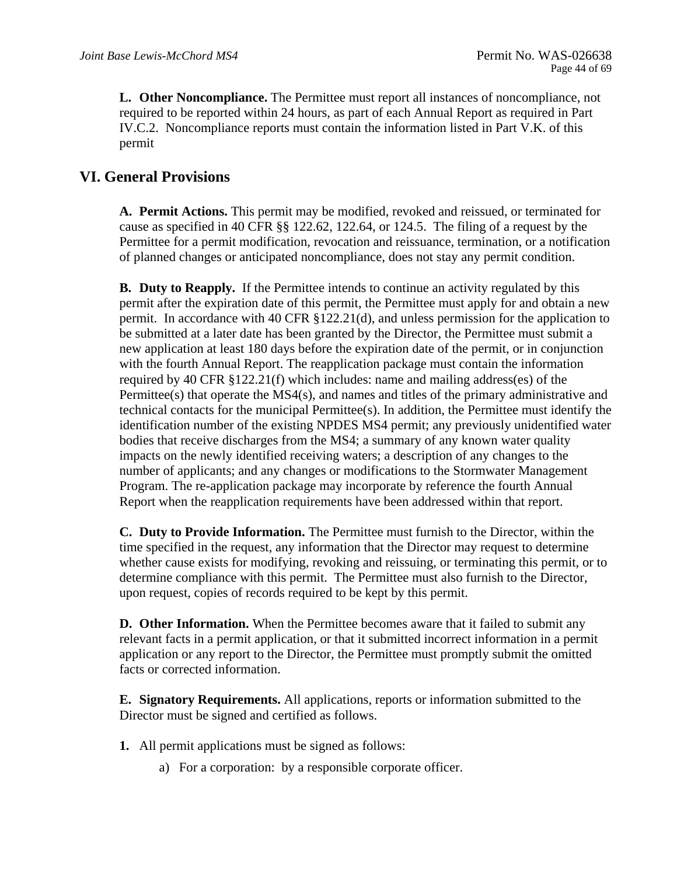permit **L. Other Noncompliance.** The Permittee must report all instances of noncompliance, not required to be reported within 24 hours, as part of each Annual Report as required in Part IV.C.2. Noncompliance reports must contain the information listed in Part V.K. of this

## **VI. General Provisions**

**A. Permit Actions.** This permit may be modified, revoked and reissued, or terminated for cause as specified in 40 CFR §§ 122.62, 122.64, or 124.5. The filing of a request by the Permittee for a permit modification, revocation and reissuance, termination, or a notification of planned changes or anticipated noncompliance, does not stay any permit condition.

**B.** Duty to Reapply. If the Permittee intends to continue an activity regulated by this permit after the expiration date of this permit, the Permittee must apply for and obtain a new permit. In accordance with 40 CFR §122.21(d), and unless permission for the application to be submitted at a later date has been granted by the Director, the Permittee must submit a new application at least 180 days before the expiration date of the permit, or in conjunction with the fourth Annual Report. The reapplication package must contain the information required by 40 CFR §122.21(f) which includes: name and mailing address(es) of the Permittee(s) that operate the MS4(s), and names and titles of the primary administrative and technical contacts for the municipal Permittee(s). In addition, the Permittee must identify the identification number of the existing NPDES MS4 permit; any previously unidentified water bodies that receive discharges from the MS4; a summary of any known water quality impacts on the newly identified receiving waters; a description of any changes to the number of applicants; and any changes or modifications to the Stormwater Management Program. The re-application package may incorporate by reference the fourth Annual Report when the reapplication requirements have been addressed within that report.

**C. Duty to Provide Information.** The Permittee must furnish to the Director, within the time specified in the request, any information that the Director may request to determine whether cause exists for modifying, revoking and reissuing, or terminating this permit, or to determine compliance with this permit. The Permittee must also furnish to the Director, upon request, copies of records required to be kept by this permit.

**D. Other Information.** When the Permittee becomes aware that it failed to submit any relevant facts in a permit application, or that it submitted incorrect information in a permit application or any report to the Director, the Permittee must promptly submit the omitted facts or corrected information.

**E. Signatory Requirements.** All applications, reports or information submitted to the Director must be signed and certified as follows.

- **1.** All permit applications must be signed as follows:
	- a) For a corporation: by a responsible corporate officer.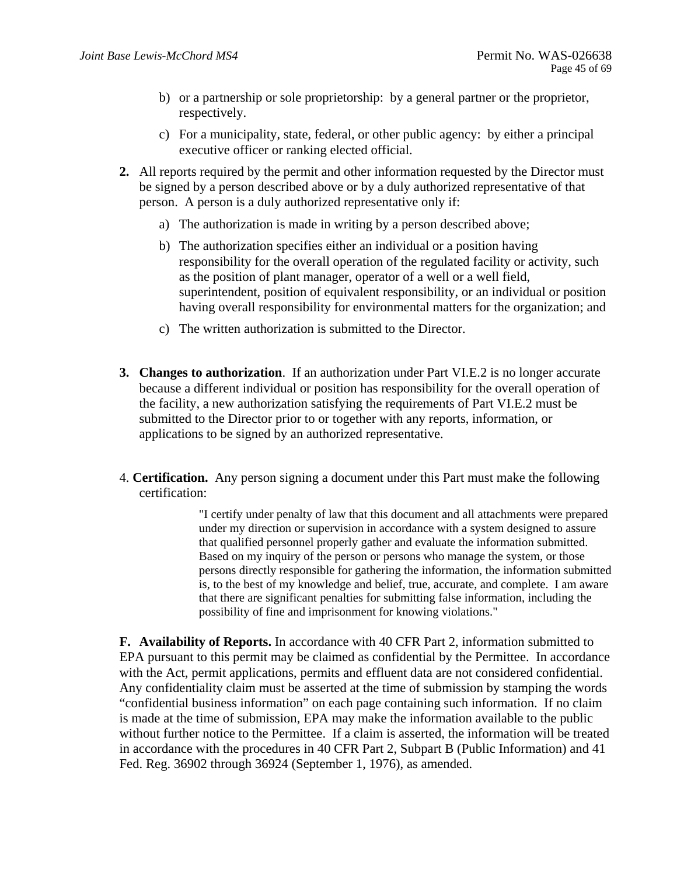- b) or a partnership or sole proprietorship: by a general partner or the proprietor, respectively.
- c) For a municipality, state, federal, or other public agency: by either a principal executive officer or ranking elected official.
- **2.** All reports required by the permit and other information requested by the Director must be signed by a person described above or by a duly authorized representative of that person. A person is a duly authorized representative only if:
	- a) The authorization is made in writing by a person described above;
	- b) The authorization specifies either an individual or a position having responsibility for the overall operation of the regulated facility or activity, such as the position of plant manager, operator of a well or a well field, superintendent, position of equivalent responsibility, or an individual or position having overall responsibility for environmental matters for the organization; and
	- c) The written authorization is submitted to the Director.
- **3. Changes to authorization**. If an authorization under Part VI.E.2 is no longer accurate because a different individual or position has responsibility for the overall operation of the facility, a new authorization satisfying the requirements of Part VI.E.2 must be submitted to the Director prior to or together with any reports, information, or applications to be signed by an authorized representative.
- 4. **Certification.** Any person signing a document under this Part must make the following certification:

"I certify under penalty of law that this document and all attachments were prepared under my direction or supervision in accordance with a system designed to assure that qualified personnel properly gather and evaluate the information submitted. Based on my inquiry of the person or persons who manage the system, or those persons directly responsible for gathering the information, the information submitted is, to the best of my knowledge and belief, true, accurate, and complete. I am aware that there are significant penalties for submitting false information, including the possibility of fine and imprisonment for knowing violations."

**F. Availability of Reports.** In accordance with 40 CFR Part 2, information submitted to EPA pursuant to this permit may be claimed as confidential by the Permittee. In accordance with the Act, permit applications, permits and effluent data are not considered confidential. Any confidentiality claim must be asserted at the time of submission by stamping the words "confidential business information" on each page containing such information. If no claim is made at the time of submission, EPA may make the information available to the public without further notice to the Permittee. If a claim is asserted, the information will be treated in accordance with the procedures in 40 CFR Part 2, Subpart B (Public Information) and 41 Fed. Reg. 36902 through 36924 (September 1, 1976), as amended.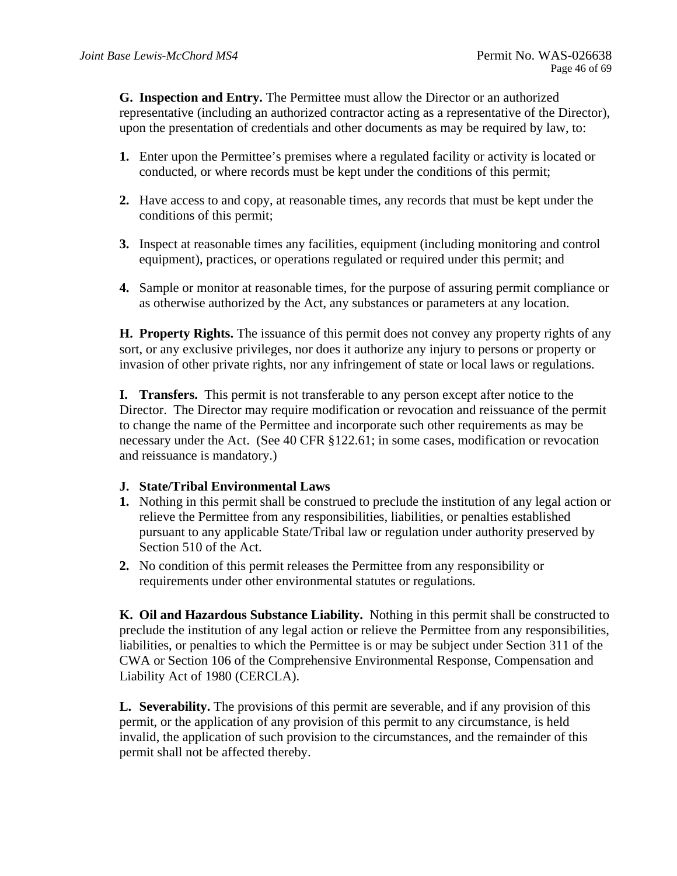**G. Inspection and Entry.** The Permittee must allow the Director or an authorized representative (including an authorized contractor acting as a representative of the Director), upon the presentation of credentials and other documents as may be required by law, to:

- **1.** Enter upon the Permittee's premises where a regulated facility or activity is located or conducted, or where records must be kept under the conditions of this permit;
- **2.** Have access to and copy, at reasonable times, any records that must be kept under the conditions of this permit;
- **3.** Inspect at reasonable times any facilities, equipment (including monitoring and control equipment), practices, or operations regulated or required under this permit; and
- **4.** Sample or monitor at reasonable times, for the purpose of assuring permit compliance or as otherwise authorized by the Act, any substances or parameters at any location.

**H. Property Rights.** The issuance of this permit does not convey any property rights of any sort, or any exclusive privileges, nor does it authorize any injury to persons or property or invasion of other private rights, nor any infringement of state or local laws or regulations.

**I. Transfers.** This permit is not transferable to any person except after notice to the Director. The Director may require modification or revocation and reissuance of the permit to change the name of the Permittee and incorporate such other requirements as may be necessary under the Act. (See 40 CFR §122.61; in some cases, modification or revocation and reissuance is mandatory.)

### **J. State/Tribal Environmental Laws**

- **1.** Nothing in this permit shall be construed to preclude the institution of any legal action or relieve the Permittee from any responsibilities, liabilities, or penalties established pursuant to any applicable State/Tribal law or regulation under authority preserved by Section 510 of the Act.
- **2.** No condition of this permit releases the Permittee from any responsibility or requirements under other environmental statutes or regulations.

**K. Oil and Hazardous Substance Liability.** Nothing in this permit shall be constructed to preclude the institution of any legal action or relieve the Permittee from any responsibilities, liabilities, or penalties to which the Permittee is or may be subject under Section 311 of the CWA or Section 106 of the Comprehensive Environmental Response, Compensation and Liability Act of 1980 (CERCLA).

**L. Severability.** The provisions of this permit are severable, and if any provision of this permit, or the application of any provision of this permit to any circumstance, is held invalid, the application of such provision to the circumstances, and the remainder of this permit shall not be affected thereby.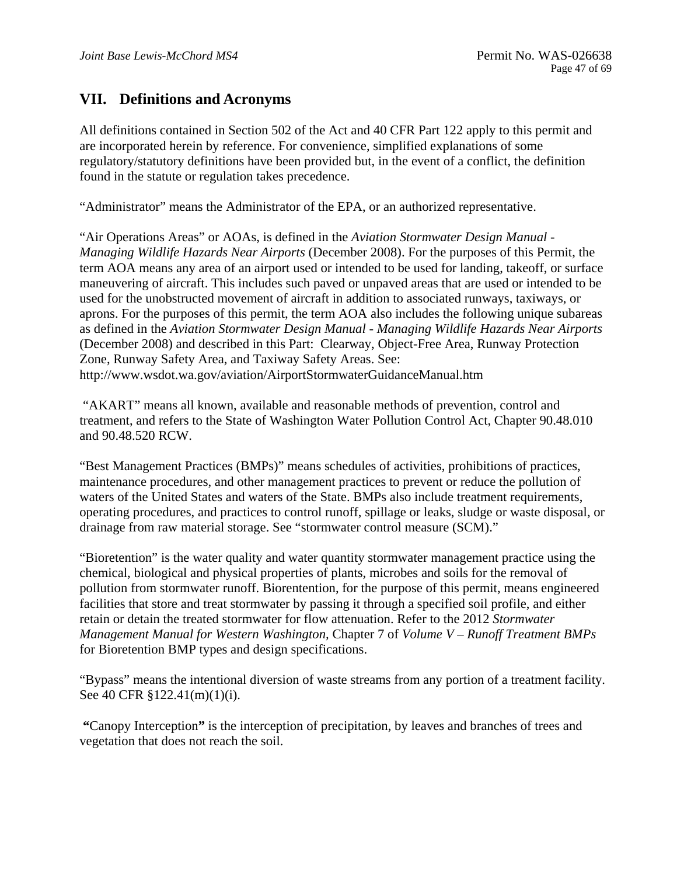## **VII. Definitions and Acronyms**

All definitions contained in Section 502 of the Act and 40 CFR Part 122 apply to this permit and are incorporated herein by reference. For convenience, simplified explanations of some regulatory/statutory definitions have been provided but, in the event of a conflict, the definition found in the statute or regulation takes precedence.

"Administrator" means the Administrator of the EPA, or an authorized representative.

 http://www.wsdot.wa.gov/aviation/AirportStormwaterGuidanceManual.htm "Air Operations Areas" or AOAs, is defined in the *Aviation Stormwater Design Manual - Managing Wildlife Hazards Near Airports* (December 2008). For the purposes of this Permit, the term AOA means any area of an airport used or intended to be used for landing, takeoff, or surface maneuvering of aircraft. This includes such paved or unpaved areas that are used or intended to be used for the unobstructed movement of aircraft in addition to associated runways, taxiways, or aprons. For the purposes of this permit, the term AOA also includes the following unique subareas as defined in the *Aviation Stormwater Design Manual - Managing Wildlife Hazards Near Airports*  (December 2008) and described in this Part: Clearway, Object-Free Area, Runway Protection Zone, Runway Safety Area, and Taxiway Safety Areas. See:

 "AKART" means all known, available and reasonable methods of prevention, control and treatment, and refers to the State of Washington Water Pollution Control Act, Chapter 90.48.010 and 90.48.520 RCW.

"Best Management Practices (BMPs)" means schedules of activities, prohibitions of practices, maintenance procedures, and other management practices to prevent or reduce the pollution of waters of the United States and waters of the State. BMPs also include treatment requirements, operating procedures, and practices to control runoff, spillage or leaks, sludge or waste disposal, or drainage from raw material storage. See "stormwater control measure (SCM)."

"Bioretention" is the water quality and water quantity stormwater management practice using the chemical, biological and physical properties of plants, microbes and soils for the removal of pollution from stormwater runoff. Biorentention, for the purpose of this permit, means engineered facilities that store and treat stormwater by passing it through a specified soil profile, and either retain or detain the treated stormwater for flow attenuation. Refer to the 2012 *Stormwater Management Manual for Western Washington,* Chapter 7 of *Volume V – Runoff Treatment BMPs*  for Bioretention BMP types and design specifications.

"Bypass" means the intentional diversion of waste streams from any portion of a treatment facility. See 40 CFR §122.41(m)(1)(i).

**"**Canopy Interception**"** is the interception of precipitation, by leaves and branches of trees and vegetation that does not reach the soil.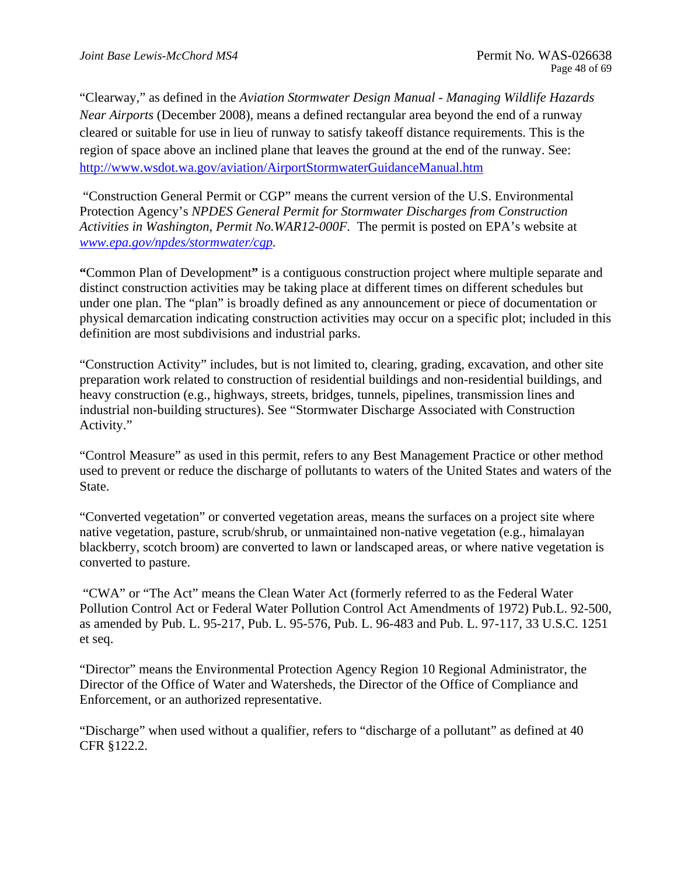"Clearway," as defined in the *Aviation Stormwater Design Manual - Managing Wildlife Hazards Near Airports* (December 2008), means a defined rectangular area beyond the end of a runway cleared or suitable for use in lieu of runway to satisfy takeoff distance requirements. This is the region of space above an inclined plane that leaves the ground at the end of the runway. See: http://www.wsdot.wa.gov/aviation/AirportStormwaterGuidanceManual.htm

 "Construction General Permit or CGP" means the current version of the U.S. Environmental Protection Agency's *NPDES General Permit for Stormwater Discharges from Construction Activities in Washington, Permit No.WAR12-000F.* The permit is posted on EPA's website at *www.epa.gov/npdes/stormwater/cgp.* 

**"**Common Plan of Development**"** is a contiguous construction project where multiple separate and distinct construction activities may be taking place at different times on different schedules but under one plan. The "plan" is broadly defined as any announcement or piece of documentation or physical demarcation indicating construction activities may occur on a specific plot; included in this definition are most subdivisions and industrial parks.

"Construction Activity" includes, but is not limited to, clearing, grading, excavation, and other site preparation work related to construction of residential buildings and non-residential buildings, and heavy construction (e.g., highways, streets, bridges, tunnels, pipelines, transmission lines and industrial non-building structures). See "Stormwater Discharge Associated with Construction Activity."

"Control Measure" as used in this permit, refers to any Best Management Practice or other method used to prevent or reduce the discharge of pollutants to waters of the United States and waters of the State.

"Converted vegetation" or converted vegetation areas, means the surfaces on a project site where native vegetation, pasture, scrub/shrub, or unmaintained non-native vegetation (e.g., himalayan blackberry, scotch broom) are converted to lawn or landscaped areas, or where native vegetation is converted to pasture.

 "CWA" or "The Act" means the Clean Water Act (formerly referred to as the Federal Water Pollution Control Act or Federal Water Pollution Control Act Amendments of 1972) Pub.L. 92-500, as amended by Pub. L. 95-217, Pub. L. 95-576, Pub. L. 96-483 and Pub. L. 97-117, 33 U.S.C. 1251 et seq.

"Director" means the Environmental Protection Agency Region 10 Regional Administrator, the Director of the Office of Water and Watersheds, the Director of the Office of Compliance and Enforcement, or an authorized representative.

"Discharge" when used without a qualifier, refers to "discharge of a pollutant" as defined at 40 CFR §122.2.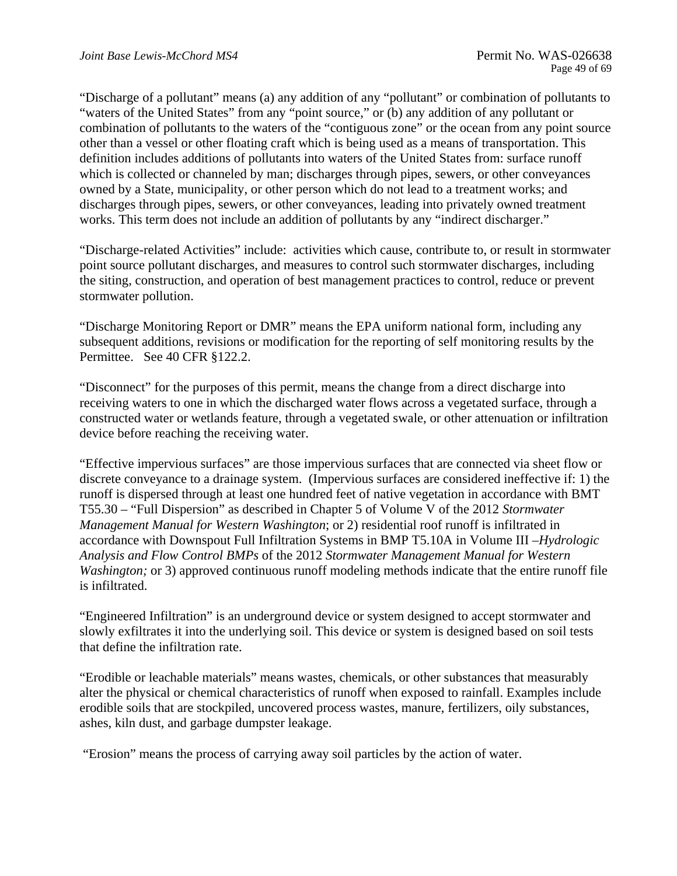"Discharge of a pollutant" means (a) any addition of any "pollutant" or combination of pollutants to "waters of the United States" from any "point source," or (b) any addition of any pollutant or combination of pollutants to the waters of the "contiguous zone" or the ocean from any point source other than a vessel or other floating craft which is being used as a means of transportation. This definition includes additions of pollutants into waters of the United States from: surface runoff which is collected or channeled by man; discharges through pipes, sewers, or other conveyances owned by a State, municipality, or other person which do not lead to a treatment works; and discharges through pipes, sewers, or other conveyances, leading into privately owned treatment works. This term does not include an addition of pollutants by any "indirect discharger."

"Discharge-related Activities" include: activities which cause, contribute to, or result in stormwater point source pollutant discharges, and measures to control such stormwater discharges, including the siting, construction, and operation of best management practices to control, reduce or prevent stormwater pollution.

"Discharge Monitoring Report or DMR" means the EPA uniform national form, including any subsequent additions, revisions or modification for the reporting of self monitoring results by the Permittee. See 40 CFR §122.2.

"Disconnect" for the purposes of this permit, means the change from a direct discharge into receiving waters to one in which the discharged water flows across a vegetated surface, through a constructed water or wetlands feature, through a vegetated swale, or other attenuation or infiltration device before reaching the receiving water.

is infiltrated. "Effective impervious surfaces" are those impervious surfaces that are connected via sheet flow or discrete conveyance to a drainage system. (Impervious surfaces are considered ineffective if: 1) the runoff is dispersed through at least one hundred feet of native vegetation in accordance with BMT T55.30 – "Full Dispersion" as described in Chapter 5 of Volume V of the 2012 *Stormwater Management Manual for Western Washington*; or 2) residential roof runoff is infiltrated in accordance with Downspout Full Infiltration Systems in BMP T5.10A in Volume III *–Hydrologic Analysis and Flow Control BMPs* of the 2012 *Stormwater Management Manual for Western Washington;* or 3) approved continuous runoff modeling methods indicate that the entire runoff file

"Engineered Infiltration" is an underground device or system designed to accept stormwater and slowly exfiltrates it into the underlying soil. This device or system is designed based on soil tests that define the infiltration rate.

"Erodible or leachable materials" means wastes, chemicals, or other substances that measurably alter the physical or chemical characteristics of runoff when exposed to rainfall. Examples include erodible soils that are stockpiled, uncovered process wastes, manure, fertilizers, oily substances, ashes, kiln dust, and garbage dumpster leakage.

"Erosion" means the process of carrying away soil particles by the action of water.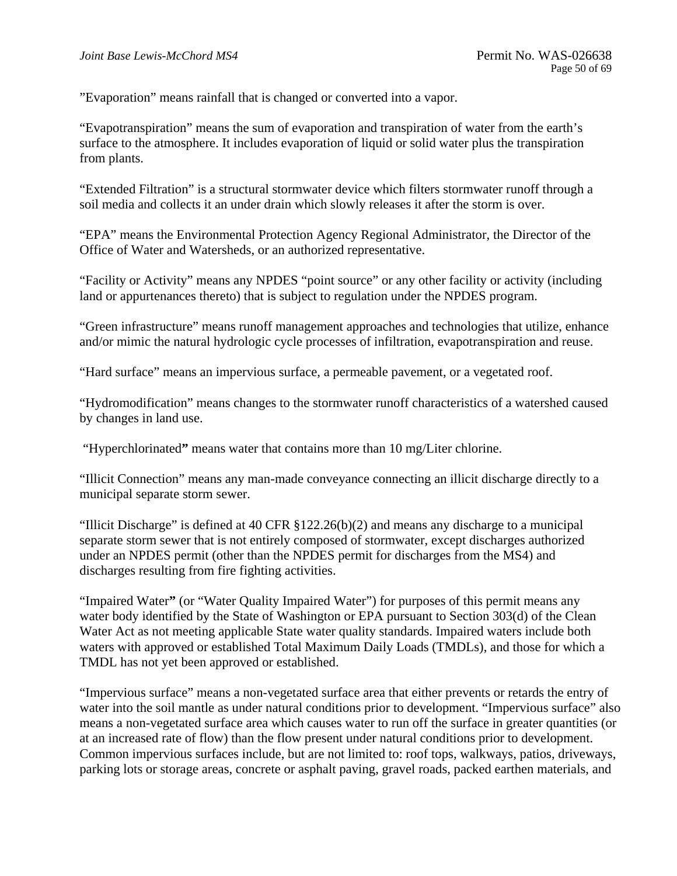"Evaporation" means rainfall that is changed or converted into a vapor.

"Evapotranspiration" means the sum of evaporation and transpiration of water from the earth's surface to the atmosphere. It includes evaporation of liquid or solid water plus the transpiration from plants.

"Extended Filtration" is a structural stormwater device which filters stormwater runoff through a soil media and collects it an under drain which slowly releases it after the storm is over.

"EPA" means the Environmental Protection Agency Regional Administrator, the Director of the Office of Water and Watersheds, or an authorized representative.

"Facility or Activity" means any NPDES "point source" or any other facility or activity (including land or appurtenances thereto) that is subject to regulation under the NPDES program.

"Green infrastructure" means runoff management approaches and technologies that utilize, enhance and/or mimic the natural hydrologic cycle processes of infiltration, evapotranspiration and reuse.

"Hard surface" means an impervious surface, a permeable pavement, or a vegetated roof.

"Hydromodification" means changes to the stormwater runoff characteristics of a watershed caused by changes in land use.

"Hyperchlorinated**"** means water that contains more than 10 mg/Liter chlorine.

"Illicit Connection" means any man-made conveyance connecting an illicit discharge directly to a municipal separate storm sewer.

"Illicit Discharge" is defined at 40 CFR  $\S 122.26(b)(2)$  and means any discharge to a municipal separate storm sewer that is not entirely composed of stormwater, except discharges authorized under an NPDES permit (other than the NPDES permit for discharges from the MS4) and discharges resulting from fire fighting activities.

"Impaired Water**"** (or "Water Quality Impaired Water") for purposes of this permit means any water body identified by the State of Washington or EPA pursuant to Section 303(d) of the Clean Water Act as not meeting applicable State water quality standards. Impaired waters include both waters with approved or established Total Maximum Daily Loads (TMDLs), and those for which a TMDL has not yet been approved or established.

"Impervious surface" means a non-vegetated surface area that either prevents or retards the entry of water into the soil mantle as under natural conditions prior to development. "Impervious surface" also means a non-vegetated surface area which causes water to run off the surface in greater quantities (or at an increased rate of flow) than the flow present under natural conditions prior to development. Common impervious surfaces include, but are not limited to: roof tops, walkways, patios, driveways, parking lots or storage areas, concrete or asphalt paving, gravel roads, packed earthen materials, and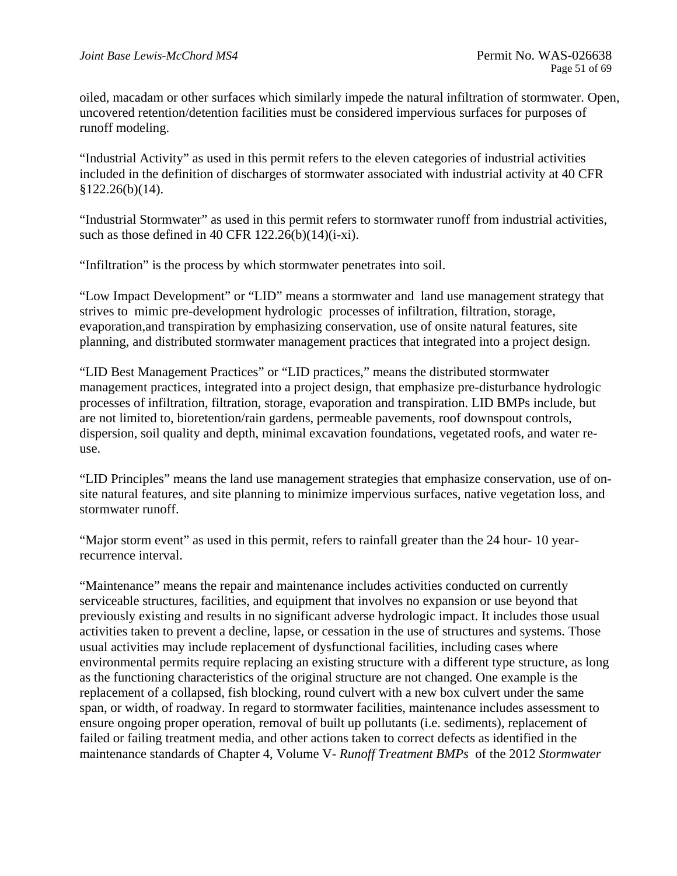oiled, macadam or other surfaces which similarly impede the natural infiltration of stormwater. Open, uncovered retention/detention facilities must be considered impervious surfaces for purposes of runoff modeling.

"Industrial Activity" as used in this permit refers to the eleven categories of industrial activities included in the definition of discharges of stormwater associated with industrial activity at 40 CFR  $$122.26(b)(14).$ 

"Industrial Stormwater" as used in this permit refers to stormwater runoff from industrial activities, such as those defined in 40 CFR  $122.26(b)(14)(i-xi)$ .

"Infiltration" is the process by which stormwater penetrates into soil.

"Low Impact Development" or "LID" means a stormwater and land use management strategy that strives to mimic pre-development hydrologic processes of infiltration, filtration, storage, evaporation,and transpiration by emphasizing conservation, use of onsite natural features, site planning, and distributed stormwater management practices that integrated into a project design.

"LID Best Management Practices" or "LID practices," means the distributed stormwater management practices, integrated into a project design, that emphasize pre-disturbance hydrologic processes of infiltration, filtration, storage, evaporation and transpiration. LID BMPs include, but are not limited to, bioretention/rain gardens, permeable pavements, roof downspout controls, dispersion, soil quality and depth, minimal excavation foundations, vegetated roofs, and water reuse.

"LID Principles" means the land use management strategies that emphasize conservation, use of onsite natural features, and site planning to minimize impervious surfaces, native vegetation loss, and stormwater runoff.

"Major storm event" as used in this permit, refers to rainfall greater than the 24 hour- 10 yearrecurrence interval.

"Maintenance" means the repair and maintenance includes activities conducted on currently serviceable structures, facilities, and equipment that involves no expansion or use beyond that previously existing and results in no significant adverse hydrologic impact. It includes those usual activities taken to prevent a decline, lapse, or cessation in the use of structures and systems. Those usual activities may include replacement of dysfunctional facilities, including cases where environmental permits require replacing an existing structure with a different type structure, as long as the functioning characteristics of the original structure are not changed. One example is the replacement of a collapsed, fish blocking, round culvert with a new box culvert under the same span, or width, of roadway. In regard to stormwater facilities, maintenance includes assessment to ensure ongoing proper operation, removal of built up pollutants (i.e. sediments), replacement of failed or failing treatment media, and other actions taken to correct defects as identified in the maintenance standards of Chapter 4, Volume V- *Runoff Treatment BMPs* of the 2012 *Stormwater*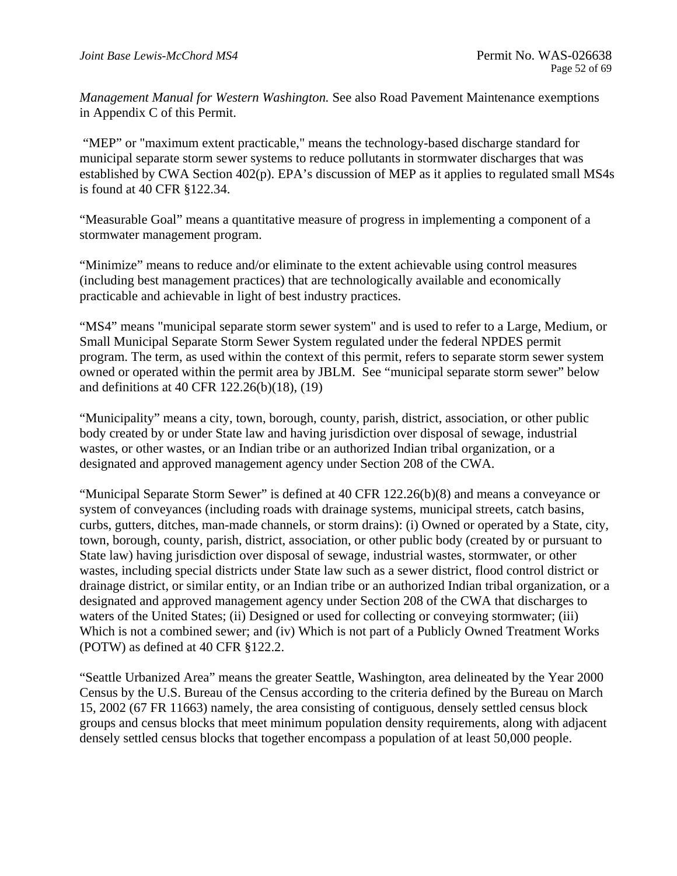*Management Manual for Western Washington.* See also Road Pavement Maintenance exemptions in Appendix C of this Permit.

is found at 40 CFR §122.34. "MEP" or "maximum extent practicable," means the technology-based discharge standard for municipal separate storm sewer systems to reduce pollutants in stormwater discharges that was established by CWA Section 402(p). EPA's discussion of MEP as it applies to regulated small MS4s

"Measurable Goal" means a quantitative measure of progress in implementing a component of a stormwater management program.

"Minimize" means to reduce and/or eliminate to the extent achievable using control measures (including best management practices) that are technologically available and economically practicable and achievable in light of best industry practices.

"MS4" means "municipal separate storm sewer system" and is used to refer to a Large, Medium, or Small Municipal Separate Storm Sewer System regulated under the federal NPDES permit program. The term, as used within the context of this permit, refers to separate storm sewer system owned or operated within the permit area by JBLM. See "municipal separate storm sewer" below and definitions at 40 CFR 122.26(b)(18), (19)

"Municipality" means a city, town, borough, county, parish, district, association, or other public body created by or under State law and having jurisdiction over disposal of sewage, industrial wastes, or other wastes, or an Indian tribe or an authorized Indian tribal organization, or a designated and approved management agency under Section 208 of the CWA.

"Municipal Separate Storm Sewer" is defined at 40 CFR 122.26(b)(8) and means a conveyance or system of conveyances (including roads with drainage systems, municipal streets, catch basins, curbs, gutters, ditches, man-made channels, or storm drains): (i) Owned or operated by a State, city, town, borough, county, parish, district, association, or other public body (created by or pursuant to State law) having jurisdiction over disposal of sewage, industrial wastes, stormwater, or other wastes, including special districts under State law such as a sewer district, flood control district or drainage district, or similar entity, or an Indian tribe or an authorized Indian tribal organization, or a designated and approved management agency under Section 208 of the CWA that discharges to waters of the United States; (ii) Designed or used for collecting or conveying stormwater; (iii) Which is not a combined sewer; and (iv) Which is not part of a Publicly Owned Treatment Works (POTW) as defined at 40 CFR §122.2.

"Seattle Urbanized Area" means the greater Seattle, Washington, area delineated by the Year 2000 Census by the U.S. Bureau of the Census according to the criteria defined by the Bureau on March 15, 2002 (67 FR 11663) namely, the area consisting of contiguous, densely settled census block groups and census blocks that meet minimum population density requirements, along with adjacent densely settled census blocks that together encompass a population of at least 50,000 people.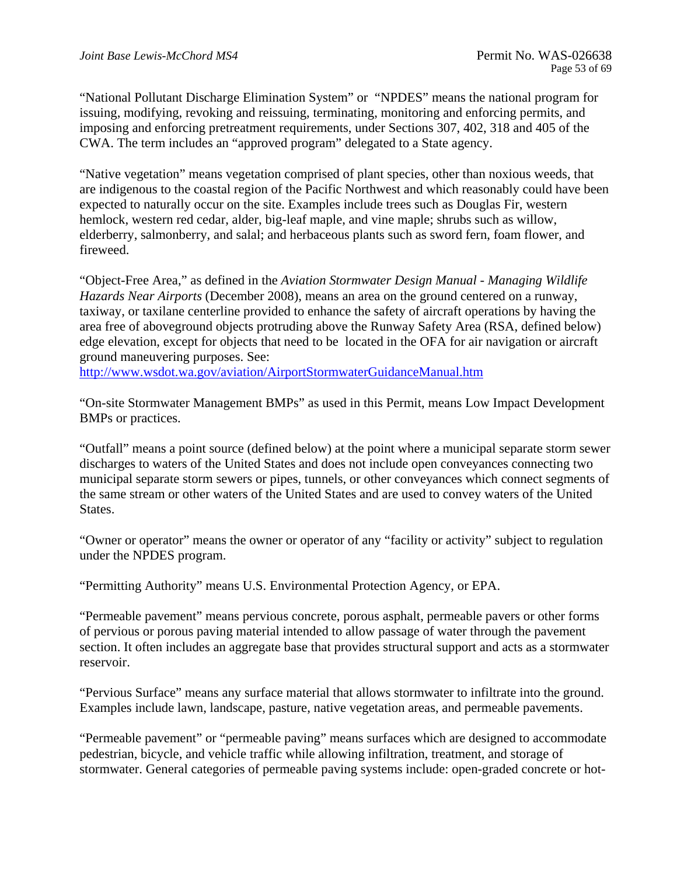"National Pollutant Discharge Elimination System" or "NPDES" means the national program for issuing, modifying, revoking and reissuing, terminating, monitoring and enforcing permits, and imposing and enforcing pretreatment requirements, under Sections 307, 402, 318 and 405 of the CWA. The term includes an "approved program" delegated to a State agency.

"Native vegetation" means vegetation comprised of plant species, other than noxious weeds, that are indigenous to the coastal region of the Pacific Northwest and which reasonably could have been expected to naturally occur on the site. Examples include trees such as Douglas Fir, western hemlock, western red cedar, alder, big-leaf maple, and vine maple; shrubs such as willow, elderberry, salmonberry, and salal; and herbaceous plants such as sword fern, foam flower, and fireweed.

"Object-Free Area," as defined in the *Aviation Stormwater Design Manual - Managing Wildlife Hazards Near Airports* (December 2008), means an area on the ground centered on a runway, taxiway, or taxilane centerline provided to enhance the safety of aircraft operations by having the area free of aboveground objects protruding above the Runway Safety Area (RSA, defined below) edge elevation, except for objects that need to be located in the OFA for air navigation or aircraft ground maneuvering purposes. See:

http://www.wsdot.wa.gov/aviation/AirportStormwaterGuidanceManual.htm

"On-site Stormwater Management BMPs" as used in this Permit, means Low Impact Development BMPs or practices.

"Outfall" means a point source (defined below) at the point where a municipal separate storm sewer discharges to waters of the United States and does not include open conveyances connecting two municipal separate storm sewers or pipes, tunnels, or other conveyances which connect segments of the same stream or other waters of the United States and are used to convey waters of the United States.

"Owner or operator" means the owner or operator of any "facility or activity" subject to regulation under the NPDES program.

"Permitting Authority" means U.S. Environmental Protection Agency, or EPA.

"Permeable pavement" means pervious concrete, porous asphalt, permeable pavers or other forms of pervious or porous paving material intended to allow passage of water through the pavement section. It often includes an aggregate base that provides structural support and acts as a stormwater reservoir.

"Pervious Surface" means any surface material that allows stormwater to infiltrate into the ground. Examples include lawn, landscape, pasture, native vegetation areas, and permeable pavements.

"Permeable pavement" or "permeable paving" means surfaces which are designed to accommodate pedestrian, bicycle, and vehicle traffic while allowing infiltration, treatment, and storage of stormwater. General categories of permeable paving systems include: open-graded concrete or hot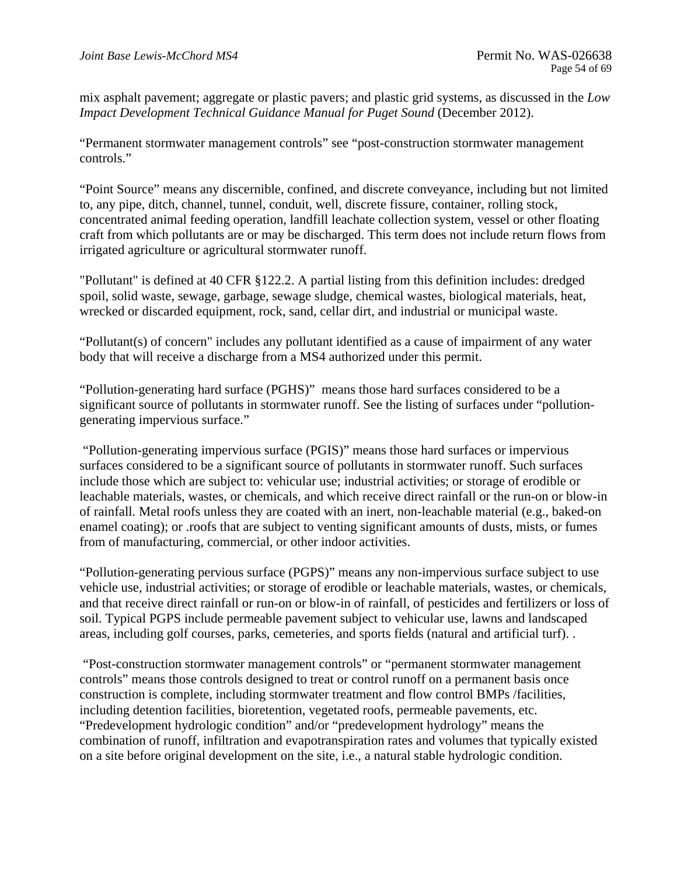mix asphalt pavement; aggregate or plastic pavers; and plastic grid systems, as discussed in the *Low Impact Development Technical Guidance Manual for Puget Sound* (December 2012).

"Permanent stormwater management controls" see "post-construction stormwater management controls."

"Point Source" means any discernible, confined, and discrete conveyance, including but not limited to, any pipe, ditch, channel, tunnel, conduit, well, discrete fissure, container, rolling stock, concentrated animal feeding operation, landfill leachate collection system, vessel or other floating craft from which pollutants are or may be discharged. This term does not include return flows from irrigated agriculture or agricultural stormwater runoff.

"Pollutant" is defined at 40 CFR §122.2. A partial listing from this definition includes: dredged spoil, solid waste, sewage, garbage, sewage sludge, chemical wastes, biological materials, heat, wrecked or discarded equipment, rock, sand, cellar dirt, and industrial or municipal waste.

"Pollutant(s) of concern" includes any pollutant identified as a cause of impairment of any water body that will receive a discharge from a MS4 authorized under this permit.

"Pollution-generating hard surface (PGHS)" means those hard surfaces considered to be a significant source of pollutants in stormwater runoff. See the listing of surfaces under "pollutiongenerating impervious surface."

 "Pollution-generating impervious surface (PGIS)" means those hard surfaces or impervious surfaces considered to be a significant source of pollutants in stormwater runoff. Such surfaces include those which are subject to: vehicular use; industrial activities; or storage of erodible or leachable materials, wastes, or chemicals, and which receive direct rainfall or the run-on or blow-in of rainfall. Metal roofs unless they are coated with an inert, non-leachable material (e.g., baked-on enamel coating); or .roofs that are subject to venting significant amounts of dusts, mists, or fumes from of manufacturing, commercial, or other indoor activities.

"Pollution-generating pervious surface (PGPS)" means any non-impervious surface subject to use vehicle use, industrial activities; or storage of erodible or leachable materials, wastes, or chemicals, and that receive direct rainfall or run-on or blow-in of rainfall, of pesticides and fertilizers or loss of soil. Typical PGPS include permeable pavement subject to vehicular use, lawns and landscaped areas, including golf courses, parks, cemeteries, and sports fields (natural and artificial turf). .

 "Post-construction stormwater management controls" or "permanent stormwater management controls" means those controls designed to treat or control runoff on a permanent basis once construction is complete, including stormwater treatment and flow control BMPs /facilities, including detention facilities, bioretention, vegetated roofs, permeable pavements, etc. "Predevelopment hydrologic condition" and/or "predevelopment hydrology" means the combination of runoff, infiltration and evapotranspiration rates and volumes that typically existed on a site before original development on the site, i.e., a natural stable hydrologic condition.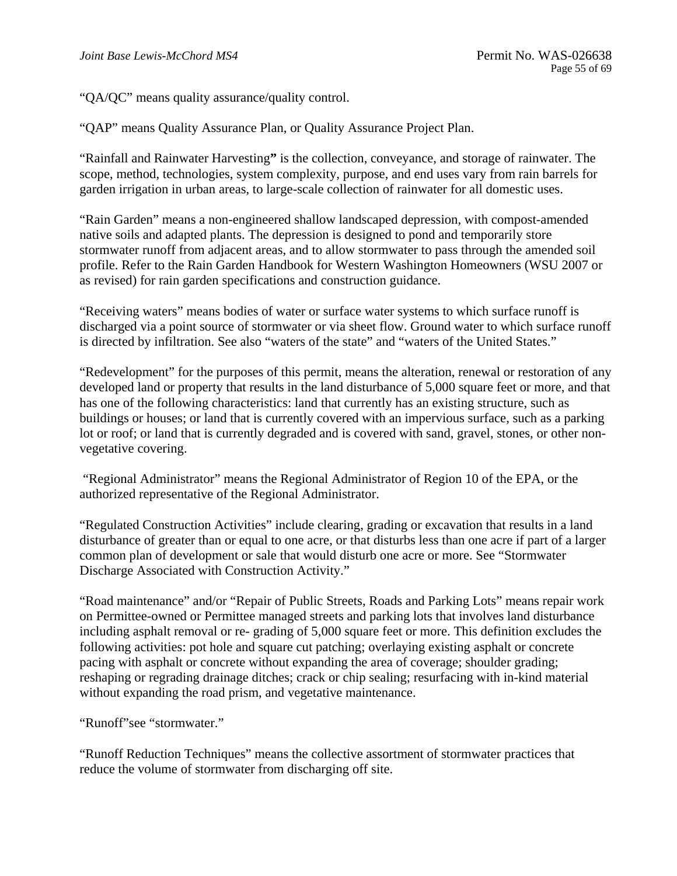"QA/QC" means quality assurance/quality control.

"QAP" means Quality Assurance Plan, or Quality Assurance Project Plan.

"Rainfall and Rainwater Harvesting" is the collection, conveyance, and storage of rainwater. The scope, method, technologies, system complexity, purpose, and end uses vary from rain barrels for garden irrigation in urban areas, to large-scale collection of rainwater for all domestic uses.

"Rain Garden" means a non-engineered shallow landscaped depression, with compost-amended native soils and adapted plants. The depression is designed to pond and temporarily store stormwater runoff from adjacent areas, and to allow stormwater to pass through the amended soil profile. Refer to the Rain Garden Handbook for Western Washington Homeowners (WSU 2007 or as revised) for rain garden specifications and construction guidance.

"Receiving waters" means bodies of water or surface water systems to which surface runoff is discharged via a point source of stormwater or via sheet flow. Ground water to which surface runoff is directed by infiltration. See also "waters of the state" and "waters of the United States."

"Redevelopment" for the purposes of this permit, means the alteration, renewal or restoration of any developed land or property that results in the land disturbance of 5,000 square feet or more, and that has one of the following characteristics: land that currently has an existing structure, such as buildings or houses; or land that is currently covered with an impervious surface, such as a parking lot or roof; or land that is currently degraded and is covered with sand, gravel, stones, or other nonvegetative covering.

 "Regional Administrator" means the Regional Administrator of Region 10 of the EPA, or the authorized representative of the Regional Administrator.

"Regulated Construction Activities" include clearing, grading or excavation that results in a land disturbance of greater than or equal to one acre, or that disturbs less than one acre if part of a larger common plan of development or sale that would disturb one acre or more. See "Stormwater Discharge Associated with Construction Activity."

"Road maintenance" and/or "Repair of Public Streets, Roads and Parking Lots" means repair work on Permittee-owned or Permittee managed streets and parking lots that involves land disturbance including asphalt removal or re- grading of 5,000 square feet or more. This definition excludes the following activities: pot hole and square cut patching; overlaying existing asphalt or concrete pacing with asphalt or concrete without expanding the area of coverage; shoulder grading; reshaping or regrading drainage ditches; crack or chip sealing; resurfacing with in-kind material without expanding the road prism, and vegetative maintenance.

"Runoff"see "stormwater."

"Runoff Reduction Techniques" means the collective assortment of stormwater practices that reduce the volume of stormwater from discharging off site.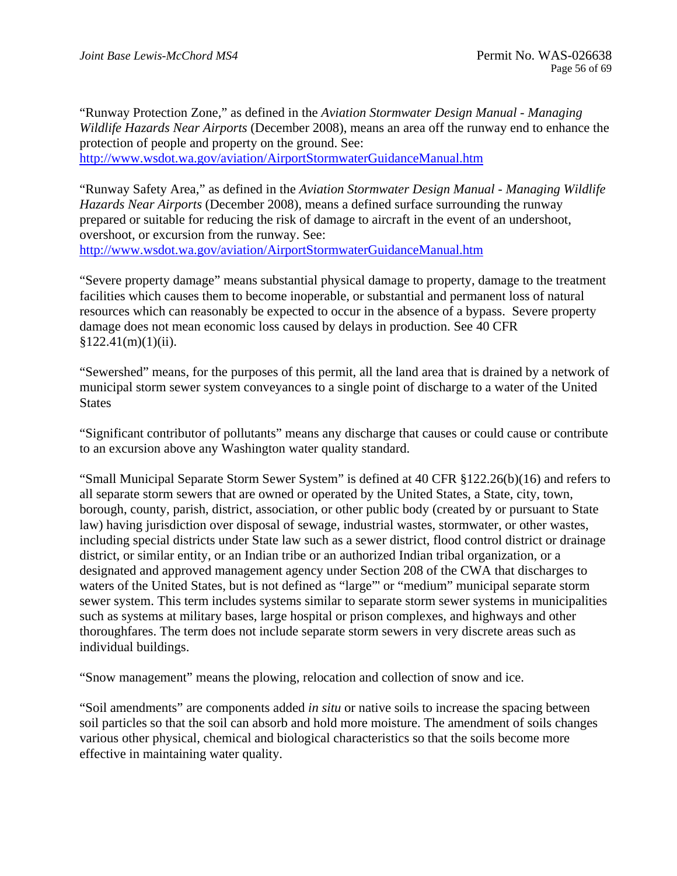"Runway Protection Zone," as defined in the *Aviation Stormwater Design Manual - Managing Wildlife Hazards Near Airports* (December 2008), means an area off the runway end to enhance the protection of people and property on the ground. See: http://www.wsdot.wa.gov/aviation/AirportStormwaterGuidanceManual.htm

"Runway Safety Area," as defined in the *Aviation Stormwater Design Manual - Managing Wildlife Hazards Near Airports* (December 2008), means a defined surface surrounding the runway prepared or suitable for reducing the risk of damage to aircraft in the event of an undershoot, overshoot, or excursion from the runway. See: http://www.wsdot.wa.gov/aviation/AirportStormwaterGuidanceManual.htm

"Severe property damage" means substantial physical damage to property, damage to the treatment facilities which causes them to become inoperable, or substantial and permanent loss of natural resources which can reasonably be expected to occur in the absence of a bypass. Severe property damage does not mean economic loss caused by delays in production. See 40 CFR  $$122.41(m)(1)(ii).$ 

"Sewershed" means, for the purposes of this permit, all the land area that is drained by a network of municipal storm sewer system conveyances to a single point of discharge to a water of the United States

"Significant contributor of pollutants" means any discharge that causes or could cause or contribute to an excursion above any Washington water quality standard.

"Small Municipal Separate Storm Sewer System" is defined at 40 CFR §122.26(b)(16) and refers to all separate storm sewers that are owned or operated by the United States, a State, city, town, borough, county, parish, district, association, or other public body (created by or pursuant to State law) having jurisdiction over disposal of sewage, industrial wastes, stormwater, or other wastes, including special districts under State law such as a sewer district, flood control district or drainage district, or similar entity, or an Indian tribe or an authorized Indian tribal organization, or a designated and approved management agency under Section 208 of the CWA that discharges to waters of the United States, but is not defined as "large"' or "medium" municipal separate storm sewer system. This term includes systems similar to separate storm sewer systems in municipalities such as systems at military bases, large hospital or prison complexes, and highways and other thoroughfares. The term does not include separate storm sewers in very discrete areas such as individual buildings.

"Snow management" means the plowing, relocation and collection of snow and ice.

"Soil amendments" are components added *in situ* or native soils to increase the spacing between soil particles so that the soil can absorb and hold more moisture. The amendment of soils changes various other physical, chemical and biological characteristics so that the soils become more effective in maintaining water quality.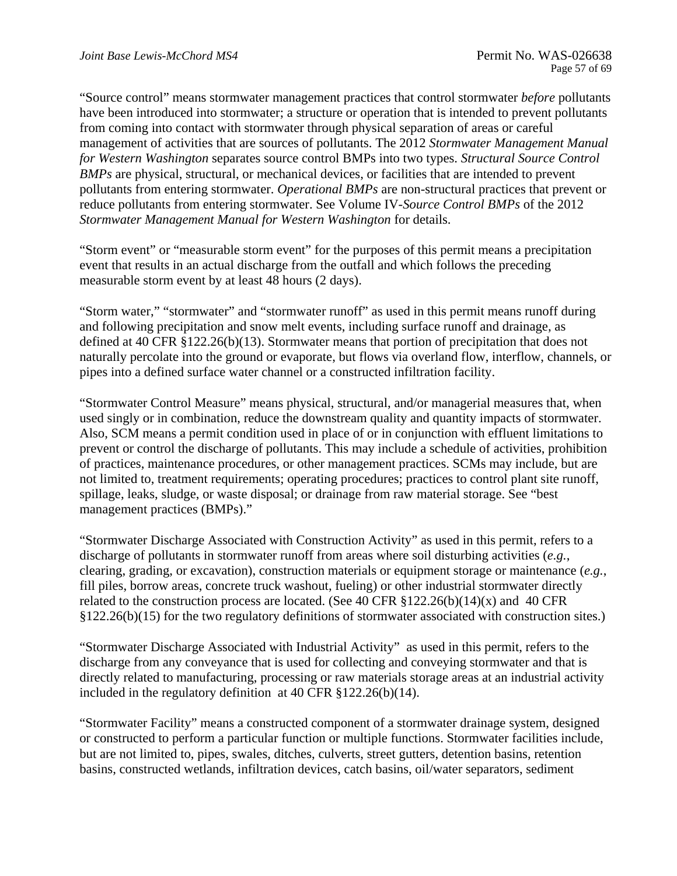"Source control" means stormwater management practices that control stormwater *before* pollutants have been introduced into stormwater; a structure or operation that is intended to prevent pollutants from coming into contact with stormwater through physical separation of areas or careful management of activities that are sources of pollutants. The 2012 *Stormwater Management Manual for Western Washington* separates source control BMPs into two types. *Structural Source Control BMPs* are physical, structural, or mechanical devices, or facilities that are intended to prevent pollutants from entering stormwater. *Operational BMPs* are non-structural practices that prevent or reduce pollutants from entering stormwater. See Volume IV-*Source Control BMPs* of the 2012 *Stormwater Management Manual for Western Washington* for details.

"Storm event" or "measurable storm event" for the purposes of this permit means a precipitation event that results in an actual discharge from the outfall and which follows the preceding measurable storm event by at least 48 hours (2 days).

"Storm water," "stormwater" and "stormwater runoff" as used in this permit means runoff during and following precipitation and snow melt events, including surface runoff and drainage, as defined at 40 CFR §122.26(b)(13). Stormwater means that portion of precipitation that does not naturally percolate into the ground or evaporate, but flows via overland flow, interflow, channels, or pipes into a defined surface water channel or a constructed infiltration facility.

"Stormwater Control Measure" means physical, structural, and/or managerial measures that, when used singly or in combination, reduce the downstream quality and quantity impacts of stormwater. Also, SCM means a permit condition used in place of or in conjunction with effluent limitations to prevent or control the discharge of pollutants. This may include a schedule of activities, prohibition of practices, maintenance procedures, or other management practices. SCMs may include, but are not limited to, treatment requirements; operating procedures; practices to control plant site runoff, spillage, leaks, sludge, or waste disposal; or drainage from raw material storage. See "best management practices (BMPs)."

"Stormwater Discharge Associated with Construction Activity" as used in this permit, refers to a discharge of pollutants in stormwater runoff from areas where soil disturbing activities (*e.g.*, clearing, grading, or excavation), construction materials or equipment storage or maintenance (*e.g.*, fill piles, borrow areas, concrete truck washout, fueling) or other industrial stormwater directly related to the construction process are located. (See 40 CFR  $$122.26(b)(14)(x)$  and 40 CFR §122.26(b)(15) for the two regulatory definitions of stormwater associated with construction sites.)

"Stormwater Discharge Associated with Industrial Activity" as used in this permit, refers to the discharge from any conveyance that is used for collecting and conveying stormwater and that is directly related to manufacturing, processing or raw materials storage areas at an industrial activity included in the regulatory definition at 40 CFR §122.26(b)(14).

"Stormwater Facility" means a constructed component of a stormwater drainage system, designed or constructed to perform a particular function or multiple functions. Stormwater facilities include, but are not limited to, pipes, swales, ditches, culverts, street gutters, detention basins, retention basins, constructed wetlands, infiltration devices, catch basins, oil/water separators, sediment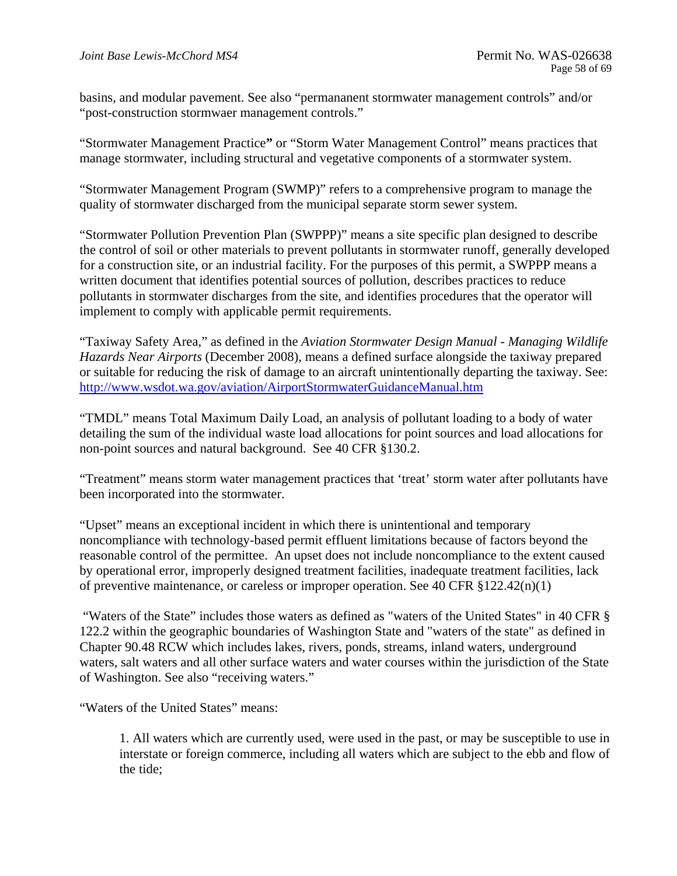basins, and modular pavement. See also "permananent stormwater management controls" and/or "post-construction stormwaer management controls."

"Stormwater Management Practice**"** or "Storm Water Management Control" means practices that manage stormwater, including structural and vegetative components of a stormwater system.

"Stormwater Management Program (SWMP)" refers to a comprehensive program to manage the quality of stormwater discharged from the municipal separate storm sewer system.

"Stormwater Pollution Prevention Plan (SWPPP)" means a site specific plan designed to describe the control of soil or other materials to prevent pollutants in stormwater runoff, generally developed for a construction site, or an industrial facility. For the purposes of this permit, a SWPPP means a written document that identifies potential sources of pollution, describes practices to reduce pollutants in stormwater discharges from the site, and identifies procedures that the operator will implement to comply with applicable permit requirements.

"Taxiway Safety Area," as defined in the *Aviation Stormwater Design Manual - Managing Wildlife Hazards Near Airports* (December 2008), means a defined surface alongside the taxiway prepared or suitable for reducing the risk of damage to an aircraft unintentionally departing the taxiway. See: http://www.wsdot.wa.gov/aviation/AirportStormwaterGuidanceManual.htm

"TMDL" means Total Maximum Daily Load, an analysis of pollutant loading to a body of water detailing the sum of the individual waste load allocations for point sources and load allocations for non-point sources and natural background. See 40 CFR §130.2.

"Treatment" means storm water management practices that 'treat' storm water after pollutants have been incorporated into the stormwater.

"Upset" means an exceptional incident in which there is unintentional and temporary noncompliance with technology-based permit effluent limitations because of factors beyond the reasonable control of the permittee. An upset does not include noncompliance to the extent caused by operational error, improperly designed treatment facilities, inadequate treatment facilities, lack of preventive maintenance, or careless or improper operation. See 40 CFR §122.42(n)(1)

 "Waters of the State" includes those waters as defined as "waters of the United States" in 40 CFR § 122.2 within the geographic boundaries of Washington State and "waters of the state" as defined in Chapter 90.48 RCW which includes lakes, rivers, ponds, streams, inland waters, underground waters, salt waters and all other surface waters and water courses within the jurisdiction of the State of Washington. See also "receiving waters."

"Waters of the United States" means:

1. All waters which are currently used, were used in the past, or may be susceptible to use in interstate or foreign commerce, including all waters which are subject to the ebb and flow of the tide;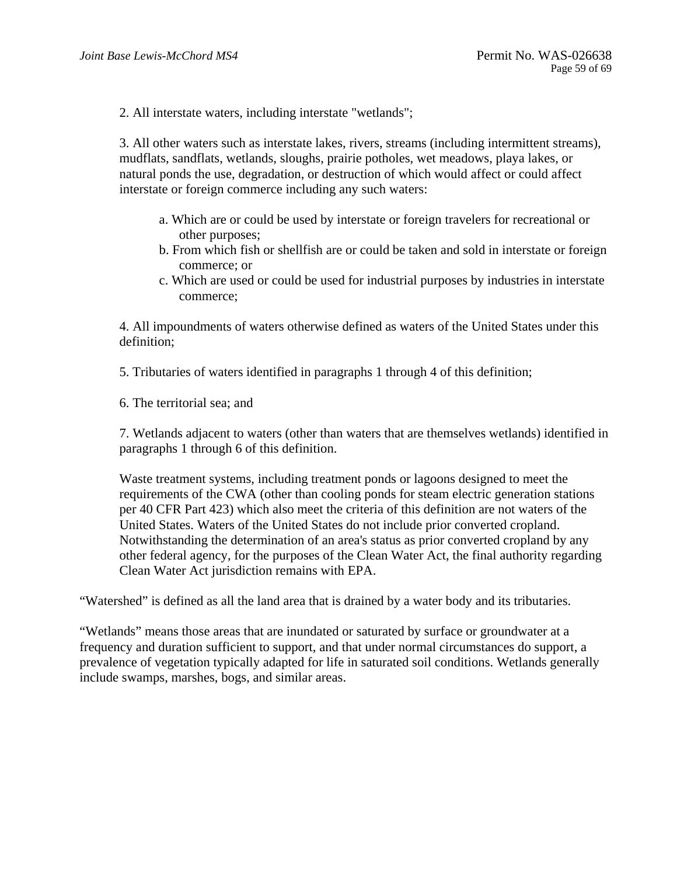2. All interstate waters, including interstate "wetlands";

3. All other waters such as interstate lakes, rivers, streams (including intermittent streams), mudflats, sandflats, wetlands, sloughs, prairie potholes, wet meadows, playa lakes, or natural ponds the use, degradation, or destruction of which would affect or could affect interstate or foreign commerce including any such waters:

- a. Which are or could be used by interstate or foreign travelers for recreational or other purposes;
- b. From which fish or shellfish are or could be taken and sold in interstate or foreign commerce; or
- c. Which are used or could be used for industrial purposes by industries in interstate commerce;

4. All impoundments of waters otherwise defined as waters of the United States under this definition;

5. Tributaries of waters identified in paragraphs 1 through 4 of this definition;

6. The territorial sea; and

7. Wetlands adjacent to waters (other than waters that are themselves wetlands) identified in paragraphs 1 through 6 of this definition.

Waste treatment systems, including treatment ponds or lagoons designed to meet the requirements of the CWA (other than cooling ponds for steam electric generation stations per 40 CFR Part 423) which also meet the criteria of this definition are not waters of the United States. Waters of the United States do not include prior converted cropland. Notwithstanding the determination of an area's status as prior converted cropland by any other federal agency, for the purposes of the Clean Water Act, the final authority regarding Clean Water Act jurisdiction remains with EPA.

"Watershed" is defined as all the land area that is drained by a water body and its tributaries.

"Wetlands" means those areas that are inundated or saturated by surface or groundwater at a frequency and duration sufficient to support, and that under normal circumstances do support, a prevalence of vegetation typically adapted for life in saturated soil conditions. Wetlands generally include swamps, marshes, bogs, and similar areas.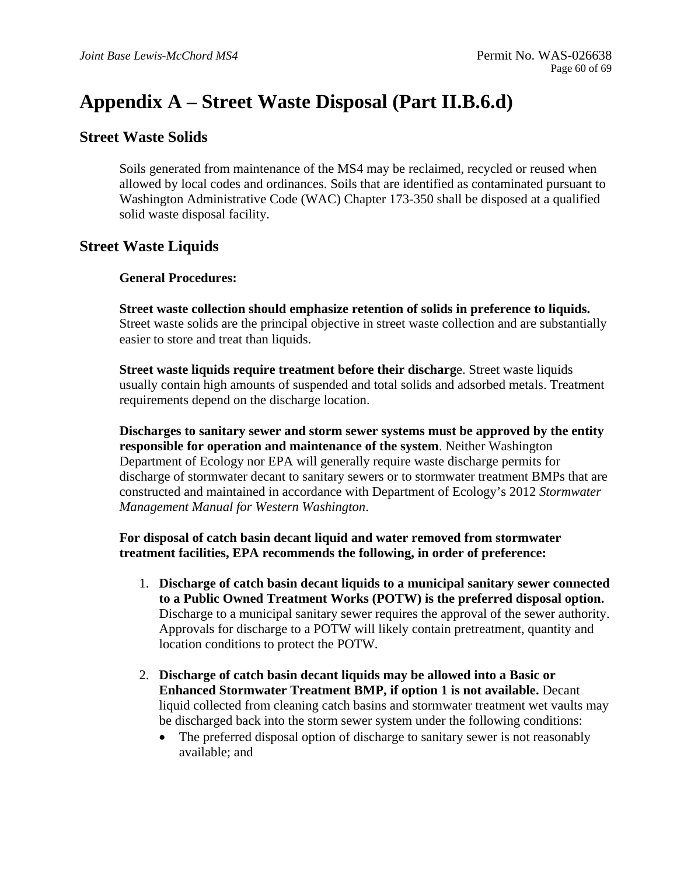# **Appendix A – Street Waste Disposal (Part II.B.6.d)**

## **Street Waste Solids**

Soils generated from maintenance of the MS4 may be reclaimed, recycled or reused when allowed by local codes and ordinances. Soils that are identified as contaminated pursuant to Washington Administrative Code (WAC) Chapter 173-350 shall be disposed at a qualified solid waste disposal facility.

## **Street Waste Liquids**

### **General Procedures:**

**Street waste collection should emphasize retention of solids in preference to liquids.**  Street waste solids are the principal objective in street waste collection and are substantially easier to store and treat than liquids.

**Street waste liquids require treatment before their discharg**e. Street waste liquids usually contain high amounts of suspended and total solids and adsorbed metals. Treatment requirements depend on the discharge location.

**Discharges to sanitary sewer and storm sewer systems must be approved by the entity responsible for operation and maintenance of the system**. Neither Washington Department of Ecology nor EPA will generally require waste discharge permits for discharge of stormwater decant to sanitary sewers or to stormwater treatment BMPs that are constructed and maintained in accordance with Department of Ecology's 2012 *Stormwater Management Manual for Western Washington*.

### **For disposal of catch basin decant liquid and water removed from stormwater treatment facilities, EPA recommends the following, in order of preference:**

- 1. **Discharge of catch basin decant liquids to a municipal sanitary sewer connected to a Public Owned Treatment Works (POTW) is the preferred disposal option.**  Discharge to a municipal sanitary sewer requires the approval of the sewer authority. Approvals for discharge to a POTW will likely contain pretreatment, quantity and location conditions to protect the POTW.
- 2. **Discharge of catch basin decant liquids may be allowed into a Basic or Enhanced Stormwater Treatment BMP, if option 1 is not available.** Decant liquid collected from cleaning catch basins and stormwater treatment wet vaults may be discharged back into the storm sewer system under the following conditions:
	- The preferred disposal option of discharge to sanitary sewer is not reasonably available; and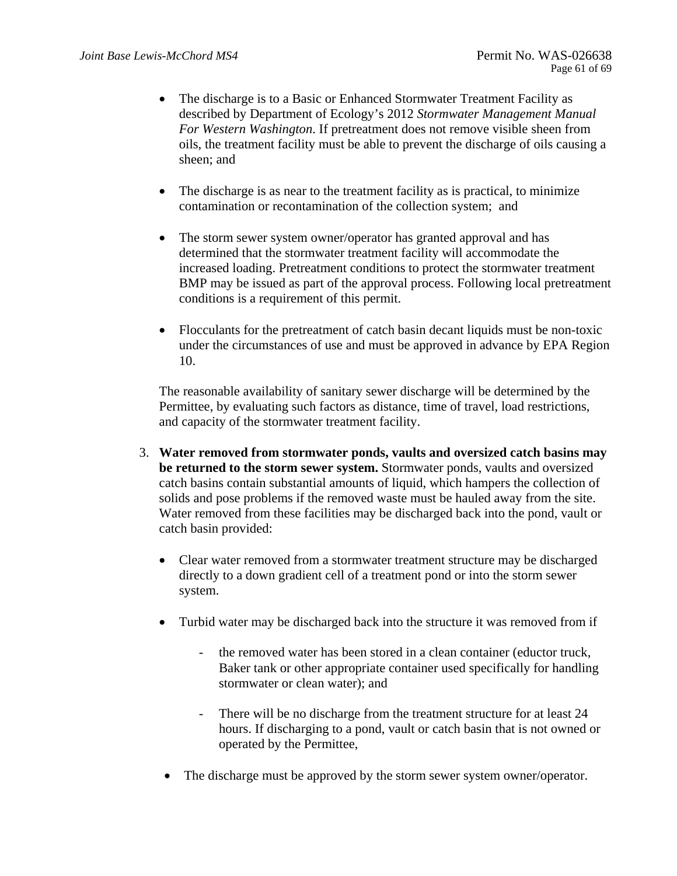- The discharge is to a Basic or Enhanced Stormwater Treatment Facility as described by Department of Ecology's 2012 *Stormwater Management Manual For Western Washington*. If pretreatment does not remove visible sheen from oils, the treatment facility must be able to prevent the discharge of oils causing a sheen; and
- The discharge is as near to the treatment facility as is practical, to minimize contamination or recontamination of the collection system; and
- The storm sewer system owner/operator has granted approval and has determined that the stormwater treatment facility will accommodate the increased loading. Pretreatment conditions to protect the stormwater treatment BMP may be issued as part of the approval process. Following local pretreatment conditions is a requirement of this permit.
- Flocculants for the pretreatment of catch basin decant liquids must be non-toxic under the circumstances of use and must be approved in advance by EPA Region 10.

The reasonable availability of sanitary sewer discharge will be determined by the Permittee, by evaluating such factors as distance, time of travel, load restrictions, and capacity of the stormwater treatment facility.

- 3. **Water removed from stormwater ponds, vaults and oversized catch basins may be returned to the storm sewer system.** Stormwater ponds, vaults and oversized catch basins contain substantial amounts of liquid, which hampers the collection of solids and pose problems if the removed waste must be hauled away from the site. Water removed from these facilities may be discharged back into the pond, vault or catch basin provided:
	- Clear water removed from a stormwater treatment structure may be discharged directly to a down gradient cell of a treatment pond or into the storm sewer system.
	- Turbid water may be discharged back into the structure it was removed from if
		- the removed water has been stored in a clean container (eductor truck, Baker tank or other appropriate container used specifically for handling stormwater or clean water); and
		- There will be no discharge from the treatment structure for at least 24 hours. If discharging to a pond, vault or catch basin that is not owned or operated by the Permittee,
	- The discharge must be approved by the storm sewer system owner/operator.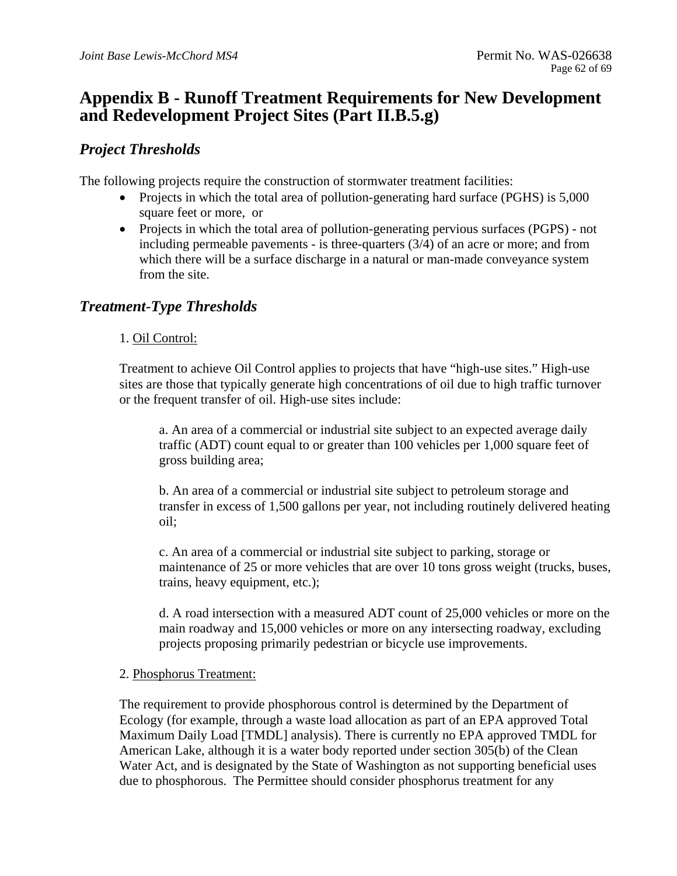## **Appendix B - Runoff Treatment Requirements for New Development and Redevelopment Project Sites (Part II.B.5.g)**

## *Project Thresholds*

The following projects require the construction of stormwater treatment facilities:

- Projects in which the total area of pollution-generating hard surface (PGHS) is 5,000 square feet or more, or
- Projects in which the total area of pollution-generating pervious surfaces (PGPS) not including permeable pavements - is three-quarters (3/4) of an acre or more; and from which there will be a surface discharge in a natural or man-made conveyance system from the site.

## *Treatment*-*Type Thresholds*

### 1. Oil Control:

Treatment to achieve Oil Control applies to projects that have "high-use sites." High-use sites are those that typically generate high concentrations of oil due to high traffic turnover or the frequent transfer of oil. High-use sites include:

a. An area of a commercial or industrial site subject to an expected average daily traffic (ADT) count equal to or greater than 100 vehicles per 1,000 square feet of gross building area;

b. An area of a commercial or industrial site subject to petroleum storage and transfer in excess of 1,500 gallons per year, not including routinely delivered heating oil;

c. An area of a commercial or industrial site subject to parking, storage or maintenance of 25 or more vehicles that are over 10 tons gross weight (trucks, buses, trains, heavy equipment, etc.);

d. A road intersection with a measured ADT count of 25,000 vehicles or more on the main roadway and 15,000 vehicles or more on any intersecting roadway, excluding projects proposing primarily pedestrian or bicycle use improvements.

### 2. Phosphorus Treatment:

The requirement to provide phosphorous control is determined by the Department of Ecology (for example, through a waste load allocation as part of an EPA approved Total Maximum Daily Load [TMDL] analysis). There is currently no EPA approved TMDL for American Lake, although it is a water body reported under section 305(b) of the Clean Water Act, and is designated by the State of Washington as not supporting beneficial uses due to phosphorous. The Permittee should consider phosphorus treatment for any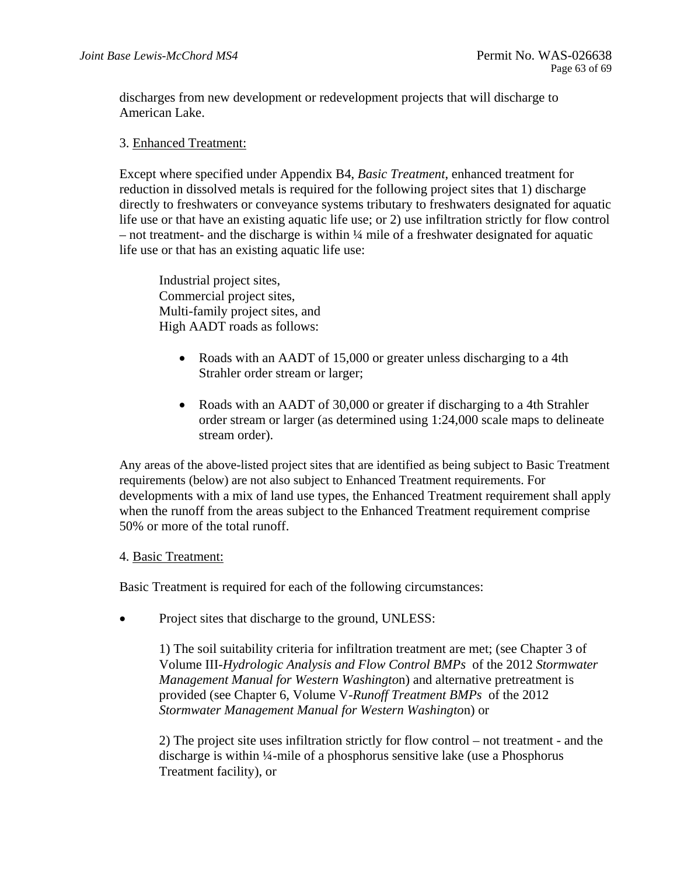discharges from new development or redevelopment projects that will discharge to American Lake.

### 3. Enhanced Treatment:

Except where specified under Appendix B4, *Basic Treatment*, enhanced treatment for reduction in dissolved metals is required for the following project sites that 1) discharge directly to freshwaters or conveyance systems tributary to freshwaters designated for aquatic life use or that have an existing aquatic life use; or 2) use infiltration strictly for flow control  $-$  not treatment- and the discharge is within  $\frac{1}{4}$  mile of a freshwater designated for aquatic life use or that has an existing aquatic life use:

 Commercial project sites, Industrial project sites, Multi-family project sites, and High AADT roads as follows:

- Roads with an AADT of 15,000 or greater unless discharging to a 4th Strahler order stream or larger;
- Roads with an AADT of 30,000 or greater if discharging to a 4th Strahler order stream or larger (as determined using 1:24,000 scale maps to delineate stream order).

Any areas of the above-listed project sites that are identified as being subject to Basic Treatment requirements (below) are not also subject to Enhanced Treatment requirements. For developments with a mix of land use types, the Enhanced Treatment requirement shall apply when the runoff from the areas subject to the Enhanced Treatment requirement comprise 50% or more of the total runoff.

### 4. Basic Treatment:

Basic Treatment is required for each of the following circumstances:

• Project sites that discharge to the ground, UNLESS:

1) The soil suitability criteria for infiltration treatment are met; (see Chapter 3 of Volume III-*Hydrologic Analysis and Flow Control BMPs* of the 2012 *Stormwater Management Manual for Western Washingto*n) and alternative pretreatment is provided (see Chapter 6, Volume V-*Runoff Treatment BMPs* of the 2012 *Stormwater Management Manual for Western Washingto*n) or

2) The project site uses infiltration strictly for flow control – not treatment - and the discharge is within ¼-mile of a phosphorus sensitive lake (use a Phosphorus Treatment facility), or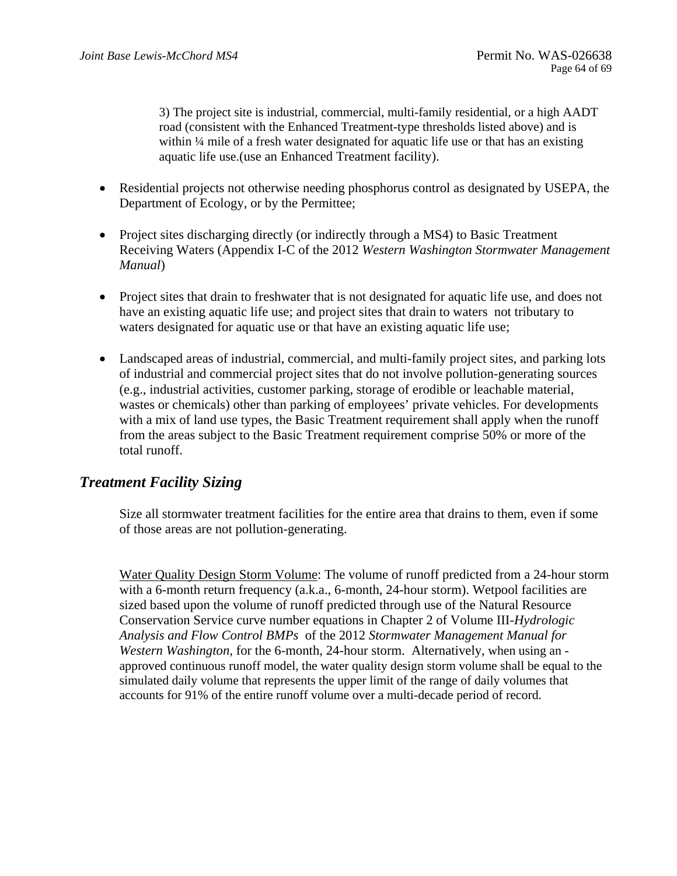3) The project site is industrial, commercial, multi-family residential, or a high AADT road (consistent with the Enhanced Treatment-type thresholds listed above) and is within ¼ mile of a fresh water designated for aquatic life use or that has an existing aquatic life use.(use an Enhanced Treatment facility).

- Residential projects not otherwise needing phosphorus control as designated by USEPA, the Department of Ecology, or by the Permittee;
- Project sites discharging directly (or indirectly through a MS4) to Basic Treatment Receiving Waters (Appendix I-C of the 2012 *Western Washington Stormwater Management Manual*)
- Project sites that drain to freshwater that is not designated for aquatic life use, and does not have an existing aquatic life use; and project sites that drain to waters not tributary to waters designated for aquatic use or that have an existing aquatic life use;
- Landscaped areas of industrial, commercial, and multi-family project sites, and parking lots of industrial and commercial project sites that do not involve pollution-generating sources (e.g., industrial activities, customer parking, storage of erodible or leachable material, wastes or chemicals) other than parking of employees' private vehicles. For developments with a mix of land use types, the Basic Treatment requirement shall apply when the runoff from the areas subject to the Basic Treatment requirement comprise 50% or more of the total runoff.

## *Treatment Facility Sizing*

Size all stormwater treatment facilities for the entire area that drains to them, even if some of those areas are not pollution-generating.

Water Quality Design Storm Volume: The volume of runoff predicted from a 24-hour storm with a 6-month return frequency (a.k.a., 6-month, 24-hour storm). Wetpool facilities are sized based upon the volume of runoff predicted through use of the Natural Resource Conservation Service curve number equations in Chapter 2 of Volume III-*Hydrologic Analysis and Flow Control BMPs* of the 2012 *Stormwater Management Manual for Western Washington, for the 6-month, 24-hour storm. Alternatively, when using an* approved continuous runoff model, the water quality design storm volume shall be equal to the simulated daily volume that represents the upper limit of the range of daily volumes that accounts for 91% of the entire runoff volume over a multi-decade period of record.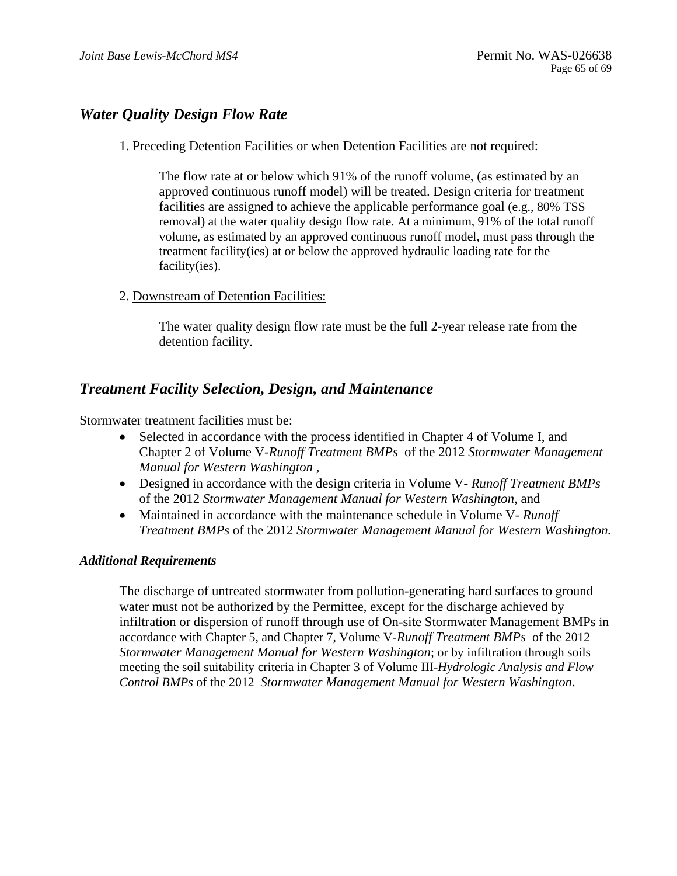## *Water Quality Design Flow Rate*

### 1. Preceding Detention Facilities or when Detention Facilities are not required:

The flow rate at or below which 91% of the runoff volume, (as estimated by an approved continuous runoff model) will be treated. Design criteria for treatment facilities are assigned to achieve the applicable performance goal (e.g., 80% TSS removal) at the water quality design flow rate. At a minimum, 91% of the total runoff volume, as estimated by an approved continuous runoff model, must pass through the treatment facility(ies) at or below the approved hydraulic loading rate for the facility(ies).

2. Downstream of Detention Facilities:

The water quality design flow rate must be the full 2-year release rate from the detention facility.

## *Treatment Facility Selection, Design, and Maintenance*

Stormwater treatment facilities must be:

- Selected in accordance with the process identified in Chapter 4 of Volume I, and Chapter 2 of Volume V-*Runoff Treatment BMPs* of the 2012 *Stormwater Management Manual for Western Washington* ,
- Designed in accordance with the design criteria in Volume V *Runoff Treatment BMPs*  of the 2012 *Stormwater Management Manual for Western Washington*, and
- Maintained in accordance with the maintenance schedule in Volume V- *Runoff Treatment BMPs* of the 2012 *Stormwater Management Manual for Western Washington.*

### *Additional Requirements*

 accordance with Chapter 5, and Chapter 7, Volume V-*Runoff Treatment BMPs* of the 2012 The discharge of untreated stormwater from pollution*-*generating hard surfaces to ground water must not be authorized by the Permittee, except for the discharge achieved by infiltration or dispersion of runoff through use of On-site Stormwater Management BMPs in *Stormwater Management Manual for Western Washington*; or by infiltration through soils meeting the soil suitability criteria in Chapter 3 of Volume III-*Hydrologic Analysis and Flow Control BMPs* of the 2012 *Stormwater Management Manual for Western Washington*.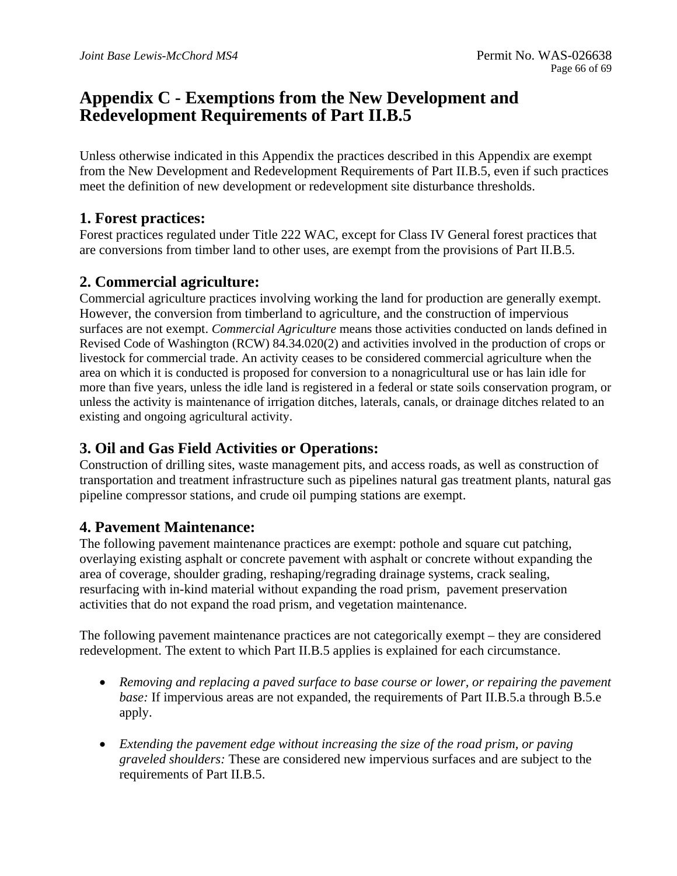## **Appendix C - Exemptions from the New Development and Redevelopment Requirements of Part II.B.5**

Unless otherwise indicated in this Appendix the practices described in this Appendix are exempt from the New Development and Redevelopment Requirements of Part II.B.5, even if such practices meet the definition of new development or redevelopment site disturbance thresholds.

## **1. Forest practices:**

Forest practices regulated under Title 222 WAC, except for Class IV General forest practices that are conversions from timber land to other uses, are exempt from the provisions of Part II.B.5.

## **2. Commercial agriculture:**

Commercial agriculture practices involving working the land for production are generally exempt. However, the conversion from timberland to agriculture, and the construction of impervious surfaces are not exempt. *Commercial Agriculture* means those activities conducted on lands defined in Revised Code of Washington (RCW) 84.34.020(2) and activities involved in the production of crops or livestock for commercial trade. An activity ceases to be considered commercial agriculture when the area on which it is conducted is proposed for conversion to a nonagricultural use or has lain idle for more than five years, unless the idle land is registered in a federal or state soils conservation program, or unless the activity is maintenance of irrigation ditches, laterals, canals, or drainage ditches related to an existing and ongoing agricultural activity.

## **3. Oil and Gas Field Activities or Operations:**

Construction of drilling sites, waste management pits, and access roads, as well as construction of transportation and treatment infrastructure such as pipelines natural gas treatment plants, natural gas pipeline compressor stations, and crude oil pumping stations are exempt.

## **4. Pavement Maintenance:**

The following pavement maintenance practices are exempt: pothole and square cut patching, overlaying existing asphalt or concrete pavement with asphalt or concrete without expanding the area of coverage, shoulder grading, reshaping/regrading drainage systems, crack sealing, resurfacing with in-kind material without expanding the road prism, pavement preservation activities that do not expand the road prism, and vegetation maintenance.

The following pavement maintenance practices are not categorically exempt – they are considered redevelopment. The extent to which Part II.B.5 applies is explained for each circumstance.

- *Removing and replacing a paved surface to base course or lower, or repairing the pavement base:* If impervious areas are not expanded, the requirements of Part II.B.5.a through B.5.e apply.
- *Extending the pavement edge without increasing the size of the road prism, or paving graveled shoulders:* These are considered new impervious surfaces and are subject to the requirements of Part II.B.5.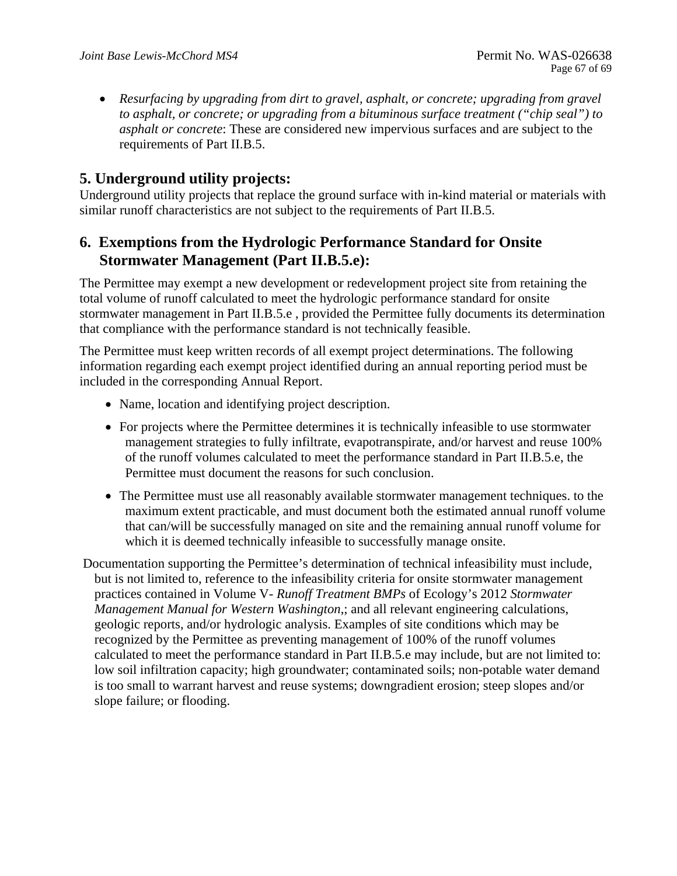*Resurfacing by upgrading from dirt to gravel, asphalt, or concrete; upgrading from gravel to asphalt, or concrete; or upgrading from a bituminous surface treatment ("chip seal") to asphalt or concrete*: These are considered new impervious surfaces and are subject to the requirements of Part II.B.5.

## **5. Underground utility projects:**

Underground utility projects that replace the ground surface with in-kind material or materials with similar runoff characteristics are not subject to the requirements of Part II.B.5.

## **6. Exemptions from the Hydrologic Performance Standard for Onsite Stormwater Management (Part II.B.5.e):**

The Permittee may exempt a new development or redevelopment project site from retaining the total volume of runoff calculated to meet the hydrologic performance standard for onsite stormwater management in Part II.B.5.e , provided the Permittee fully documents its determination that compliance with the performance standard is not technically feasible.

The Permittee must keep written records of all exempt project determinations. The following information regarding each exempt project identified during an annual reporting period must be included in the corresponding Annual Report.

- Name, location and identifying project description.
- For projects where the Permittee determines it is technically infeasible to use stormwater management strategies to fully infiltrate, evapotranspirate, and/or harvest and reuse 100% of the runoff volumes calculated to meet the performance standard in Part II.B.5.e, the Permittee must document the reasons for such conclusion.
- The Permittee must use all reasonably available stormwater management techniques. to the maximum extent practicable, and must document both the estimated annual runoff volume that can/will be successfully managed on site and the remaining annual runoff volume for which it is deemed technically infeasible to successfully manage onsite.

 Documentation supporting the Permittee's determination of technical infeasibility must include, but is not limited to, reference to the infeasibility criteria for onsite stormwater management practices contained in Volume V- *Runoff Treatment BMPs* of Ecology's 2012 *Stormwater Management Manual for Western Washington*,; and all relevant engineering calculations, geologic reports, and/or hydrologic analysis. Examples of site conditions which may be recognized by the Permittee as preventing management of 100% of the runoff volumes calculated to meet the performance standard in Part II.B.5.e may include, but are not limited to: low soil infiltration capacity; high groundwater; contaminated soils; non-potable water demand is too small to warrant harvest and reuse systems; downgradient erosion; steep slopes and/or slope failure; or flooding.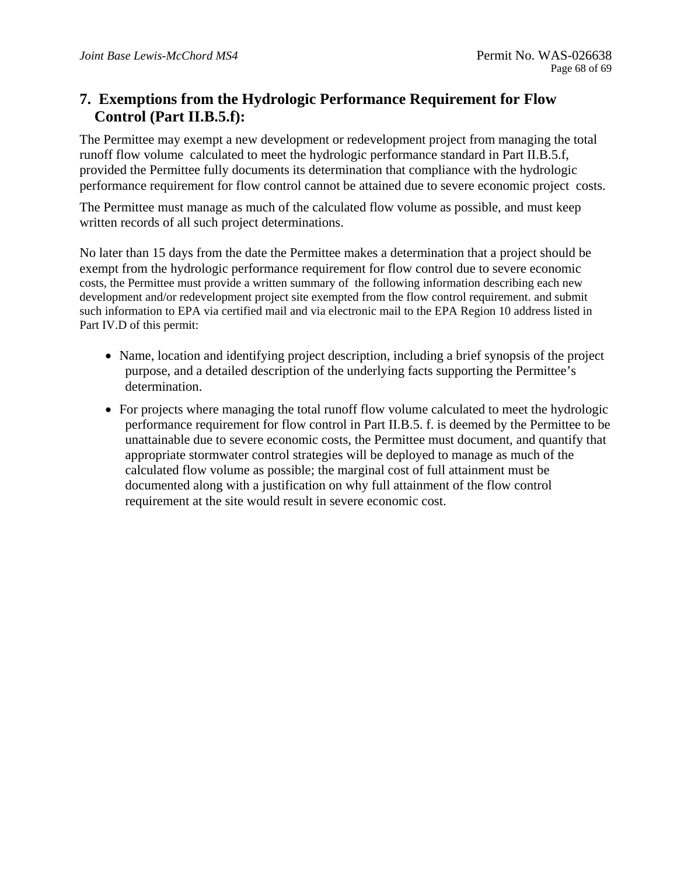## **Control (Part II.B.5.f): 7. Exemptions from the Hydrologic Performance Requirement for Flow**

The Permittee may exempt a new development or redevelopment project from managing the total runoff flow volume calculated to meet the hydrologic performance standard in Part II.B.5.f, provided the Permittee fully documents its determination that compliance with the hydrologic performance requirement for flow control cannot be attained due to severe economic project costs.

The Permittee must manage as much of the calculated flow volume as possible, and must keep written records of all such project determinations.

No later than 15 days from the date the Permittee makes a determination that a project should be exempt from the hydrologic performance requirement for flow control due to severe economic costs, the Permittee must provide a written summary of the following information describing each new development and/or redevelopment project site exempted from the flow control requirement. and submit such information to EPA via certified mail and via electronic mail to the EPA Region 10 address listed in Part IV.D of this permit:

- Name, location and identifying project description, including a brief synopsis of the project purpose, and a detailed description of the underlying facts supporting the Permittee's determination.
- For projects where managing the total runoff flow volume calculated to meet the hydrologic performance requirement for flow control in Part II.B.5. f. is deemed by the Permittee to be unattainable due to severe economic costs, the Permittee must document, and quantify that appropriate stormwater control strategies will be deployed to manage as much of the calculated flow volume as possible; the marginal cost of full attainment must be documented along with a justification on why full attainment of the flow control requirement at the site would result in severe economic cost.